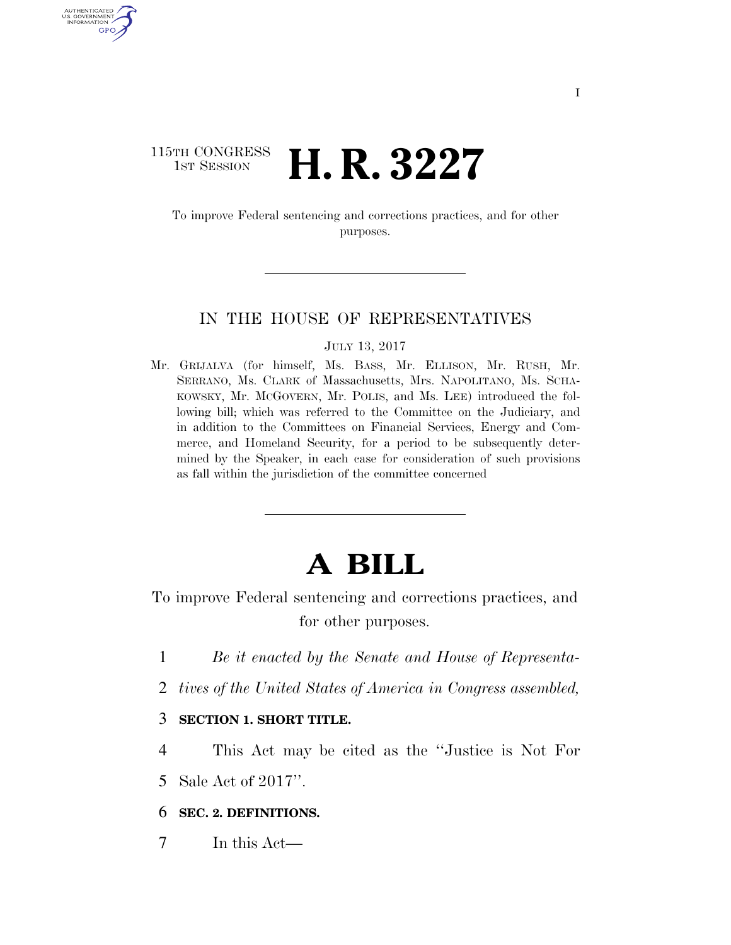### 115TH CONGRESS **1st Session H. R. 3227**

AUTHENTICATED U.S. GOVERNMENT GPO

> To improve Federal sentencing and corrections practices, and for other purposes.

#### IN THE HOUSE OF REPRESENTATIVES

JULY 13, 2017

Mr. GRIJALVA (for himself, Ms. BASS, Mr. ELLISON, Mr. RUSH, Mr. SERRANO, Ms. CLARK of Massachusetts, Mrs. NAPOLITANO, Ms. SCHA-KOWSKY, Mr. MCGOVERN, Mr. POLIS, and Ms. LEE) introduced the following bill; which was referred to the Committee on the Judiciary, and in addition to the Committees on Financial Services, Energy and Commerce, and Homeland Security, for a period to be subsequently determined by the Speaker, in each case for consideration of such provisions as fall within the jurisdiction of the committee concerned

# **A BILL**

To improve Federal sentencing and corrections practices, and for other purposes.

- 1 *Be it enacted by the Senate and House of Representa-*
- 2 *tives of the United States of America in Congress assembled,*
- 3 **SECTION 1. SHORT TITLE.**
- 4 This Act may be cited as the ''Justice is Not For
- 5 Sale Act of 2017''.

#### 6 **SEC. 2. DEFINITIONS.**

7 In this Act—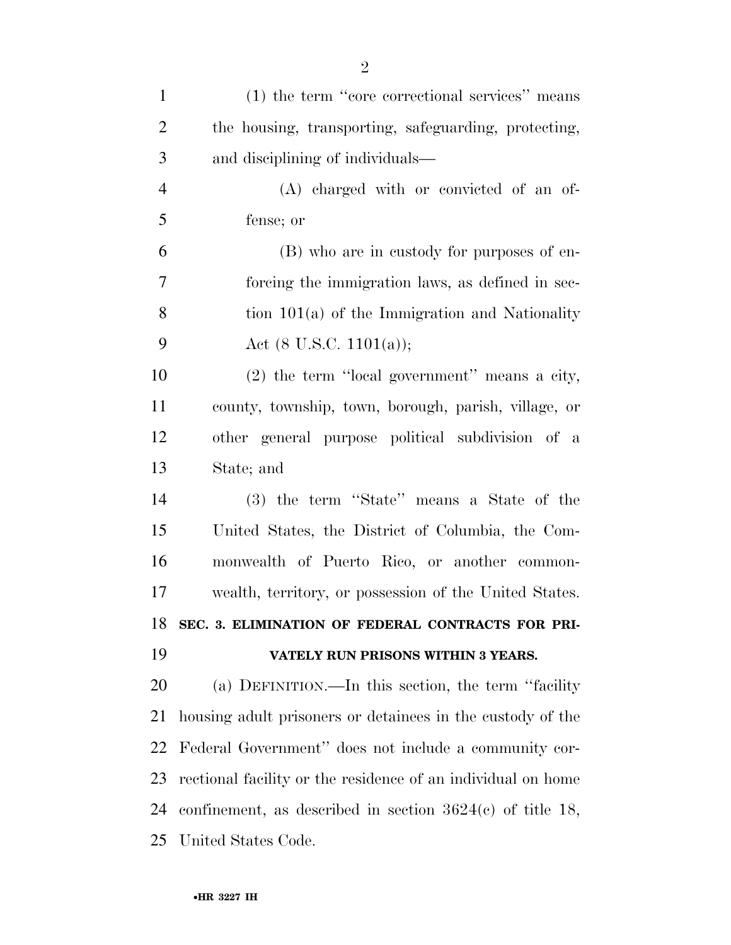| $\mathbf{1}$   | $(1)$ the term "core correctional services" means            |
|----------------|--------------------------------------------------------------|
| $\overline{2}$ | the housing, transporting, safeguarding, protecting,         |
| 3              | and disciplining of individuals—                             |
| $\overline{4}$ | (A) charged with or convicted of an of-                      |
| 5              | fense; or                                                    |
| 6              | (B) who are in custody for purposes of en-                   |
| 7              | forcing the immigration laws, as defined in sec-             |
| 8              | tion $101(a)$ of the Immigration and Nationality             |
| 9              | Act $(8 \text{ U.S.C. } 1101(a));$                           |
| 10             | $(2)$ the term "local government" means a city,              |
| 11             | county, township, town, borough, parish, village, or         |
| 12             | other general purpose political subdivision of a             |
| 13             | State; and                                                   |
| 14             | (3) the term "State" means a State of the                    |
| 15             | United States, the District of Columbia, the Com-            |
| 16             | monwealth of Puerto Rico, or another common-                 |
| 17             | wealth, territory, or possession of the United States.       |
| 18             | SEC. 3. ELIMINATION OF FEDERAL CONTRACTS FOR PRI-            |
| 19             | VATELY RUN PRISONS WITHIN 3 YEARS.                           |
| 20             | (a) DEFINITION.—In this section, the term "facility"         |
| 21             | housing adult prisoners or detainees in the custody of the   |
| 22             | Federal Government" does not include a community cor-        |
| 23             | rectional facility or the residence of an individual on home |
| 24             | confinement, as described in section $3624(c)$ of title 18,  |
|                | 25 United States Code.                                       |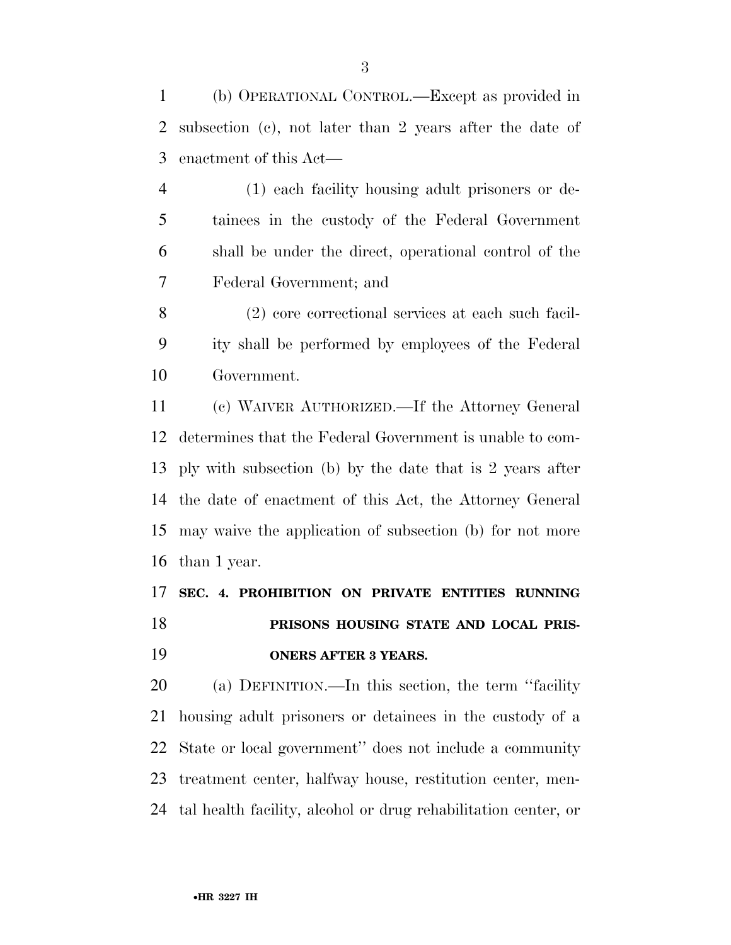(b) OPERATIONAL CONTROL.—Except as provided in subsection (c), not later than 2 years after the date of enactment of this Act—

 (1) each facility housing adult prisoners or de- tainees in the custody of the Federal Government shall be under the direct, operational control of the Federal Government; and

 (2) core correctional services at each such facil- ity shall be performed by employees of the Federal Government.

 (c) WAIVER AUTHORIZED.—If the Attorney General determines that the Federal Government is unable to com- ply with subsection (b) by the date that is 2 years after the date of enactment of this Act, the Attorney General may waive the application of subsection (b) for not more than 1 year.

# **SEC. 4. PROHIBITION ON PRIVATE ENTITIES RUNNING PRISONS HOUSING STATE AND LOCAL PRIS-ONERS AFTER 3 YEARS.**

 (a) DEFINITION.—In this section, the term ''facility housing adult prisoners or detainees in the custody of a State or local government'' does not include a community treatment center, halfway house, restitution center, men-tal health facility, alcohol or drug rehabilitation center, or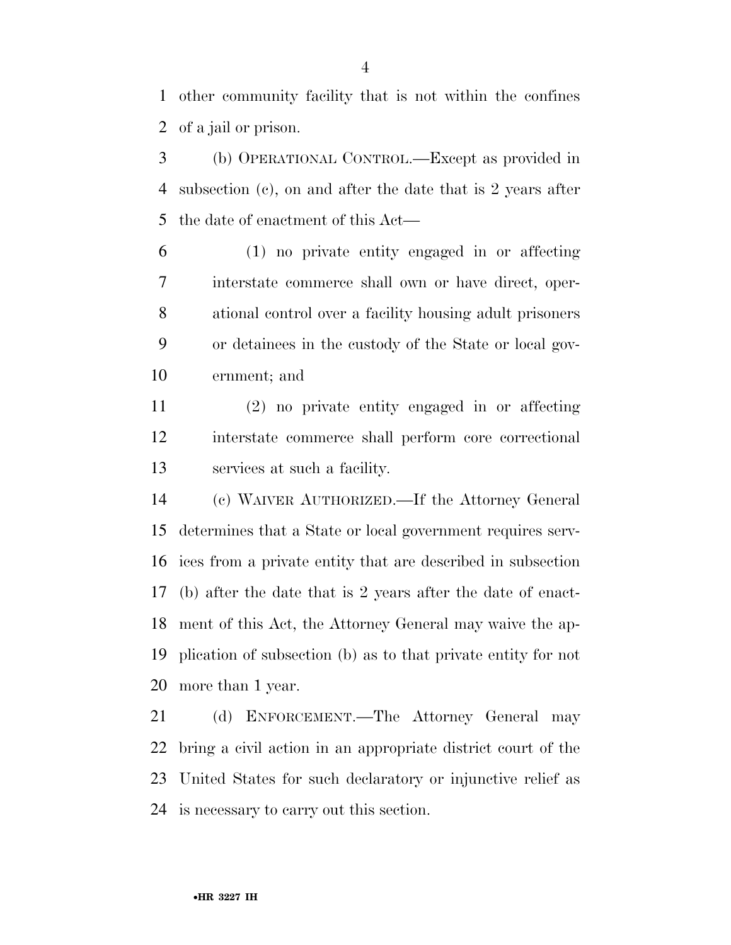other community facility that is not within the confines of a jail or prison.

 (b) OPERATIONAL CONTROL.—Except as provided in subsection (c), on and after the date that is 2 years after the date of enactment of this Act—

 (1) no private entity engaged in or affecting interstate commerce shall own or have direct, oper- ational control over a facility housing adult prisoners or detainees in the custody of the State or local gov-ernment; and

 (2) no private entity engaged in or affecting interstate commerce shall perform core correctional services at such a facility.

 (c) WAIVER AUTHORIZED.—If the Attorney General determines that a State or local government requires serv- ices from a private entity that are described in subsection (b) after the date that is 2 years after the date of enact- ment of this Act, the Attorney General may waive the ap- plication of subsection (b) as to that private entity for not more than 1 year.

 (d) ENFORCEMENT.—The Attorney General may bring a civil action in an appropriate district court of the United States for such declaratory or injunctive relief as is necessary to carry out this section.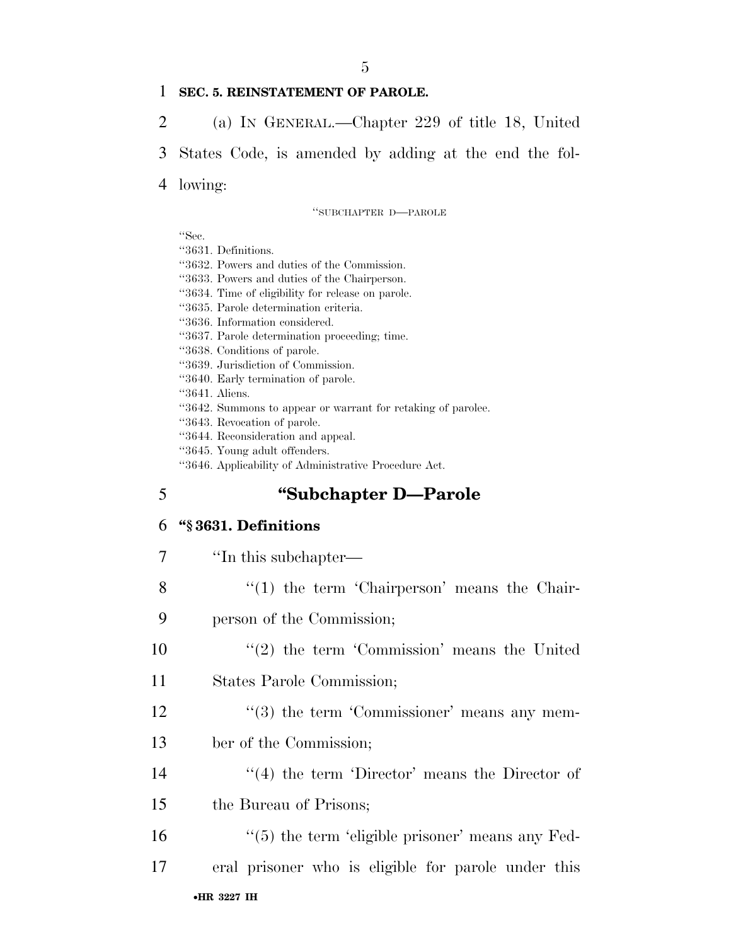#### 1 **SEC. 5. REINSTATEMENT OF PAROLE.**

2 (a) IN GENERAL.—Chapter 229 of title 18, United

3 States Code, is amended by adding at the end the fol-

4 lowing:

''SUBCHAPTER D—PAROLE

''Sec.

''3631. Definitions.

''3632. Powers and duties of the Commission.

''3633. Powers and duties of the Chairperson.

''3634. Time of eligibility for release on parole.

''3635. Parole determination criteria.

''3636. Information considered.

- ''3637. Parole determination proceeding; time.
- ''3638. Conditions of parole.
- ''3639. Jurisdiction of Commission.
- ''3640. Early termination of parole.
- ''3641. Aliens.
- ''3642. Summons to appear or warrant for retaking of parolee.
- ''3643. Revocation of parole.
- ''3644. Reconsideration and appeal.
- ''3645. Young adult offenders.
- ''3646. Applicability of Administrative Procedure Act.

### 5 **''Subchapter D—Parole**

#### 6 **''§ 3631. Definitions**

| $\overline{7}$ | "In this subchapter—                                 |
|----------------|------------------------------------------------------|
| 8              | $\lq(1)$ the term 'Chairperson' means the Chair-     |
| 9              | person of the Commission;                            |
| 10             | $\lq(2)$ the term 'Commission' means the United      |
| 11             | States Parole Commission;                            |
| 12             | $\lq(3)$ the term 'Commissioner' means any mem-      |
| 13             | ber of the Commission;                               |
| 14             | $\lq(4)$ the term 'Director' means the Director of   |
| 15             | the Bureau of Prisons;                               |
| 16             | $\lq(5)$ the term 'eligible prisoner' means any Fed- |
| 17             | eral prisoner who is eligible for parole under this  |
|                | .шр 9005 тш                                          |

#### •**HR 3227 IH**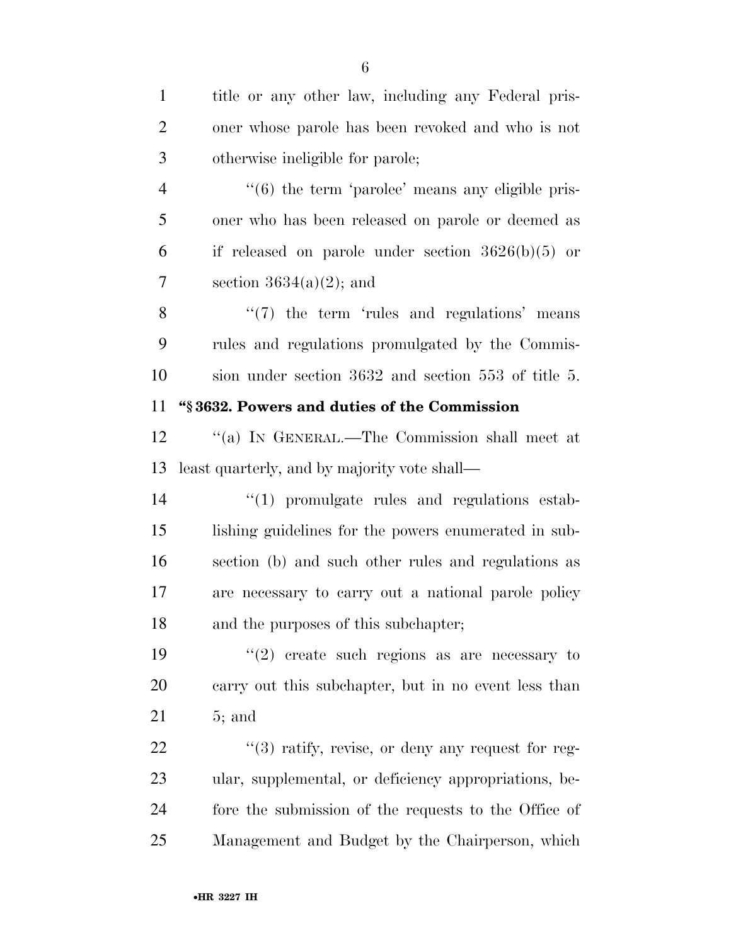| $\mathbf{1}$   | title or any other law, including any Federal pris-               |
|----------------|-------------------------------------------------------------------|
| $\overline{2}$ | oner whose parole has been revoked and who is not                 |
| 3              | otherwise ineligible for parole;                                  |
| $\overline{4}$ | $\cdot\cdot\cdot$ (6) the term 'parolee' means any eligible pris- |
| 5              | oner who has been released on parole or deemed as                 |
| 6              | if released on parole under section $3626(b)(5)$ or               |
| 7              | section $3634(a)(2)$ ; and                                        |
| 8              | $\lq(7)$ the term 'rules and regulations' means                   |
| 9              | rules and regulations promulgated by the Commis-                  |
| 10             | sion under section 3632 and section 553 of title 5.               |
| 11             | "§3632. Powers and duties of the Commission                       |
| 12             | "(a) IN GENERAL.—The Commission shall meet at                     |
| 13             | least quarterly, and by majority vote shall—                      |
| 14             | $\lq(1)$ promulgate rules and regulations estab-                  |
| 15             | lishing guidelines for the powers enumerated in sub-              |
| 16             | section (b) and such other rules and regulations as               |
| 17             | are necessary to carry out a national parole policy               |
| 18             | and the purposes of this subchapter;                              |
| 19             | $(2)$ create such regions as are necessary to                     |
| 20             | carry out this subchapter, but in no event less than              |
| 21             | $5;$ and                                                          |
| 22             | $\lq(3)$ ratify, revise, or deny any request for reg-             |
| 23             | ular, supplemental, or deficiency appropriations, be-             |
| 24             | fore the submission of the requests to the Office of              |
| 25             | Management and Budget by the Chairperson, which                   |
|                |                                                                   |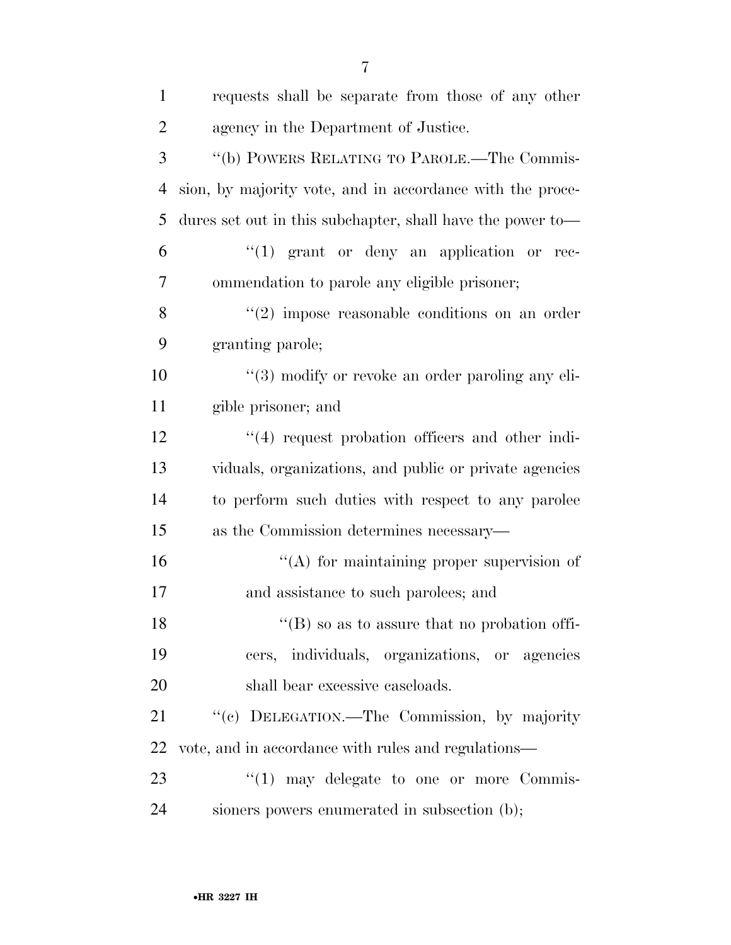| $\mathbf{1}$   | requests shall be separate from those of any other         |
|----------------|------------------------------------------------------------|
| $\overline{2}$ | agency in the Department of Justice.                       |
| 3              | "(b) POWERS RELATING TO PAROLE.—The Commis-                |
| $\overline{4}$ | sion, by majority vote, and in accordance with the proce-  |
| 5              | dures set out in this subchapter, shall have the power to- |
| 6              | $\lq(1)$ grant or deny an application or rec-              |
| 7              | ommendation to parole any eligible prisoner;               |
| 8              | $(2)$ impose reasonable conditions on an order             |
| 9              | granting parole;                                           |
| 10             | $\lq(3)$ modify or revoke an order paroling any eli-       |
| 11             | gible prisoner; and                                        |
| 12             | $\cdot$ (4) request probation officers and other indi-     |
| 13             | viduals, organizations, and public or private agencies     |
| 14             | to perform such duties with respect to any parolee         |
| 15             | as the Commission determines necessary—                    |
| 16             | "(A) for maintaining proper supervision of                 |
| 17             | and assistance to such parolees; and                       |
| 18             | $\lq\lq (B)$ so as to assure that no probation of fi-      |
| 19             | cers, individuals, organizations, or agencies              |
| 20             | shall bear excessive caseloads.                            |
| 21             | "(c) DELEGATION.—The Commission, by majority               |
| 22             | vote, and in accordance with rules and regulations—        |
| 23             | $\lq(1)$ may delegate to one or more Commis-               |
| 24             | sioners powers enumerated in subsection (b);               |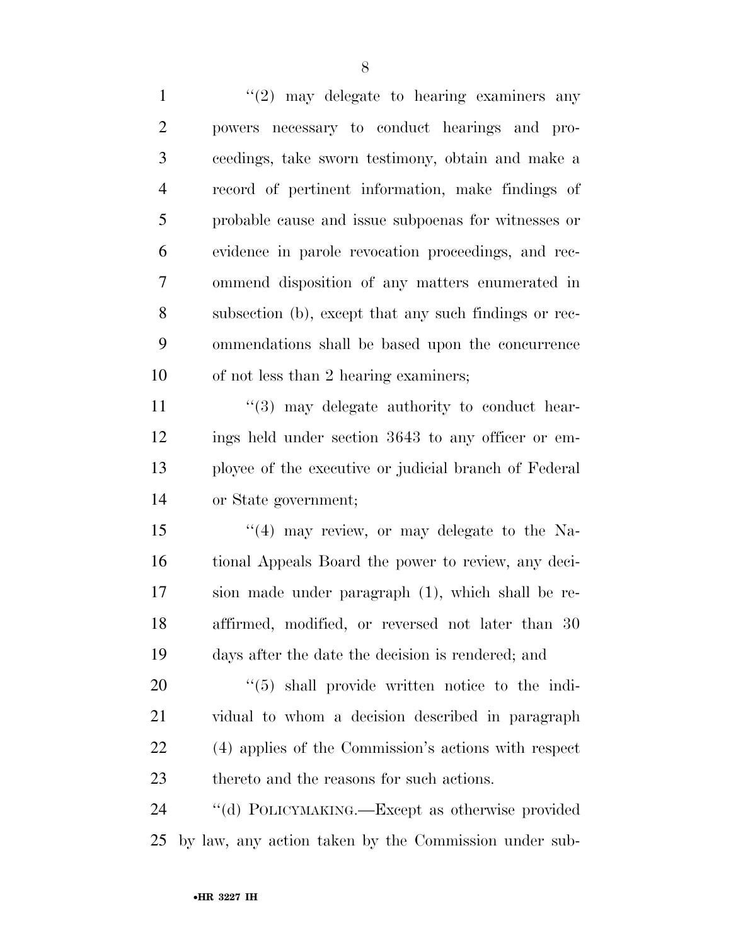$\frac{1}{2}$  may delegate to hearing examiners any powers necessary to conduct hearings and pro- ceedings, take sworn testimony, obtain and make a record of pertinent information, make findings of probable cause and issue subpoenas for witnesses or evidence in parole revocation proceedings, and rec- ommend disposition of any matters enumerated in subsection (b), except that any such findings or rec- ommendations shall be based upon the concurrence of not less than 2 hearing examiners;  $\frac{1}{3}$  may delegate authority to conduct hear-

 ings held under section 3643 to any officer or em- ployee of the executive or judicial branch of Federal or State government;

 $\frac{15}{15}$  ''(4) may review, or may delegate to the Na- tional Appeals Board the power to review, any deci- sion made under paragraph (1), which shall be re- affirmed, modified, or reversed not later than 30 days after the date the decision is rendered; and

 $(5)$  shall provide written notice to the indi- vidual to whom a decision described in paragraph (4) applies of the Commission's actions with respect thereto and the reasons for such actions.

 ''(d) POLICYMAKING.—Except as otherwise provided by law, any action taken by the Commission under sub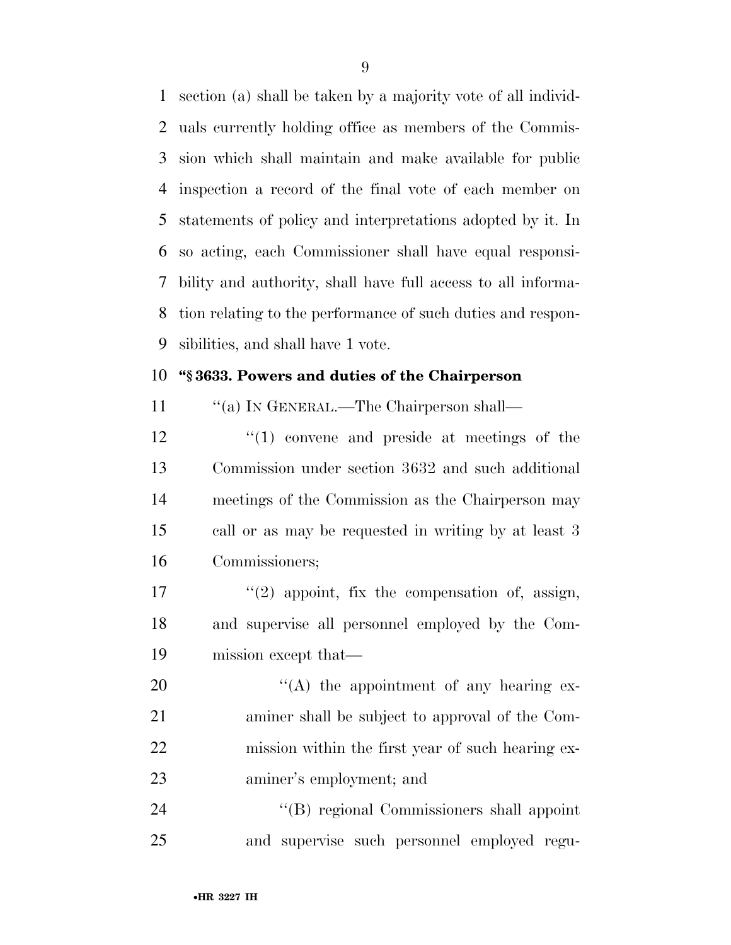section (a) shall be taken by a majority vote of all individ- uals currently holding office as members of the Commis- sion which shall maintain and make available for public inspection a record of the final vote of each member on statements of policy and interpretations adopted by it. In so acting, each Commissioner shall have equal responsi- bility and authority, shall have full access to all informa- tion relating to the performance of such duties and respon-sibilities, and shall have 1 vote.

#### **''§ 3633. Powers and duties of the Chairperson**

11 "(a) In GENERAL.—The Chairperson shall—

12 ''(1) convene and preside at meetings of the Commission under section 3632 and such additional meetings of the Commission as the Chairperson may call or as may be requested in writing by at least 3 Commissioners;

17  $\frac{1}{2}$  appoint, fix the compensation of, assign, and supervise all personnel employed by the Com-mission except that—

 $"({\rm A})$  the appointment of any hearing ex- aminer shall be subject to approval of the Com- mission within the first year of such hearing ex-aminer's employment; and

24 ''(B) regional Commissioners shall appoint and supervise such personnel employed regu-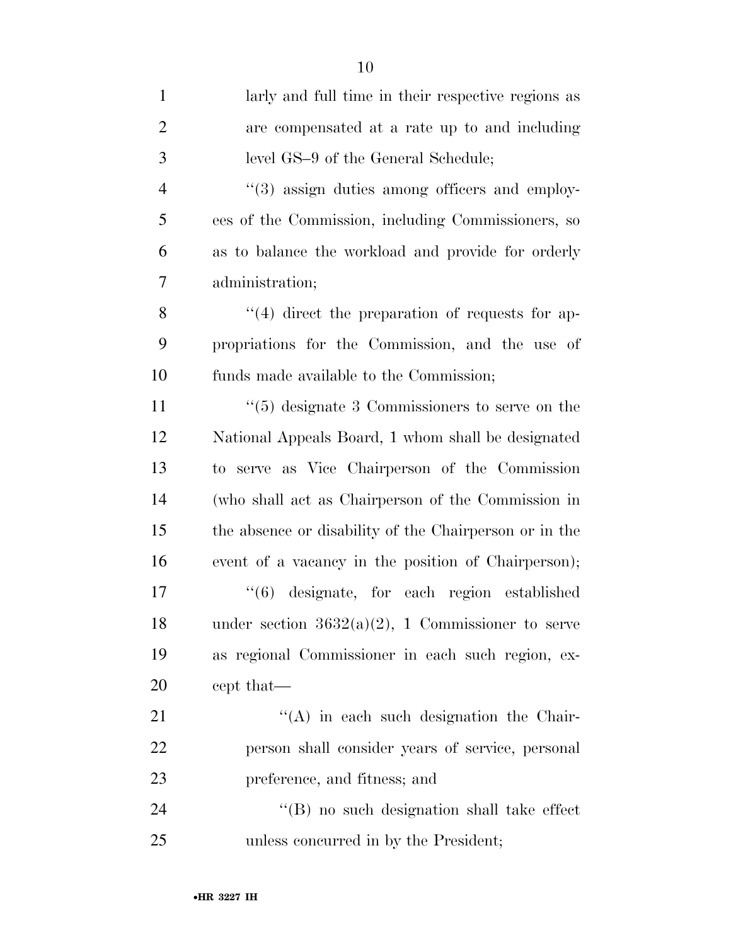| $\mathbf{1}$   | larly and full time in their respective regions as     |
|----------------|--------------------------------------------------------|
| $\overline{2}$ | are compensated at a rate up to and including          |
| 3              | level GS-9 of the General Schedule;                    |
| $\overline{4}$ | "(3) assign duties among officers and employ-          |
| 5              | ees of the Commission, including Commissioners, so     |
| 6              | as to balance the workload and provide for orderly     |
| 7              | administration;                                        |
| 8              | $\cdot$ (4) direct the preparation of requests for ap- |
| 9              | propriations for the Commission, and the use of        |
| 10             | funds made available to the Commission;                |
| 11             | $\lq(5)$ designate 3 Commissioners to serve on the     |
| 12             | National Appeals Board, 1 whom shall be designated     |
| 13             | to serve as Vice Chairperson of the Commission         |
| 14             | (who shall act as Chairperson of the Commission in     |
| 15             | the absence or disability of the Chairperson or in the |
| 16             | event of a vacancy in the position of Chairperson);    |
| 17             | "(6) designate, for each region established            |
| 18             | under section $3632(a)(2)$ , 1 Commissioner to serve   |
| 19             | as regional Commissioner in each such region, ex-      |
| <b>20</b>      | cept that—                                             |
| 21             | $\lq\lq$ in each such designation the Chair-           |
| <u>22</u>      | person shall consider years of service, personal       |
| 23             | preference, and fitness; and                           |
| 24             | "(B) no such designation shall take effect             |
| 25             | unless concurred in by the President;                  |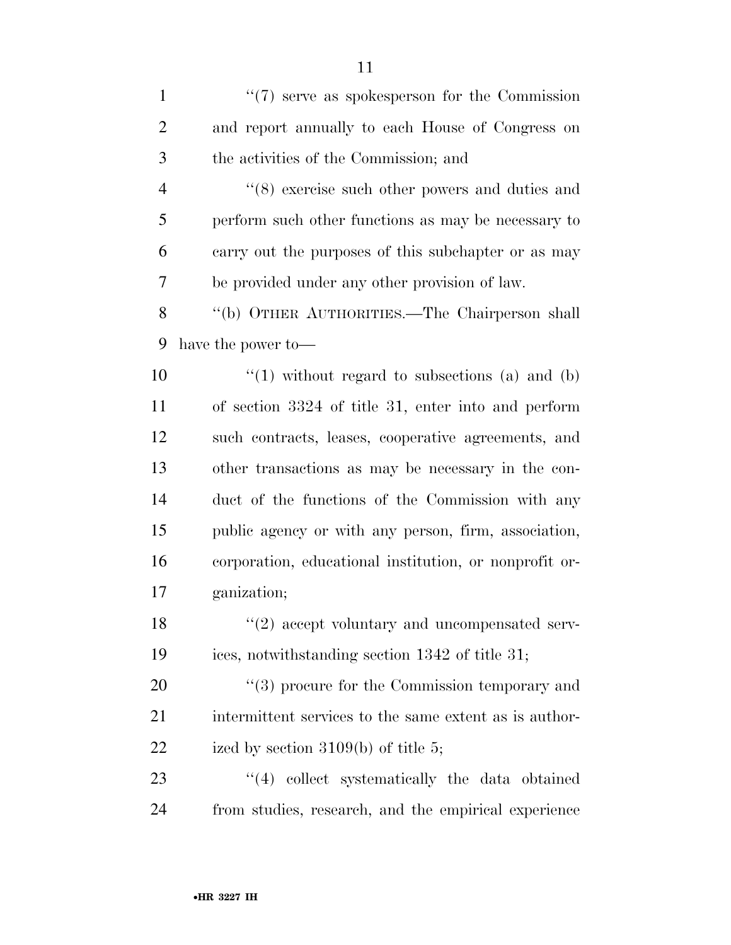1 ''(7) serve as spokesperson for the Commission and report annually to each House of Congress on the activities of the Commission; and ''(8) exercise such other powers and duties and perform such other functions as may be necessary to carry out the purposes of this subchapter or as may be provided under any other provision of law. ''(b) OTHER AUTHORITIES.—The Chairperson shall have the power to—  $\frac{10}{10}$  without regard to subsections (a) and (b) of section 3324 of title 31, enter into and perform such contracts, leases, cooperative agreements, and other transactions as may be necessary in the con- duct of the functions of the Commission with any public agency or with any person, firm, association, corporation, educational institution, or nonprofit or- ganization; 18 ''(2) accept voluntary and uncompensated serv- ices, notwithstanding section 1342 of title 31;  $\frac{1}{20}$  (3) procure for the Commission temporary and 21 intermittent services to the same extent as is author-22 ized by section 3109(b) of title 5; 23 ''(4) collect systematically the data obtained from studies, research, and the empirical experience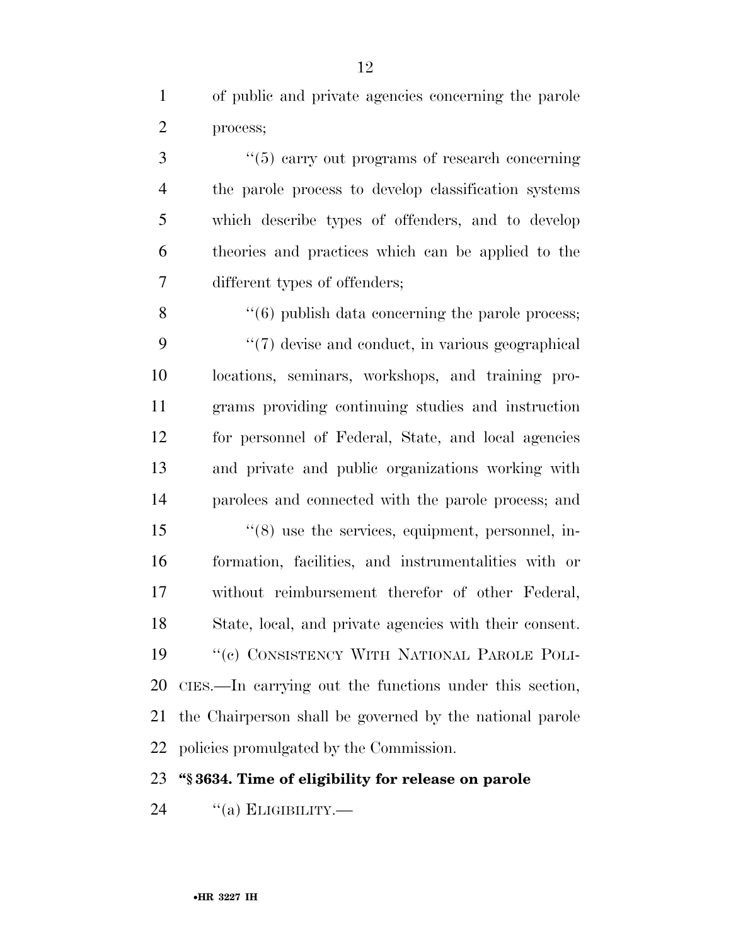of public and private agencies concerning the parole process;

3 (5) carry out programs of research concerning the parole process to develop classification systems which describe types of offenders, and to develop theories and practices which can be applied to the different types of offenders;

8 ''(6) publish data concerning the parole process; 9 ''(7) devise and conduct, in various geographical locations, seminars, workshops, and training pro- grams providing continuing studies and instruction for personnel of Federal, State, and local agencies and private and public organizations working with parolees and connected with the parole process; and

 ''(8) use the services, equipment, personnel, in- formation, facilities, and instrumentalities with or without reimbursement therefor of other Federal, State, local, and private agencies with their consent. 19 <sup>"</sup>(c) CONSISTENCY WITH NATIONAL PAROLE POLI- CIES.—In carrying out the functions under this section, the Chairperson shall be governed by the national parole policies promulgated by the Commission.

#### **''§ 3634. Time of eligibility for release on parole**

 $(3)$  ELIGIBILITY.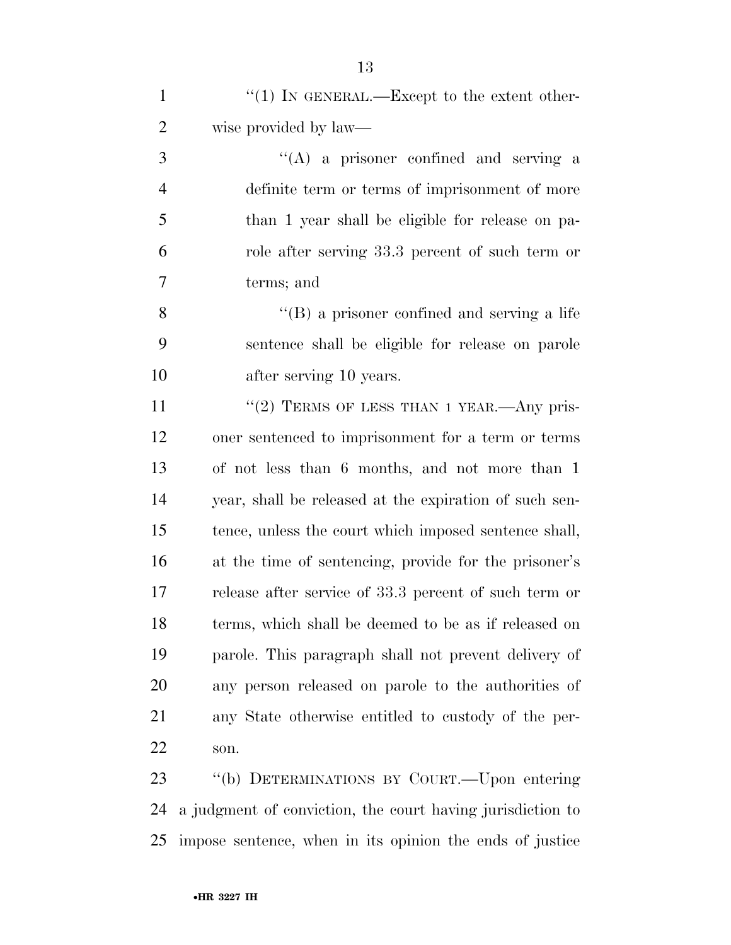1  $\frac{1}{1}$  In GENERAL.—Except to the extent other-wise provided by law—

 ''(A) a prisoner confined and serving a definite term or terms of imprisonment of more than 1 year shall be eligible for release on pa- role after serving 33.3 percent of such term or terms; and

 ''(B) a prisoner confined and serving a life sentence shall be eligible for release on parole after serving 10 years.

11 "(2) TERMS OF LESS THAN 1 YEAR.—Any pris- oner sentenced to imprisonment for a term or terms of not less than 6 months, and not more than 1 year, shall be released at the expiration of such sen- tence, unless the court which imposed sentence shall, at the time of sentencing, provide for the prisoner's release after service of 33.3 percent of such term or terms, which shall be deemed to be as if released on parole. This paragraph shall not prevent delivery of any person released on parole to the authorities of any State otherwise entitled to custody of the per-son.

 ''(b) DETERMINATIONS BY COURT.—Upon entering a judgment of conviction, the court having jurisdiction to impose sentence, when in its opinion the ends of justice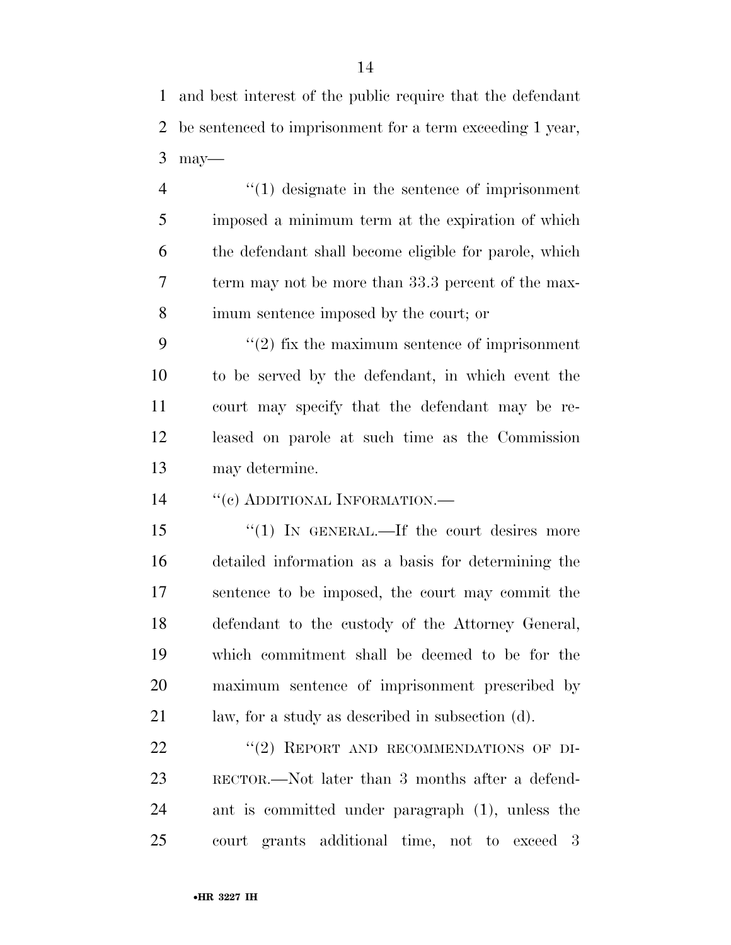and best interest of the public require that the defendant be sentenced to imprisonment for a term exceeding 1 year, may—

 ''(1) designate in the sentence of imprisonment imposed a minimum term at the expiration of which the defendant shall become eligible for parole, which term may not be more than 33.3 percent of the max-imum sentence imposed by the court; or

 $(2)$  fix the maximum sentence of imprisonment to be served by the defendant, in which event the court may specify that the defendant may be re- leased on parole at such time as the Commission may determine.

14 "(c) ADDITIONAL INFORMATION.—

15 "(1) IN GENERAL.—If the court desires more detailed information as a basis for determining the sentence to be imposed, the court may commit the defendant to the custody of the Attorney General, which commitment shall be deemed to be for the maximum sentence of imprisonment prescribed by law, for a study as described in subsection (d).

22 "(2) REPORT AND RECOMMENDATIONS OF DI- RECTOR.—Not later than 3 months after a defend- ant is committed under paragraph (1), unless the court grants additional time, not to exceed 3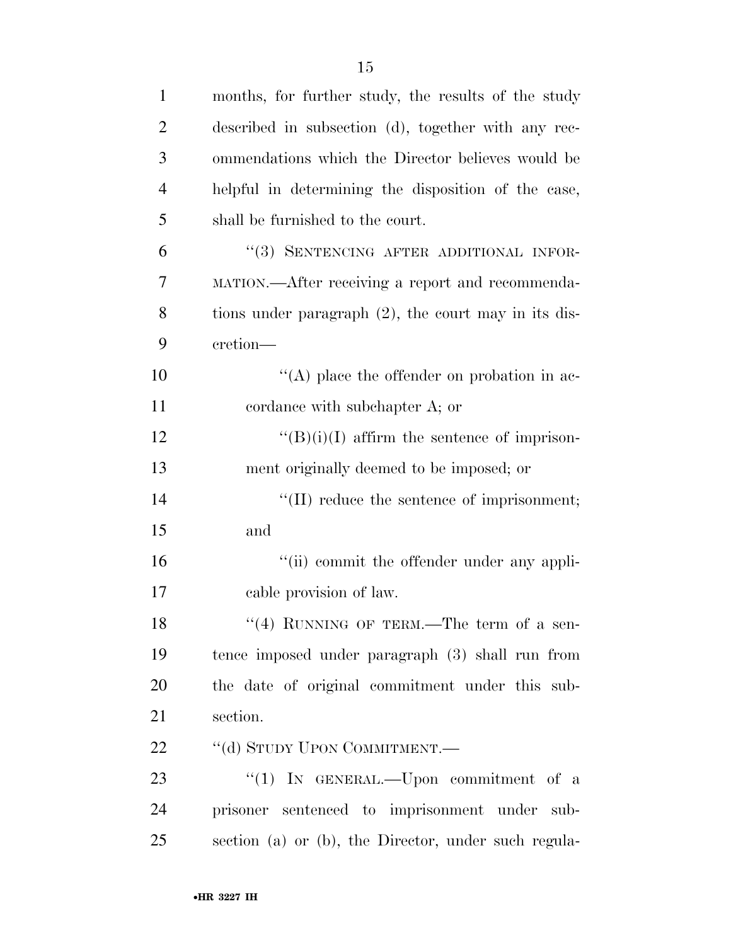| $\mathbf{1}$   | months, for further study, the results of the study     |
|----------------|---------------------------------------------------------|
| $\overline{2}$ | described in subsection (d), together with any rec-     |
| 3              | ommendations which the Director believes would be       |
| $\overline{4}$ | helpful in determining the disposition of the case,     |
| 5              | shall be furnished to the court.                        |
| 6              | "(3) SENTENCING AFTER ADDITIONAL INFOR-                 |
| 7              | MATION.—After receiving a report and recommenda-        |
| 8              | tions under paragraph $(2)$ , the court may in its dis- |
| 9              | cretion-                                                |
| 10             | $\lq\lq$ place the offender on probation in ac-         |
| 11             | cordance with subchapter A; or                          |
| 12             | $\lq\lq (B)(i)(I)$ affirm the sentence of imprison-     |
| 13             | ment originally deemed to be imposed; or                |
| 14             | $\lq\lq$ (II) reduce the sentence of imprisonment;      |
| 15             | and                                                     |
| 16             | "(ii) commit the offender under any appli-              |
| 17             | cable provision of law.                                 |
| 18             | "(4) RUNNING OF TERM.—The term of a sen-                |
| 19             | tence imposed under paragraph (3) shall run from        |
| 20             | the date of original commitment under this sub-         |
| 21             | section.                                                |
| 22             | "(d) STUDY UPON COMMITMENT.—                            |
| 23             | "(1) IN GENERAL.—Upon commitment of a                   |
| 24             | prisoner sentenced to imprisonment under sub-           |
| 25             | section (a) or (b), the Director, under such regula-    |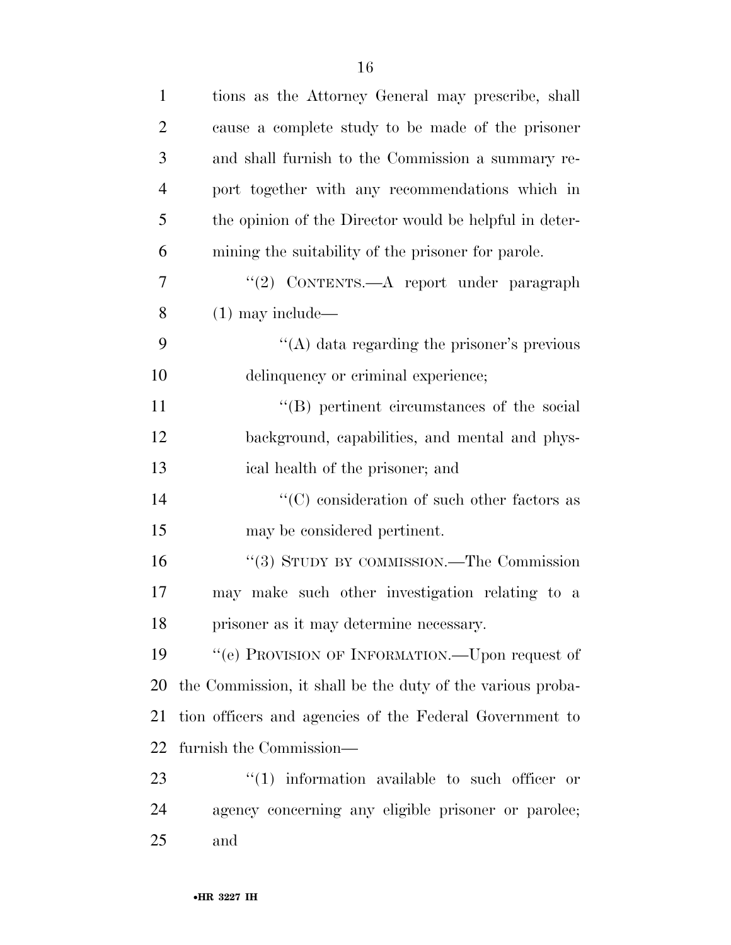| $\mathbf{1}$   | tions as the Attorney General may prescribe, shall         |
|----------------|------------------------------------------------------------|
| $\overline{2}$ | cause a complete study to be made of the prisoner          |
| 3              | and shall furnish to the Commission a summary re-          |
| 4              | port together with any recommendations which in            |
| 5              | the opinion of the Director would be helpful in deter-     |
| 6              | mining the suitability of the prisoner for parole.         |
| 7              | "(2) CONTENTS.—A report under paragraph                    |
| 8              | $(1)$ may include—                                         |
| 9              | "(A) data regarding the prisoner's previous                |
| 10             | delinquency or criminal experience;                        |
| 11             | "(B) pertinent circumstances of the social                 |
| 12             | background, capabilities, and mental and phys-             |
| 13             | ical health of the prisoner; and                           |
| 14             | $\lq\lq$ consideration of such other factors as            |
| 15             | may be considered pertinent.                               |
| 16             | "(3) STUDY BY COMMISSION.—The Commission                   |
| 17             | may make such other investigation relating to a            |
| 18             | prisoner as it may determine necessary.                    |
| 19             | $\lq\lq (e)$ PROVISION OF INFORMATION.—Upon request of     |
| 20             | the Commission, it shall be the duty of the various proba- |
| 21             | tion officers and agencies of the Federal Government to    |
| 22             | furnish the Commission—                                    |
| 23             | $\lq(1)$ information available to such officer or          |
| 24             | agency concerning any eligible prisoner or parolee;        |
| 25             | and                                                        |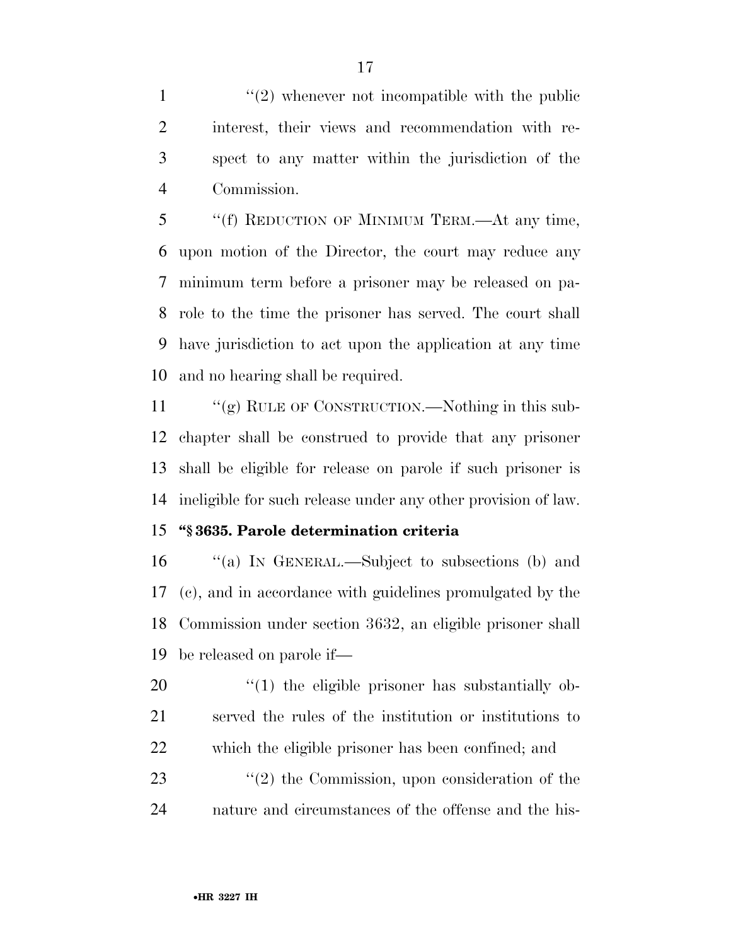$\frac{1}{2}$  whenever not incompatible with the public interest, their views and recommendation with re- spect to any matter within the jurisdiction of the Commission.

 ''(f) REDUCTION OF MINIMUM TERM.—At any time, upon motion of the Director, the court may reduce any minimum term before a prisoner may be released on pa- role to the time the prisoner has served. The court shall have jurisdiction to act upon the application at any time and no hearing shall be required.

11 ""(g) RULE OF CONSTRUCTION.—Nothing in this sub- chapter shall be construed to provide that any prisoner shall be eligible for release on parole if such prisoner is ineligible for such release under any other provision of law.

#### **''§ 3635. Parole determination criteria**

 ''(a) IN GENERAL.—Subject to subsections (b) and (c), and in accordance with guidelines promulgated by the Commission under section 3632, an eligible prisoner shall be released on parole if—

  $\qquad$   $\qquad$   $\qquad$   $\qquad$   $\qquad$   $\qquad$   $\qquad$   $\qquad$   $\qquad$   $\qquad$   $\qquad$   $\qquad$   $\qquad$   $\qquad$   $\qquad$   $\qquad$   $\qquad$   $\qquad$   $\qquad$   $\qquad$   $\qquad$   $\qquad$   $\qquad$   $\qquad$   $\qquad$   $\qquad$   $\qquad$   $\qquad$   $\qquad$   $\qquad$   $\qquad$   $\qquad$   $\qquad$   $\qquad$   $\qquad$   $\qquad$  served the rules of the institution or institutions to which the eligible prisoner has been confined; and

23 ''(2) the Commission, upon consideration of the nature and circumstances of the offense and the his-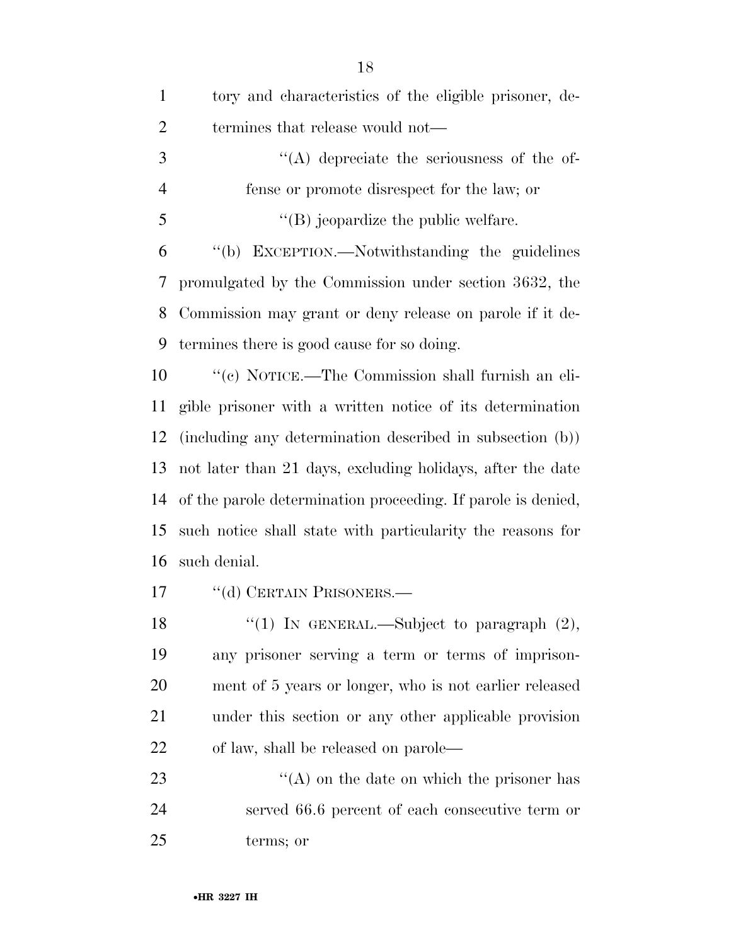| $\mathbf{1}$   | tory and characteristics of the eligible prisoner, de-       |
|----------------|--------------------------------------------------------------|
| $\overline{2}$ | termines that release would not—                             |
| 3              | $\lq\lq$ depreciate the seriousness of the of-               |
| $\overline{4}$ | fense or promote disrespect for the law; or                  |
| 5              | $\lq\lq$ (B) jeopardize the public welfare.                  |
| 6              | "(b) EXCEPTION.—Notwithstanding the guidelines               |
| 7              | promulgated by the Commission under section 3632, the        |
| 8              | Commission may grant or deny release on parole if it de-     |
| 9              | termines there is good cause for so doing.                   |
| 10             | "(c) NOTICE.—The Commission shall furnish an eli-            |
| 11             | gible prisoner with a written notice of its determination    |
| 12             | (including any determination described in subsection (b))    |
| 13             | not later than 21 days, excluding holidays, after the date   |
| 14             | of the parole determination proceeding. If parole is denied, |
| 15             | such notice shall state with particularity the reasons for   |
| 16             | such denial.                                                 |
| 17             | "(d) CERTAIN PRISONERS.—                                     |
| 18             | "(1) In GENERAL.—Subject to paragraph $(2)$ ,                |
| 19             | any prisoner serving a term or terms of imprison-            |
| 20             | ment of 5 years or longer, who is not earlier released       |
| 21             | under this section or any other applicable provision         |
| 22             | of law, shall be released on parole—                         |
| 23             | $\lq\lq$ on the date on which the prisoner has               |
| 24             | served 66.6 percent of each consecutive term or              |
| 25             | terms; or                                                    |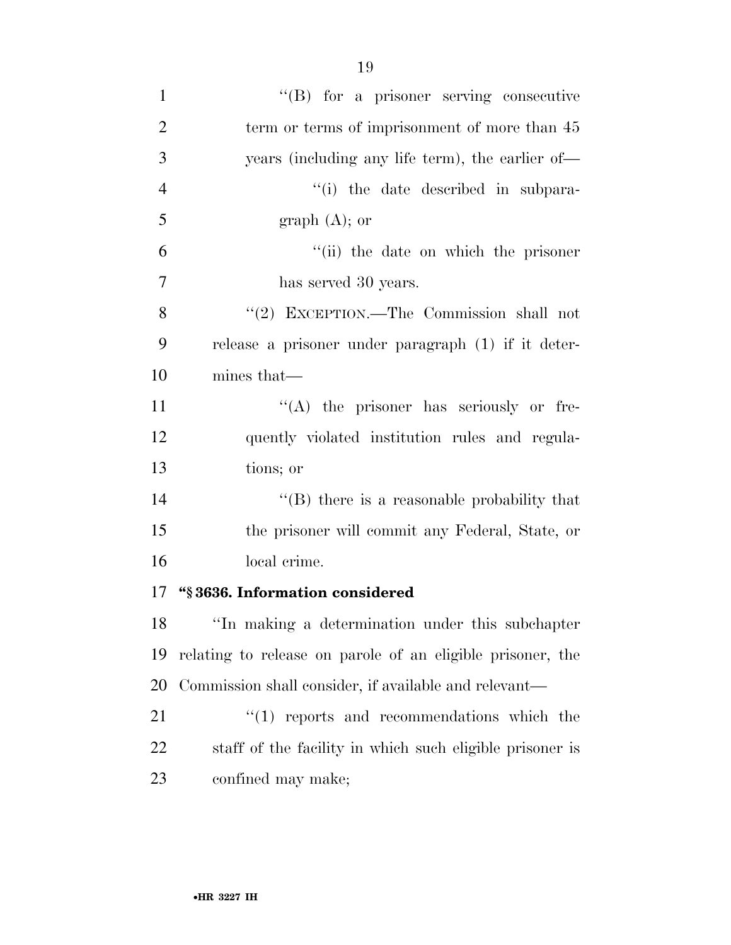| $\mathbf{1}$   | $\lq\lq(B)$ for a prisoner serving consecutive             |
|----------------|------------------------------------------------------------|
| $\overline{2}$ | term or terms of imprisonment of more than 45              |
| 3              | years (including any life term), the earlier of—           |
| $\overline{4}$ | "(i) the date described in subpara-                        |
| 5              | graph $(A)$ ; or                                           |
| 6              | "(ii) the date on which the prisoner                       |
| $\overline{7}$ | has served 30 years.                                       |
| 8              | "(2) EXCEPTION.—The Commission shall not                   |
| 9              | release a prisoner under paragraph (1) if it deter-        |
| 10             | mines that—                                                |
| 11             | $\lq\lq$ the prisoner has seriously or fre-                |
| 12             | quently violated institution rules and regula-             |
| 13             | tions; or                                                  |
| 14             | $\lq\lq$ there is a reasonable probability that            |
| 15             | the prisoner will commit any Federal, State, or            |
| 16             | local crime.                                               |
| 17             | "§3636. Information considered                             |
| 18             | "In making a determination under this subchapter           |
| 19             | relating to release on parole of an eligible prisoner, the |
| 20             | Commission shall consider, if available and relevant—      |
| 21             | $\cdot$ (1) reports and recommendations which the          |
| 22             | staff of the facility in which such eligible prisoner is   |
| 23             | confined may make;                                         |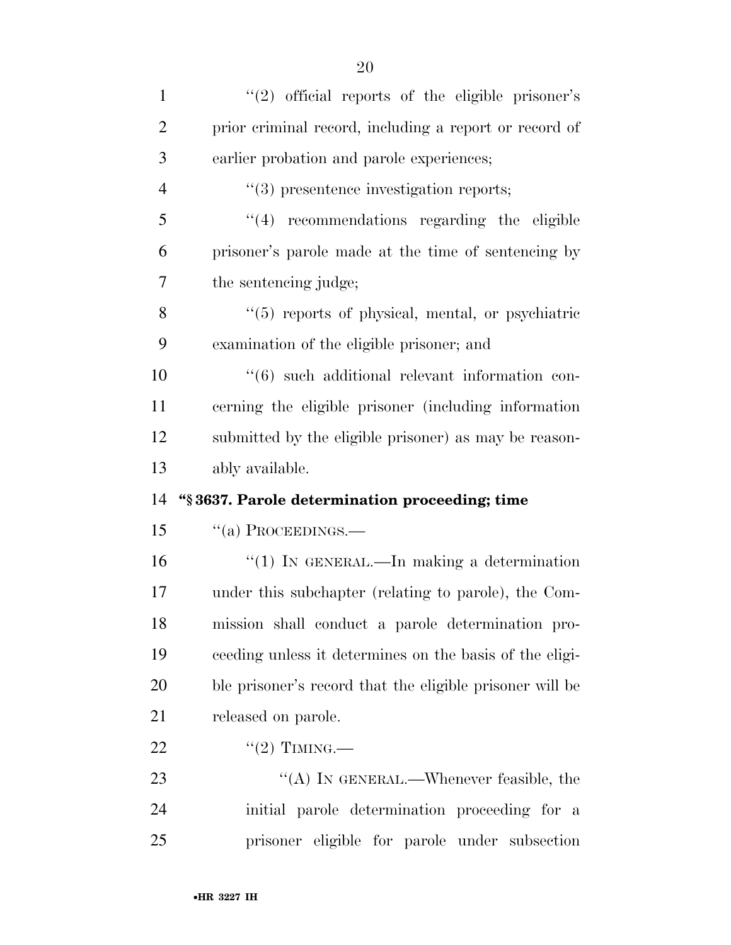| $\mathbf{1}$   | "(2) official reports of the eligible prisoner's         |
|----------------|----------------------------------------------------------|
| $\overline{2}$ | prior criminal record, including a report or record of   |
| 3              | earlier probation and parole experiences;                |
| $\overline{4}$ | $\lq(3)$ presentence investigation reports;              |
| 5              | $"(4)$ recommendations regarding the eligible            |
| 6              | prisoner's parole made at the time of sentencing by      |
| 7              | the sentencing judge;                                    |
| 8              | "(5) reports of physical, mental, or psychiatric         |
| 9              | examination of the eligible prisoner; and                |
| 10             | "(6) such additional relevant information con-           |
| 11             | cerning the eligible prisoner (including information     |
| 12             | submitted by the eligible prisoner) as may be reason-    |
|                |                                                          |
| 13             | ably available.                                          |
| 14             | "§3637. Parole determination proceeding; time            |
| 15             | $``(a)$ PROCEEDINGS.—                                    |
| 16             | " $(1)$ In GENERAL.—In making a determination            |
| 17             | under this subchapter (relating to parole), the Com-     |
| 18             | mission shall conduct a parole determination pro-        |
| 19             | ceeding unless it determines on the basis of the eligi-  |
| 20             | ble prisoner's record that the eligible prisoner will be |
| 21             | released on parole.                                      |
| 22             | $``(2)$ TIMING.—                                         |
| 23             | "(A) IN GENERAL.—Whenever feasible, the                  |
| 24             | initial parole determination proceeding for a            |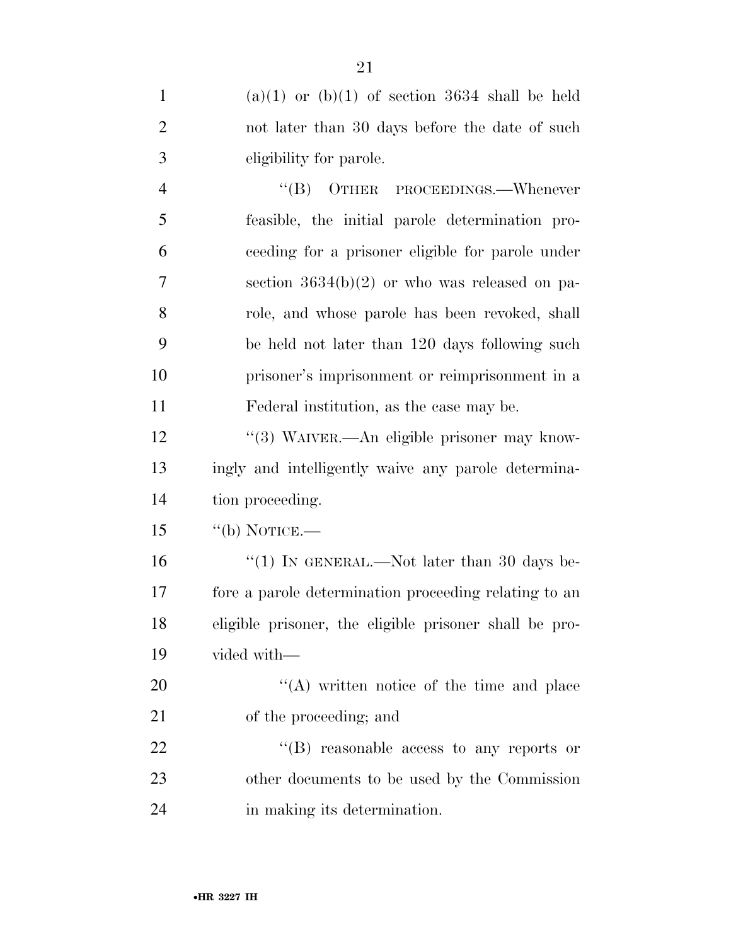| $\mathbf{1}$   | $(a)(1)$ or $(b)(1)$ of section 3634 shall be held     |
|----------------|--------------------------------------------------------|
| $\overline{2}$ | not later than 30 days before the date of such         |
| 3              | eligibility for parole.                                |
| $\overline{4}$ | "(B) OTHER PROCEEDINGS.—Whenever                       |
| 5              | feasible, the initial parole determination pro-        |
| 6              | ceeding for a prisoner eligible for parole under       |
| 7              | section $3634(b)(2)$ or who was released on pa-        |
| 8              | role, and whose parole has been revoked, shall         |
| 9              | be held not later than 120 days following such         |
| 10             | prisoner's imprisonment or reimprisonment in a         |
| 11             | Federal institution, as the case may be.               |
| 12             | "(3) WAIVER.—An eligible prisoner may know-            |
| 13             | ingly and intelligently waive any parole determina-    |
| 14             | tion proceeding.                                       |
| 15             | $``$ (b) NOTICE.—                                      |
| 16             | "(1) IN GENERAL.—Not later than 30 days be-            |
| 17             | fore a parole determination proceeding relating to an  |
| 18             | eligible prisoner, the eligible prisoner shall be pro- |
| 19             | vided with-                                            |
| 20             | $\lq\lq$ written notice of the time and place          |
| 21             | of the proceeding; and                                 |
| 22             | $\lq\lq$ reasonable access to any reports or           |
| 23             | other documents to be used by the Commission           |
| 24             | in making its determination.                           |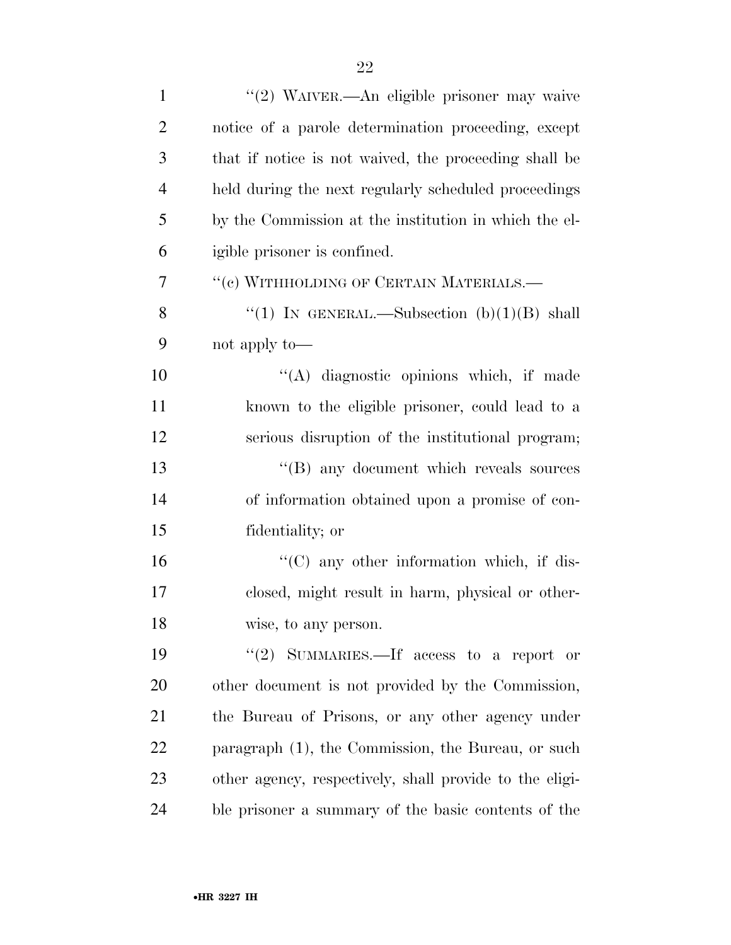| $\mathbf{1}$   | "(2) WAIVER.—An eligible prisoner may waive             |
|----------------|---------------------------------------------------------|
| $\overline{2}$ | notice of a parole determination proceeding, except     |
| 3              | that if notice is not waived, the proceeding shall be   |
| $\overline{4}$ | held during the next regularly scheduled proceedings    |
| 5              | by the Commission at the institution in which the el-   |
| 6              | igible prisoner is confined.                            |
| 7              | "(c) WITHHOLDING OF CERTAIN MATERIALS.-                 |
| 8              | "(1) IN GENERAL.—Subsection $(b)(1)(B)$ shall           |
| 9              | not apply to—                                           |
| 10             | "(A) diagnostic opinions which, if made                 |
| 11             | known to the eligible prisoner, could lead to a         |
| 12             | serious disruption of the institutional program;        |
| 13             | "(B) any document which reveals sources                 |
| 14             | of information obtained upon a promise of con-          |
| 15             | fidentiality; or                                        |
| 16             | $\lq\lq$ (C) any other information which, if dis-       |
| 17             | closed, might result in harm, physical or other-        |
| 18             | wise, to any person.                                    |
| 19             | "(2) SUMMARIES.—If access to a report or                |
| 20             | other document is not provided by the Commission,       |
| 21             | the Bureau of Prisons, or any other agency under        |
| 22             | paragraph (1), the Commission, the Bureau, or such      |
| 23             | other agency, respectively, shall provide to the eligi- |
| 24             | ble prisoner a summary of the basic contents of the     |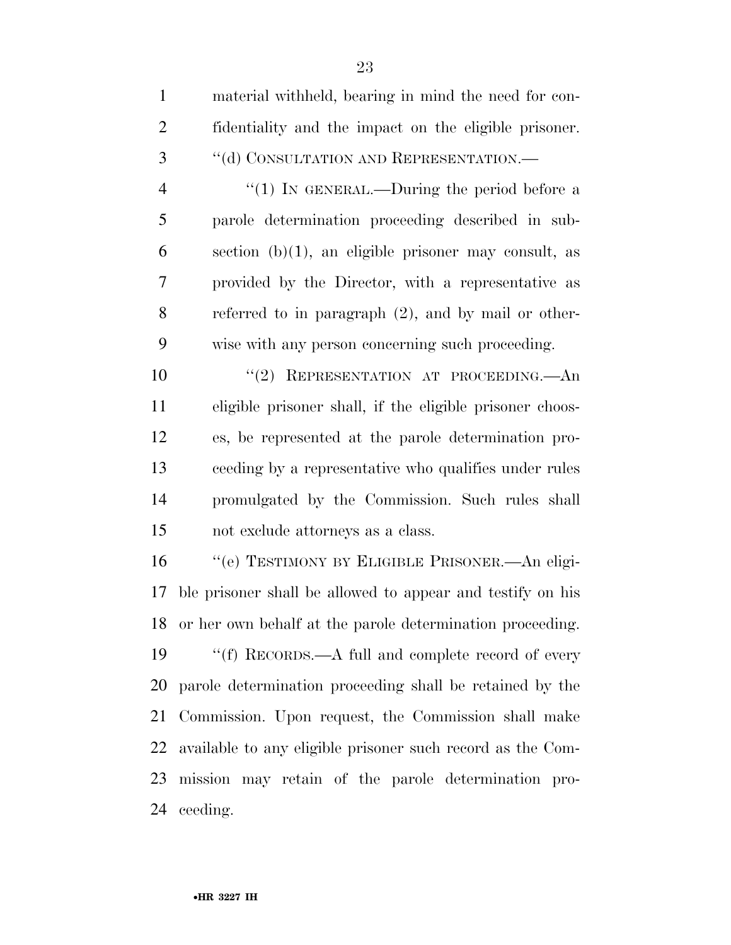| $\mathbf{1}$   | material withheld, bearing in mind the need for con-       |
|----------------|------------------------------------------------------------|
| $\overline{2}$ | fidentiality and the impact on the eligible prisoner.      |
| 3              | "(d) CONSULTATION AND REPRESENTATION.-                     |
| $\overline{4}$ | "(1) IN GENERAL.—During the period before a                |
| 5              | parole determination proceeding described in sub-          |
| 6              | section $(b)(1)$ , an eligible prisoner may consult, as    |
| 7              | provided by the Director, with a representative as         |
| 8              | referred to in paragraph $(2)$ , and by mail or other-     |
| 9              | wise with any person concerning such proceeding.           |
| 10             | "(2) REPRESENTATION AT PROCEEDING.—An                      |
| 11             | eligible prisoner shall, if the eligible prisoner choos-   |
| 12             | es, be represented at the parole determination pro-        |
| 13             | ceeding by a representative who qualifies under rules      |
| 14             | promulgated by the Commission. Such rules shall            |
| 15             | not exclude attorneys as a class.                          |
| 16             | "(e) TESTIMONY BY ELIGIBLE PRISONER.- An eligi-            |
| 17             | ble prisoner shall be allowed to appear and testify on his |
| 18             | or her own behalf at the parole determination proceeding.  |
| 19             | "(f) RECORDS.— $A$ full and complete record of every       |
| 20             | parole determination proceeding shall be retained by the   |
| 21             | Commission. Upon request, the Commission shall make        |
|                |                                                            |

 available to any eligible prisoner such record as the Com- mission may retain of the parole determination pro-ceeding.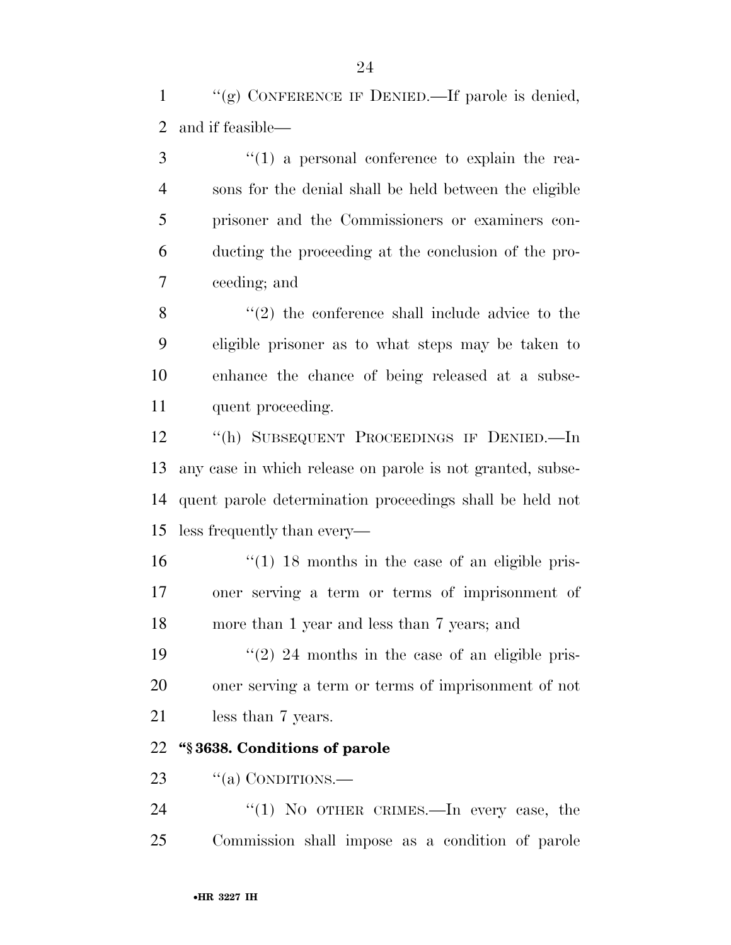1  $\langle \langle \mathbf{g} \rangle$  CONFERENCE IF DENIED.—If parole is denied, and if feasible—

3 (1) a personal conference to explain the rea- sons for the denial shall be held between the eligible prisoner and the Commissioners or examiners con- ducting the proceeding at the conclusion of the pro-ceeding; and

8 "(2) the conference shall include advice to the eligible prisoner as to what steps may be taken to enhance the chance of being released at a subse-quent proceeding.

 ''(h) SUBSEQUENT PROCEEDINGS IF DENIED.—In any case in which release on parole is not granted, subse- quent parole determination proceedings shall be held not less frequently than every—

 ''(1) 18 months in the case of an eligible pris- oner serving a term or terms of imprisonment of more than 1 year and less than 7 years; and

19  $\frac{1}{2}$   $\frac{24}{2}$  months in the case of an eligible pris- oner serving a term or terms of imprisonment of not less than 7 years.

#### **''§ 3638. Conditions of parole**

23  $\frac{1}{2}$   $\frac{1}{2}$  CONDITIONS.

24 "(1) No OTHER CRIMES.—In every case, the Commission shall impose as a condition of parole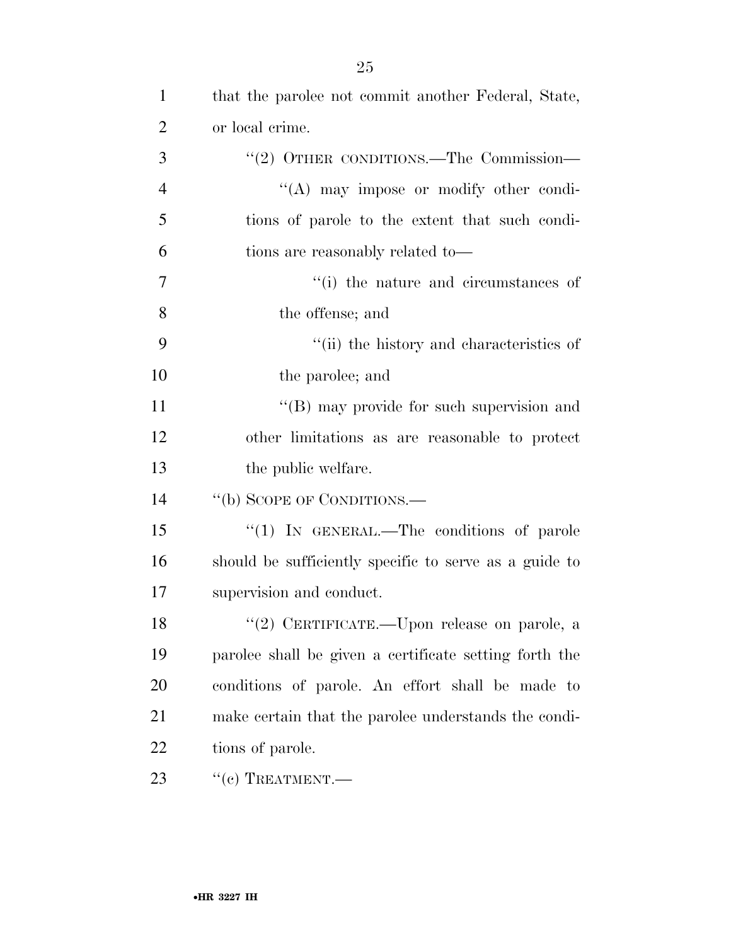| $\mathbf{1}$   | that the parolee not commit another Federal, State,    |
|----------------|--------------------------------------------------------|
| $\overline{2}$ | or local crime.                                        |
| 3              | "(2) OTHER CONDITIONS.—The Commission—                 |
| $\overline{4}$ | $\lq\lq$ may impose or modify other condi-             |
| 5              | tions of parole to the extent that such condi-         |
| 6              | tions are reasonably related to—                       |
| $\overline{7}$ | "(i) the nature and circumstances of                   |
| 8              | the offense; and                                       |
| 9              | "(ii) the history and characteristics of               |
| 10             | the parolee; and                                       |
| 11             | "(B) may provide for such supervision and              |
| 12             | other limitations as are reasonable to protect         |
| 13             | the public welfare.                                    |
| 14             | "(b) SCOPE OF CONDITIONS.—                             |
| 15             | "(1) IN GENERAL.—The conditions of parole              |
| 16             | should be sufficiently specific to serve as a guide to |
| 17             | supervision and conduct.                               |
| 18             | "(2) CERTIFICATE.—Upon release on parole, a            |
| 19             | parolee shall be given a certificate setting forth the |
| 20             | conditions of parole. An effort shall be made to       |
| 21             | make certain that the parolee understands the condi-   |
| 22             | tions of parole.                                       |
| 23             | $``(c)$ TREATMENT.—                                    |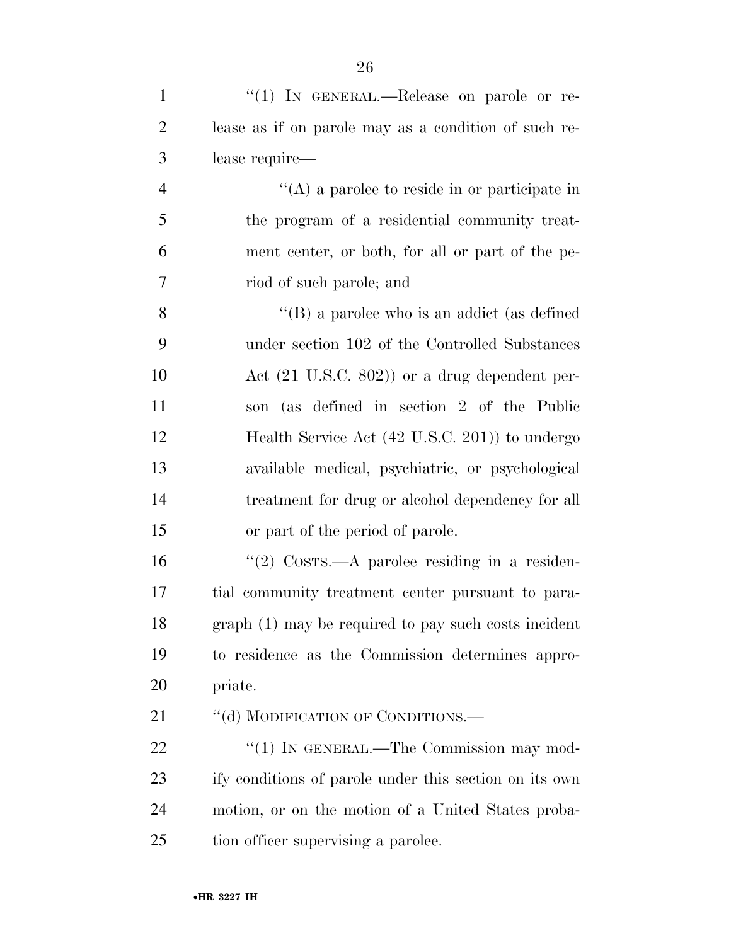| $\mathbf{1}$   | "(1) IN GENERAL.—Release on parole or re-                              |
|----------------|------------------------------------------------------------------------|
| $\overline{2}$ | lease as if on parole may as a condition of such re-                   |
| 3              | lease require—                                                         |
| $\overline{4}$ | $\lq\lq$ a parolee to reside in or participate in                      |
| 5              | the program of a residential community treat-                          |
| 6              | ment center, or both, for all or part of the pe-                       |
| 7              | riod of such parole; and                                               |
| 8              | $\lq\lq (B)$ a parolee who is an addict (as defined                    |
| 9              | under section 102 of the Controlled Substances                         |
| 10             | Act $(21 \text{ U.S.C. } 802)$ or a drug dependent per-                |
| 11             | son (as defined in section 2 of the Public                             |
| 12             | Health Service Act (42 U.S.C. 201)) to undergo                         |
| 13             | available medical, psychiatric, or psychological                       |
| 14             | treatment for drug or alcohol dependency for all                       |
| 15             | or part of the period of parole.                                       |
| 16             | "(2) $\text{Cosrs}\rightarrow \text{A}$ parolee residing in a residen- |
| 17             | tial community treatment center pursuant to para-                      |
| 18             | graph (1) may be required to pay such costs incident                   |
| 19             | to residence as the Commission determines appro-                       |
| 20             | priate.                                                                |
| 21             | "(d) MODIFICATION OF CONDITIONS.—                                      |
| 22             | "(1) IN GENERAL.—The Commission may mod-                               |
| 23             | ify conditions of parole under this section on its own                 |
| 24             | motion, or on the motion of a United States proba-                     |
| 25             | tion officer supervising a parolee.                                    |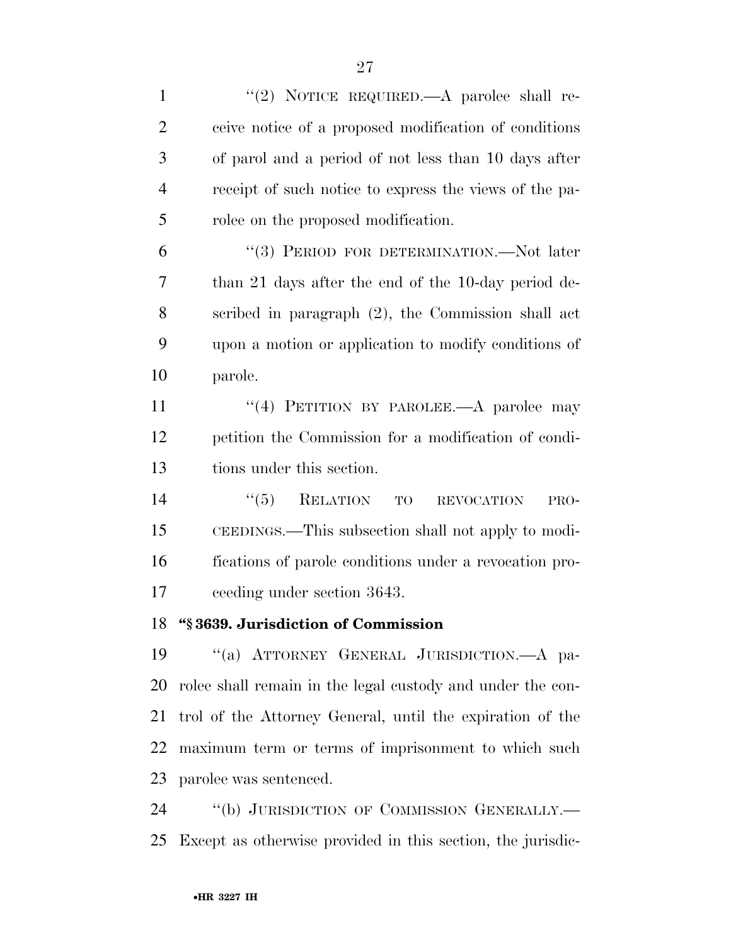| $\mathbf{1}$   | "(2) NOTICE REQUIRED.—A parolee shall re-                   |
|----------------|-------------------------------------------------------------|
| $\overline{2}$ | ceive notice of a proposed modification of conditions       |
| 3              | of parol and a period of not less than 10 days after        |
| $\overline{4}$ | receipt of such notice to express the views of the pa-      |
| 5              | rolee on the proposed modification.                         |
| 6              | "(3) PERIOD FOR DETERMINATION.—Not later                    |
| 7              | than 21 days after the end of the 10-day period de-         |
| 8              | scribed in paragraph (2), the Commission shall act          |
| 9              | upon a motion or application to modify conditions of        |
| 10             | parole.                                                     |
| 11             | "(4) PETITION BY PAROLEE.- A parolee may                    |
| 12             | petition the Commission for a modification of condi-        |
| 13             | tions under this section.                                   |
| 14             | RELATION TO<br>``(5)<br><b>REVOCATION</b><br>PRO-           |
| 15             | CEEDINGS.—This subsection shall not apply to modi-          |
| 16             | fications of parole conditions under a revocation pro-      |
| 17             | ceeding under section 3643.                                 |
| 18             | "§3639. Jurisdiction of Commission                          |
| 19             | "(a) ATTORNEY GENERAL JURISDICTION.- A pa-                  |
| 20             | rolee shall remain in the legal custody and under the con-  |
| 21             | trol of the Attorney General, until the expiration of the   |
| 22             | maximum term or terms of imprisonment to which such         |
| 23             | parolee was sentenced.                                      |
| 24             | "(b) JURISDICTION OF COMMISSION GENERALLY.—                 |
| 25             | Except as otherwise provided in this section, the jurisdic- |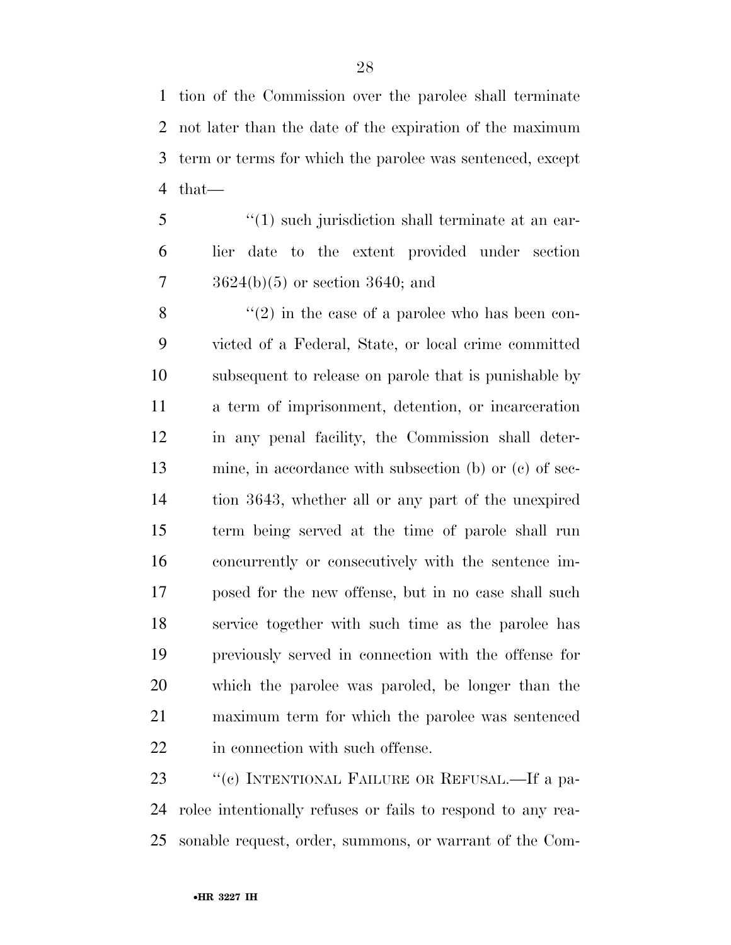tion of the Commission over the parolee shall terminate not later than the date of the expiration of the maximum term or terms for which the parolee was sentenced, except that—

5 ''(1) such jurisdiction shall terminate at an ear- lier date to the extent provided under section 3624(b)(5) or section 3640; and

 $\mathcal{S}$  ''(2) in the case of a parolee who has been con- victed of a Federal, State, or local crime committed subsequent to release on parole that is punishable by a term of imprisonment, detention, or incarceration in any penal facility, the Commission shall deter- mine, in accordance with subsection (b) or (c) of sec- tion 3643, whether all or any part of the unexpired term being served at the time of parole shall run concurrently or consecutively with the sentence im- posed for the new offense, but in no case shall such service together with such time as the parolee has previously served in connection with the offense for which the parolee was paroled, be longer than the maximum term for which the parolee was sentenced 22 in connection with such offense.

23 "(c) INTENTIONAL FAILURE OR REFUSAL.—If a pa- rolee intentionally refuses or fails to respond to any rea-sonable request, order, summons, or warrant of the Com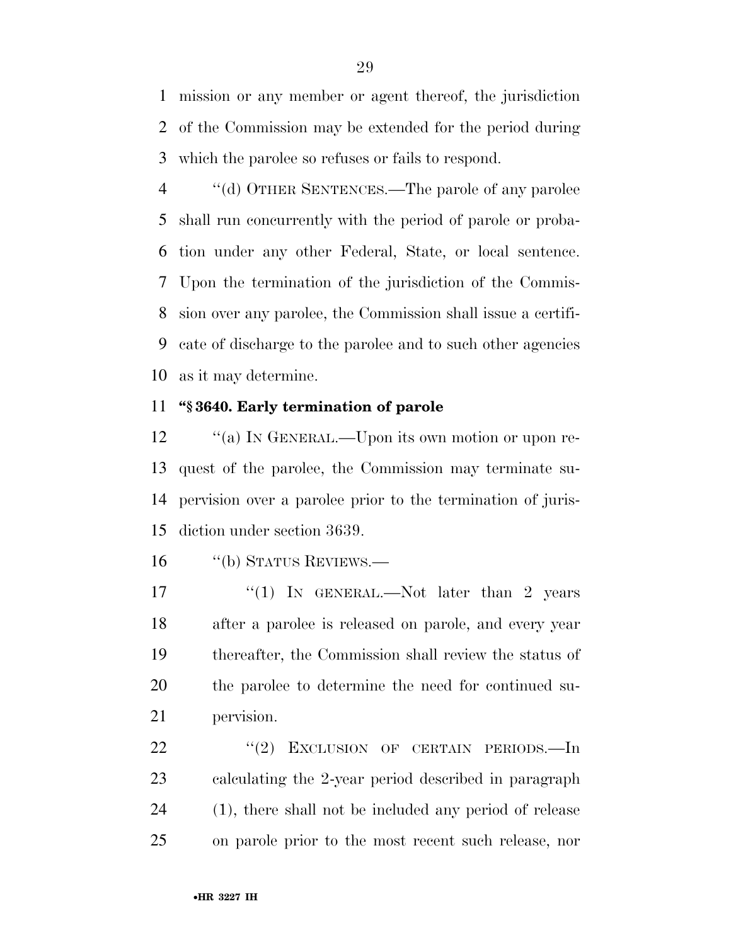mission or any member or agent thereof, the jurisdiction of the Commission may be extended for the period during which the parolee so refuses or fails to respond.

 ''(d) OTHER SENTENCES.—The parole of any parolee shall run concurrently with the period of parole or proba- tion under any other Federal, State, or local sentence. Upon the termination of the jurisdiction of the Commis- sion over any parolee, the Commission shall issue a certifi- cate of discharge to the parolee and to such other agencies as it may determine.

#### **''§ 3640. Early termination of parole**

12 "(a) In GENERAL.—Upon its own motion or upon re- quest of the parolee, the Commission may terminate su- pervision over a parolee prior to the termination of juris-diction under section 3639.

''(b) STATUS REVIEWS.—

17 "(1) IN GENERAL.—Not later than 2 years after a parolee is released on parole, and every year thereafter, the Commission shall review the status of the parolee to determine the need for continued su-pervision.

22 "(2) EXCLUSION OF CERTAIN PERIODS.—In calculating the 2-year period described in paragraph (1), there shall not be included any period of release on parole prior to the most recent such release, nor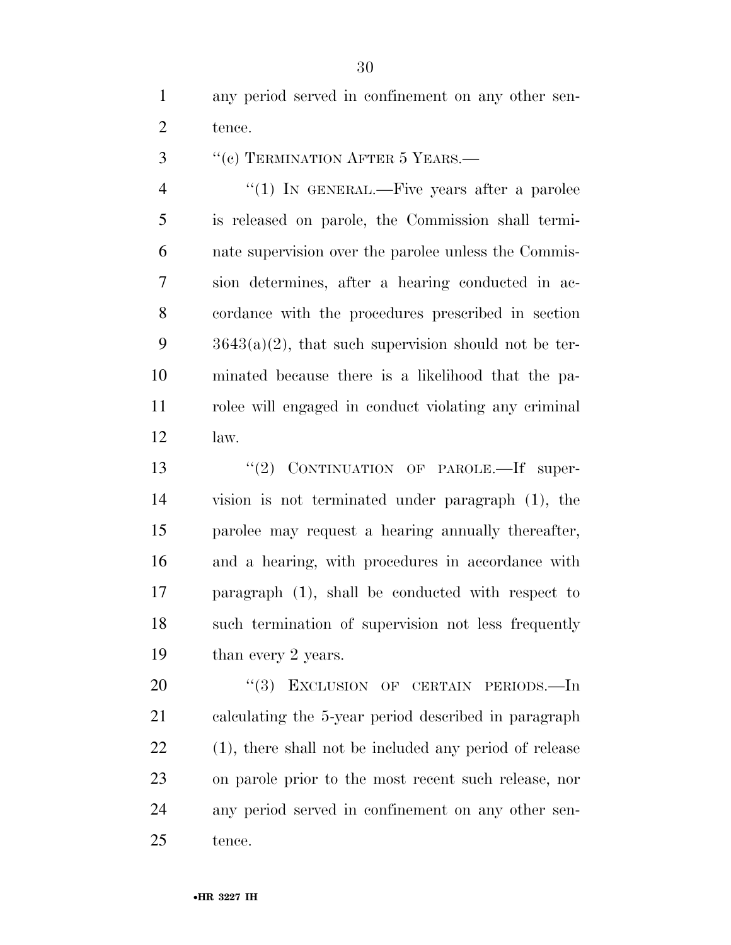any period served in confinement on any other sen-tence.

3 "(c) TERMINATION AFTER 5 YEARS.—

4 "(1) In GENERAL.—Five years after a parolee is released on parole, the Commission shall termi- nate supervision over the parolee unless the Commis- sion determines, after a hearing conducted in ac- cordance with the procedures prescribed in section  $3643(a)(2)$ , that such supervision should not be ter- minated because there is a likelihood that the pa- rolee will engaged in conduct violating any criminal law.

13 "(2) CONTINUATION OF PAROLE.—If super- vision is not terminated under paragraph (1), the parolee may request a hearing annually thereafter, and a hearing, with procedures in accordance with paragraph (1), shall be conducted with respect to such termination of supervision not less frequently 19 than every 2 years.

20 "(3) EXCLUSION OF CERTAIN PERIODS.—In calculating the 5-year period described in paragraph (1), there shall not be included any period of release on parole prior to the most recent such release, nor any period served in confinement on any other sen-tence.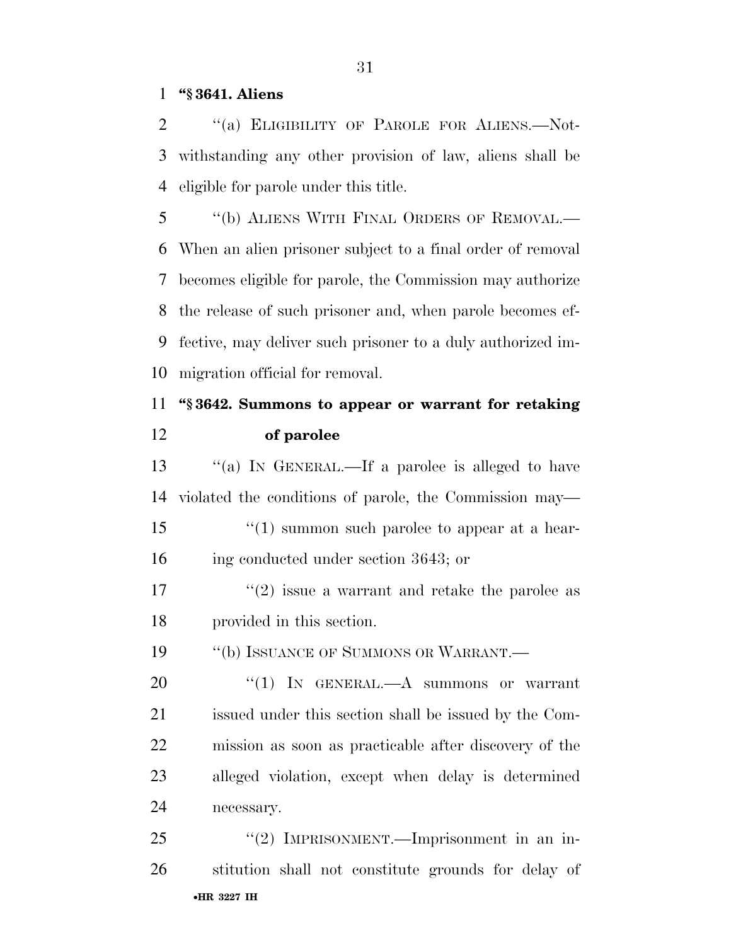#### **''§ 3641. Aliens**

2 "(a) ELIGIBILITY OF PAROLE FOR ALIENS.—Not- withstanding any other provision of law, aliens shall be eligible for parole under this title.

 ''(b) ALIENS WITH FINAL ORDERS OF REMOVAL.— When an alien prisoner subject to a final order of removal becomes eligible for parole, the Commission may authorize the release of such prisoner and, when parole becomes ef- fective, may deliver such prisoner to a duly authorized im-migration official for removal.

## **''§ 3642. Summons to appear or warrant for retaking of parolee**

 ''(a) IN GENERAL.—If a parolee is alleged to have violated the conditions of parole, the Commission may— 15 ''(1) summon such parolee to appear at a hear- ing conducted under section 3643; or  $\frac{17}{2}$  issue a warrant and retake the parolee as provided in this section. 19 "(b) ISSUANCE OF SUMMONS OR WARRANT. 20 "(1) IN GENERAL.—A summons or warrant issued under this section shall be issued by the Com- mission as soon as practicable after discovery of the alleged violation, except when delay is determined necessary.

•**HR 3227 IH** 25 "(2) IMPRISONMENT.—Imprisonment in an in-stitution shall not constitute grounds for delay of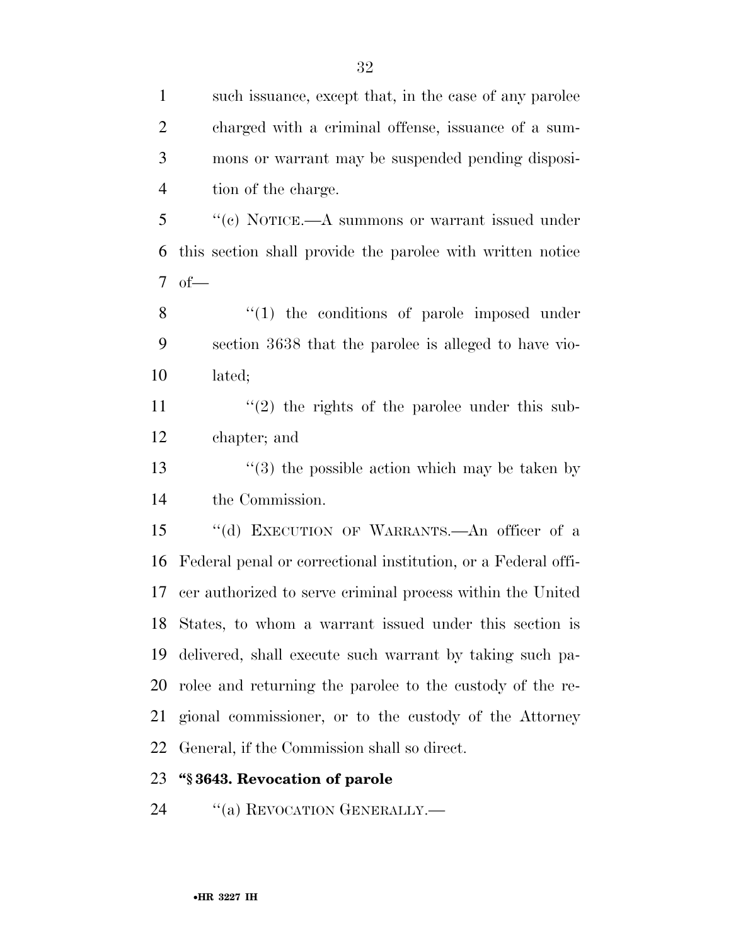| $\mathbf{1}$   | such issuance, except that, in the case of any parolee        |
|----------------|---------------------------------------------------------------|
| $\overline{2}$ | charged with a criminal offense, issuance of a sum-           |
| 3              | mons or warrant may be suspended pending disposi-             |
| $\overline{4}$ | tion of the charge.                                           |
| 5              | "(c) NOTICE.—A summons or warrant issued under                |
| 6              | this section shall provide the parolee with written notice    |
| $\tau$         | $of$ —                                                        |
| 8              | $\lq(1)$ the conditions of parole imposed under               |
| 9              | section 3638 that the parolee is alleged to have vio-         |
| 10             | lated;                                                        |
| 11             | $\cdot\cdot(2)$ the rights of the parolee under this sub-     |
| 12             | chapter; and                                                  |
| 13             | $(3)$ the possible action which may be taken by               |
| 14             | the Commission.                                               |
| 15             | "(d) EXECUTION OF WARRANTS.—An officer of a                   |
| 16             | Federal penal or correctional institution, or a Federal offi- |
| 17             | cer authorized to serve criminal process within the United    |
|                | 18 States, to whom a warrant issued under this section is     |
| 19             | delivered, shall execute such warrant by taking such pa-      |
| 20             | rolee and returning the parolee to the custody of the re-     |
| 21             | gional commissioner, or to the custody of the Attorney        |
| 22             | General, if the Commission shall so direct.                   |
| 23             | "§3643. Revocation of parole                                  |

24 "(a) REVOCATION GENERALLY.—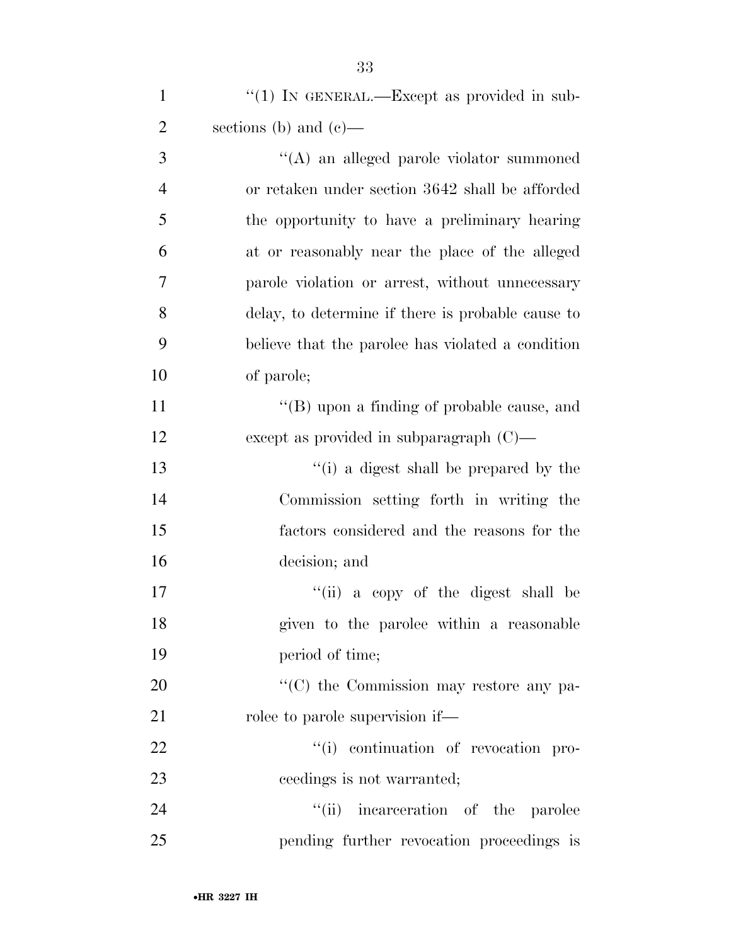| $\mathbf{1}$   | "(1) IN GENERAL.—Except as provided in sub-         |
|----------------|-----------------------------------------------------|
| $\overline{2}$ | sections (b) and $(e)$ —                            |
| 3              | "(A) an alleged parole violator summoned            |
| $\overline{4}$ | or retaken under section 3642 shall be afforded     |
| 5              | the opportunity to have a preliminary hearing       |
| 6              | at or reasonably near the place of the alleged      |
| 7              | parole violation or arrest, without unnecessary     |
| 8              | delay, to determine if there is probable cause to   |
| 9              | believe that the parolee has violated a condition   |
| 10             | of parole;                                          |
| 11             | "(B) upon a finding of probable cause, and          |
| 12             | except as provided in subparagraph $(C)$ —          |
| 13             | "(i) a digest shall be prepared by the              |
| 14             | Commission setting forth in writing the             |
| 15             | factors considered and the reasons for the          |
| 16             | decision; and                                       |
| 17             | "(ii) a copy of the digest shall be                 |
| 18             | given to the parolee within a reasonable            |
| 19             | period of time;                                     |
| 20             | $\cdot\cdot$ (C) the Commission may restore any pa- |
| 21             | rolee to parole supervision if—                     |
| 22             | "(i) continuation of revocation pro-                |
| 23             | ceedings is not warranted;                          |
| 24             | "(ii) incarceration of the parolee                  |
| 25             | pending further revocation proceedings is           |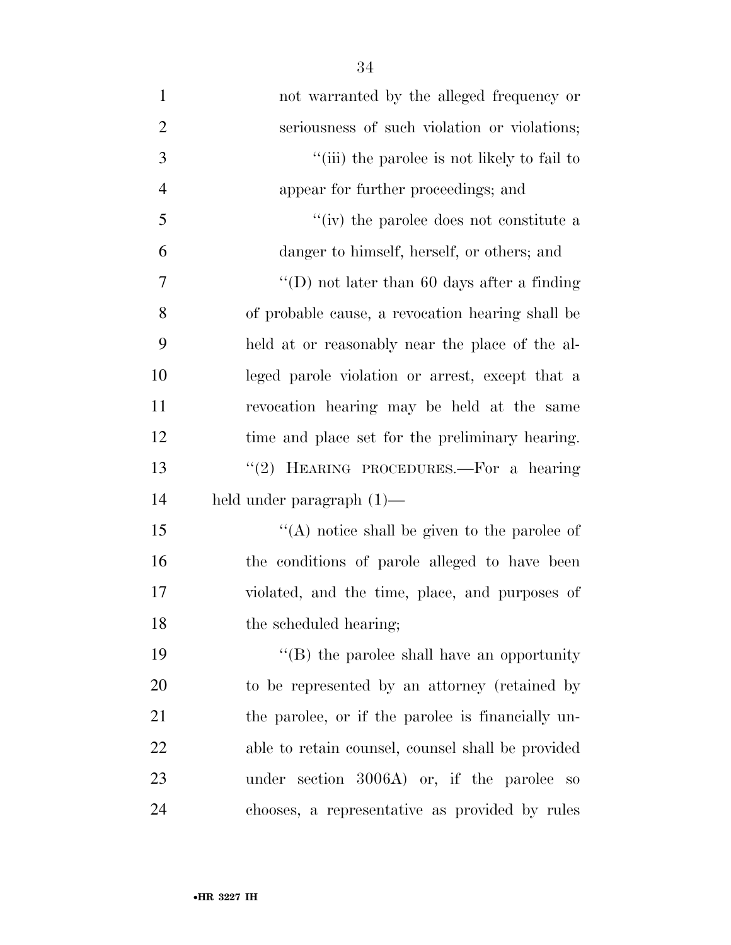| $\mathbf{1}$   | not warranted by the alleged frequency or          |
|----------------|----------------------------------------------------|
| $\overline{2}$ | seriousness of such violation or violations;       |
| 3              | "(iii) the parolee is not likely to fail to        |
| $\overline{4}$ | appear for further proceedings; and                |
| 5              | "(iv) the parolee does not constitute a            |
| 6              | danger to himself, herself, or others; and         |
| $\overline{7}$ | "(D) not later than 60 days after a finding        |
| 8              | of probable cause, a revocation hearing shall be   |
| 9              | held at or reasonably near the place of the al-    |
| 10             | leged parole violation or arrest, except that a    |
| 11             | revocation hearing may be held at the same         |
| 12             | time and place set for the preliminary hearing.    |
| 13             | "(2) HEARING PROCEDURES.—For a hearing             |
| 14             | held under paragraph $(1)$ —                       |
| 15             | $\lq\lq$ notice shall be given to the parolee of   |
| 16             | the conditions of parole alleged to have been      |
| 17             | violated, and the time, place, and purposes of     |
| 18             | the scheduled hearing;                             |
| 19             | $\lq\lq (B)$ the parolee shall have an opportunity |
| 20             | to be represented by an attorney (retained by      |
| 21             | the parolee, or if the parolee is financially un-  |
| 22             | able to retain counsel, counsel shall be provided  |
| 23             | under section 3006A) or, if the parolee<br>SO      |
| 24             | chooses, a representative as provided by rules     |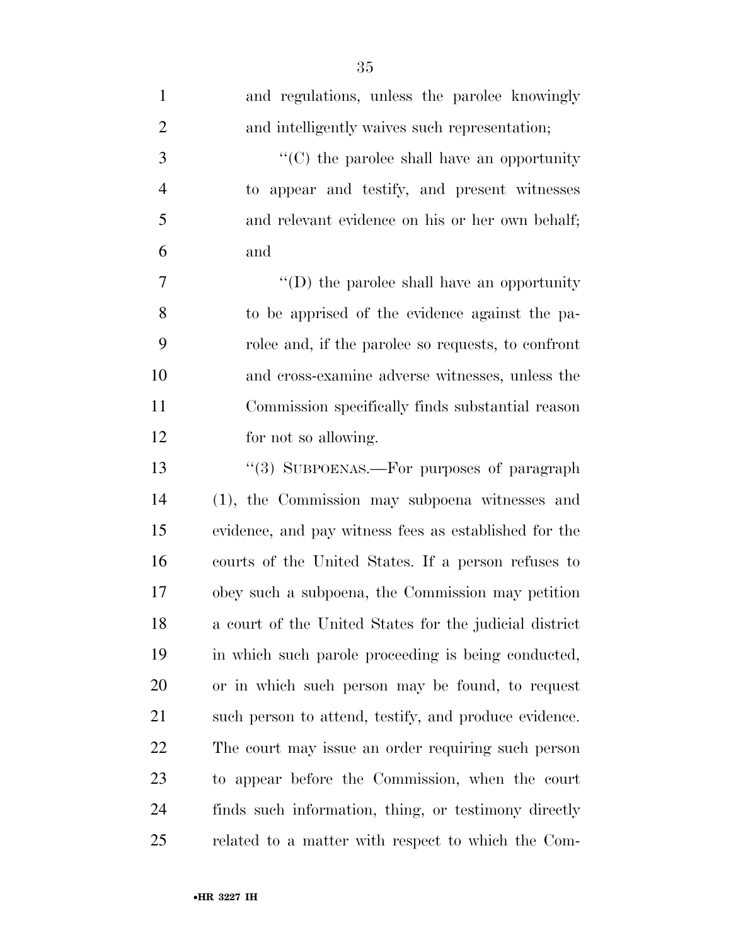| $\mathbf{1}$   | and regulations, unless the parolee knowingly          |
|----------------|--------------------------------------------------------|
| $\overline{2}$ | and intelligently waives such representation;          |
| $\mathfrak{Z}$ | $\cdot$ (C) the parolee shall have an opportunity      |
| $\overline{4}$ | to appear and testify, and present witnesses           |
| 5              | and relevant evidence on his or her own behalf;        |
| 6              | and                                                    |
| 7              | "(D) the parolee shall have an opportunity             |
| 8              | to be apprised of the evidence against the pa-         |
| 9              | rolee and, if the parolee so requests, to confront     |
| 10             | and cross-examine adverse witnesses, unless the        |
| 11             | Commission specifically finds substantial reason       |
| 12             | for not so allowing.                                   |
| 13             | "(3) SUBPOENAS.—For purposes of paragraph              |
| 14             | (1), the Commission may subpoena witnesses and         |
| 15             | evidence, and pay witness fees as established for the  |
| 16             | courts of the United States. If a person refuses to    |
| 17             | obey such a subpoena, the Commission may petition      |
| 18             | a court of the United States for the judicial district |
| 19             | in which such parole proceeding is being conducted,    |
| 20             | or in which such person may be found, to request       |
| 21             | such person to attend, testify, and produce evidence.  |
| <u>22</u>      | The court may issue an order requiring such person     |
| 23             | to appear before the Commission, when the court        |
| 24             | finds such information, thing, or testimony directly   |
| 25             | related to a matter with respect to which the Com-     |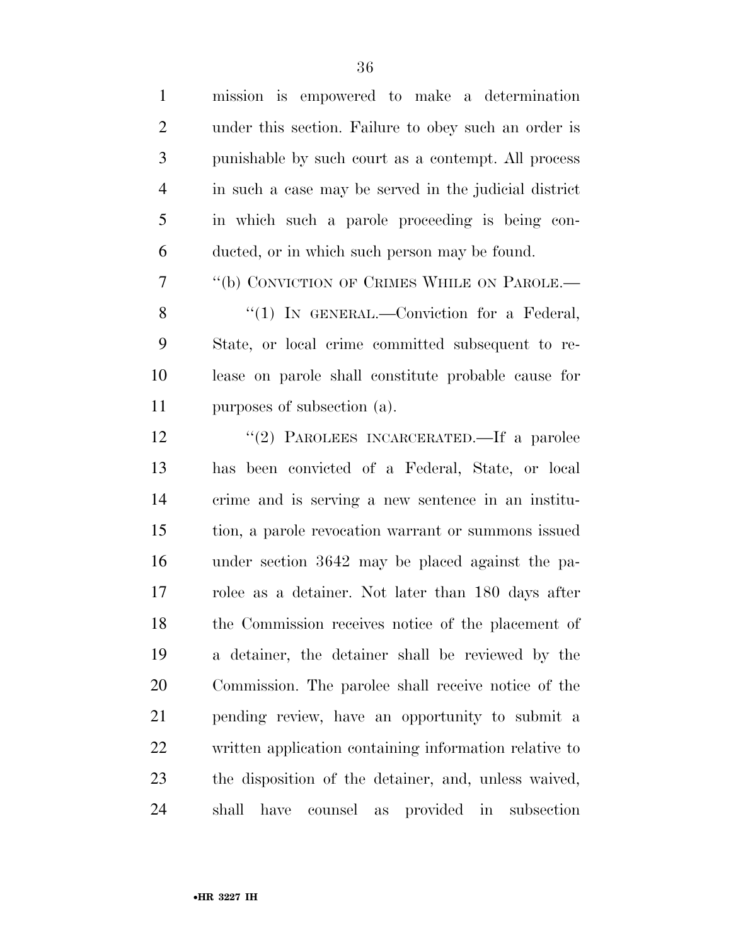| $\mathbf{1}$   | mission is empowered to make a determination                |
|----------------|-------------------------------------------------------------|
| $\overline{2}$ | under this section. Failure to obey such an order is        |
| 3              | punishable by such court as a contempt. All process         |
| 4              | in such a case may be served in the judicial district       |
| 5              | in which such a parole proceeding is being con-             |
| 6              | ducted, or in which such person may be found.               |
| 7              | "(b) CONVICTION OF CRIMES WHILE ON PAROLE.—                 |
| 8              | "(1) IN GENERAL.—Conviction for a Federal,                  |
| 9              | State, or local crime committed subsequent to re-           |
| 10             | lease on parole shall constitute probable cause for         |
| 11             | purposes of subsection (a).                                 |
| 12             | "(2) PAROLEES INCARCERATED.—If a parolee                    |
| 13             | has been convicted of a Federal, State, or local            |
| 14             | crime and is serving a new sentence in an institu-          |
| 15             | tion, a parole revocation warrant or summons issued         |
| 16             | under section 3642 may be placed against the pa-            |
| 17             | rolee as a detainer. Not later than 180 days after          |
| 18             | the Commission receives notice of the placement of          |
| 19             | a detainer, the detainer shall be reviewed by the           |
| 20             | Commission. The parolee shall receive notice of the         |
| 21             | pending review, have an opportunity to submit a             |
| 22             | written application containing information relative to      |
| 23             | the disposition of the detainer, and, unless waived,        |
| 24             | shall<br>provided in<br>subsection<br>have<br>counsel<br>as |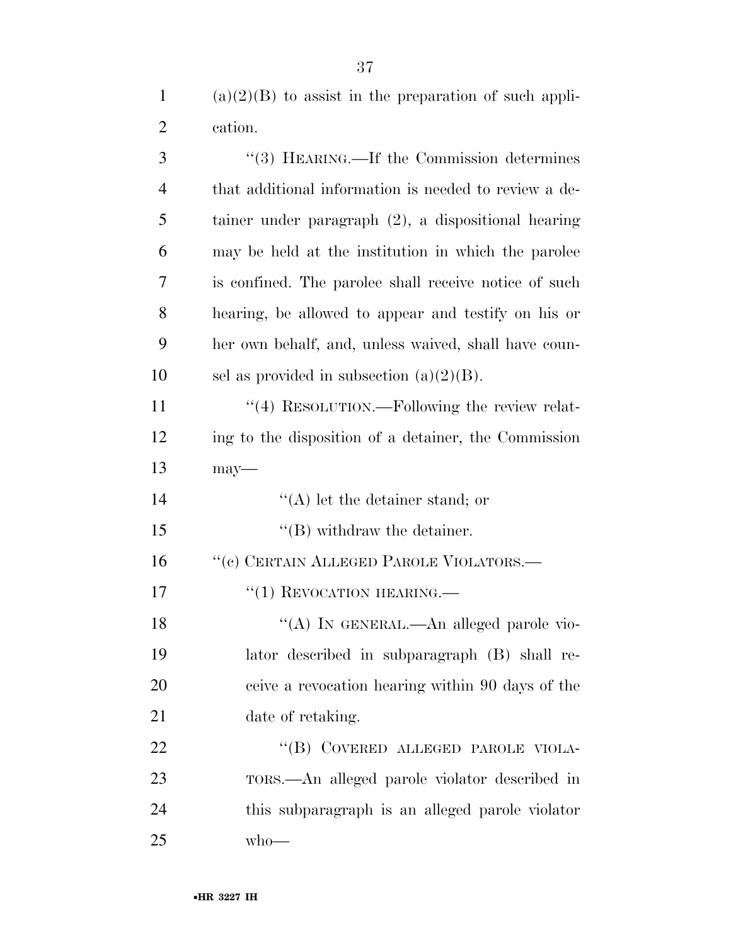(a)(2)(B) to assist in the preparation of such appli-cation.

| 3              | "(3) HEARING.—If the Commission determines             |
|----------------|--------------------------------------------------------|
| $\overline{4}$ | that additional information is needed to review a de-  |
| 5              | tainer under paragraph $(2)$ , a dispositional hearing |
| 6              | may be held at the institution in which the parolee    |
| 7              | is confined. The parolee shall receive notice of such  |
| 8              | hearing, be allowed to appear and testify on his or    |
| 9              | her own behalf, and, unless waived, shall have coun-   |
| 10             | sel as provided in subsection $(a)(2)(B)$ .            |
| 11             | "(4) RESOLUTION.—Following the review relat-           |
| 12             | ing to the disposition of a detainer, the Commission   |
| 13             | $may$ —                                                |
| 14             | $\lq\lq$ let the detainer stand; or                    |
| 15             | $\lq\lq$ (B) withdraw the detainer.                    |
| 16             | "(c) CERTAIN ALLEGED PAROLE VIOLATORS.—                |
| 17             | $``(1)$ REVOCATION HEARING.—                           |
| 18             | "(A) IN GENERAL.—An alleged parole vio-                |
| 19             | lator described in subparagraph (B) shall re-          |
| 20             | ceive a revocation hearing within 90 days of the       |
| 21             | date of retaking.                                      |
| 22             | "(B) COVERED ALLEGED PAROLE VIOLA-                     |
| 23             | TORS.—An alleged parole violator described in          |
| 24             | this subparagraph is an alleged parole violator        |
| 25             | $w$ ho—                                                |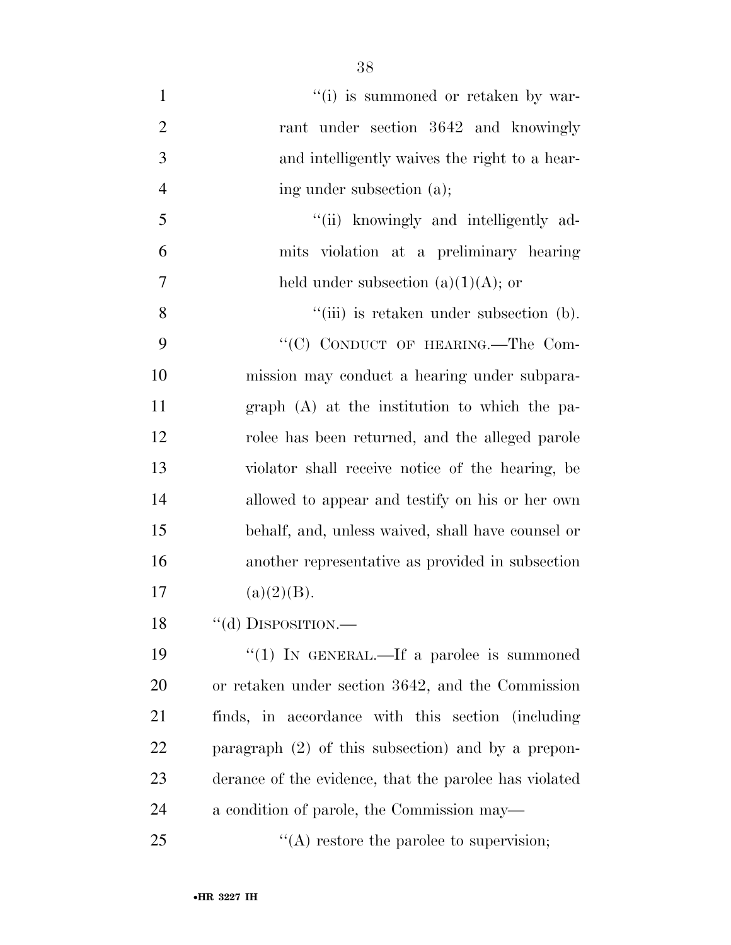1  $''(i)$  is summoned or retaken by war-2 rant under section 3642 and knowingly 3 and intelligently waives the right to a hear-4 ing under subsection (a); 5 "(ii) knowingly and intelligently ad-6 mits violation at a preliminary hearing 7 held under subsection  $(a)(1)(A)$ ; or 8 "(iii) is retaken under subsection (b). 9 "'(C) CONDUCT OF HEARING.—The Com-10 mission may conduct a hearing under subpara-11 graph (A) at the institution to which the pa-12 rolee has been returned, and the alleged parole 13 violator shall receive notice of the hearing, be 14 allowed to appear and testify on his or her own 15 behalf, and, unless waived, shall have counsel or 16 another representative as provided in subsection 17  $(a)(2)(B)$ . 18 "(d) DISPOSITION.— 19 "(1) IN GENERAL.—If a parolee is summoned

 or retaken under section 3642, and the Commission finds, in accordance with this section (including paragraph (2) of this subsection) and by a prepon- derance of the evidence, that the parolee has violated a condition of parole, the Commission may—

25  $\frac{1}{2}$  (A) restore the parolee to supervision;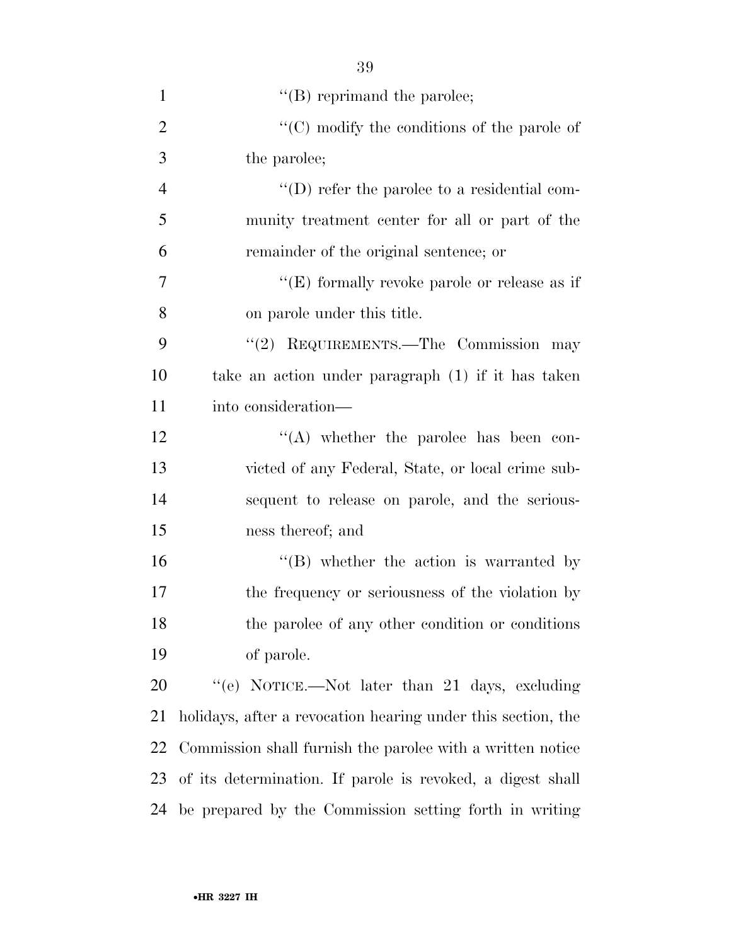| $\mathbf{1}$   | $\lq\lq$ (B) reprimand the parolee;                          |
|----------------|--------------------------------------------------------------|
| $\overline{2}$ | " $(C)$ modify the conditions of the parole of               |
| 3              | the parolee;                                                 |
| $\overline{4}$ | $\lq\lq$ refer the parolee to a residential com-             |
| 5              | munity treatment center for all or part of the               |
| 6              | remainder of the original sentence; or                       |
| 7              | "(E) formally revoke parole or release as if                 |
| 8              | on parole under this title.                                  |
| 9              | "(2) REQUIREMENTS.—The Commission may                        |
| 10             | take an action under paragraph (1) if it has taken           |
| 11             | into consideration—                                          |
| 12             | $\lq\lq$ whether the parolee has been con-                   |
| 13             | victed of any Federal, State, or local crime sub-            |
| 14             | sequent to release on parole, and the serious-               |
| 15             | ness thereof; and                                            |
| 16             | $\lq\lq (B)$ whether the action is warranted by              |
| 17             | the frequency or seriousness of the violation by             |
| 18             | the parolee of any other condition or conditions             |
| 19             | of parole.                                                   |
| 20             | "(e) NOTICE.—Not later than 21 days, excluding               |
| 21             | holidays, after a revocation hearing under this section, the |
| 22             | Commission shall furnish the parolee with a written notice   |
| 23             | of its determination. If parole is revoked, a digest shall   |
| 24             | be prepared by the Commission setting forth in writing       |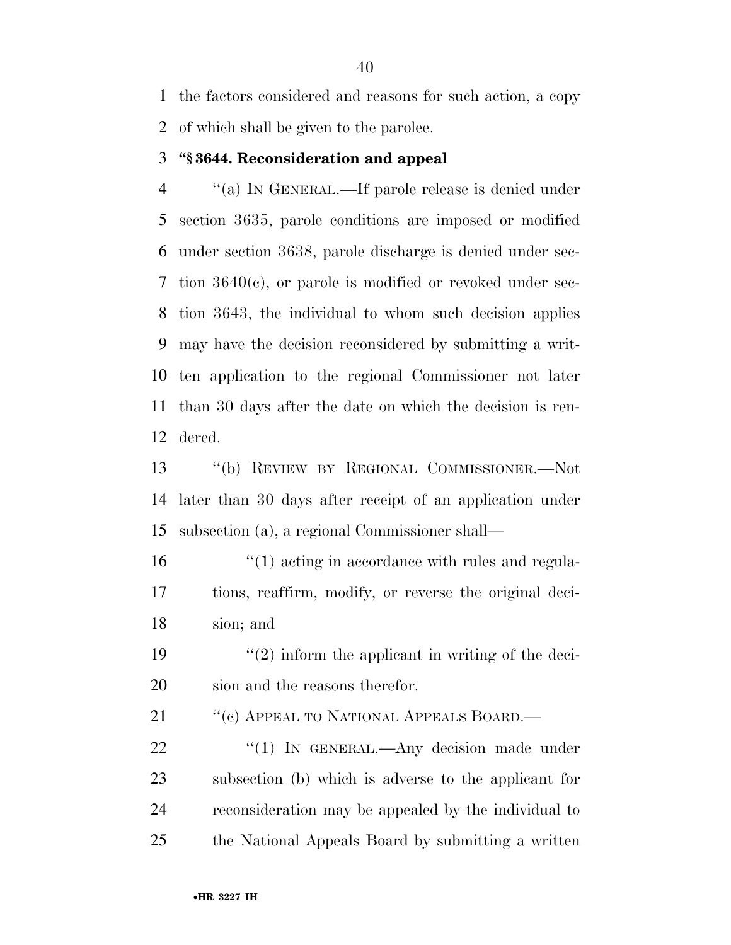the factors considered and reasons for such action, a copy of which shall be given to the parolee.

#### **''§ 3644. Reconsideration and appeal**

 ''(a) IN GENERAL.—If parole release is denied under section 3635, parole conditions are imposed or modified under section 3638, parole discharge is denied under sec- tion 3640(c), or parole is modified or revoked under sec- tion 3643, the individual to whom such decision applies may have the decision reconsidered by submitting a writ- ten application to the regional Commissioner not later than 30 days after the date on which the decision is ren-dered.

 ''(b) REVIEW BY REGIONAL COMMISSIONER.—Not later than 30 days after receipt of an application under subsection (a), a regional Commissioner shall—

16  $\frac{1}{2}$  (1) acting in accordance with rules and regula- tions, reaffirm, modify, or reverse the original deci-sion; and

19  $\frac{1}{2}$  inform the applicant in writing of the deci-sion and the reasons therefor.

21 "(c) APPEAL TO NATIONAL APPEALS BOARD.—

22 "(1) IN GENERAL.—Any decision made under subsection (b) which is adverse to the applicant for reconsideration may be appealed by the individual to the National Appeals Board by submitting a written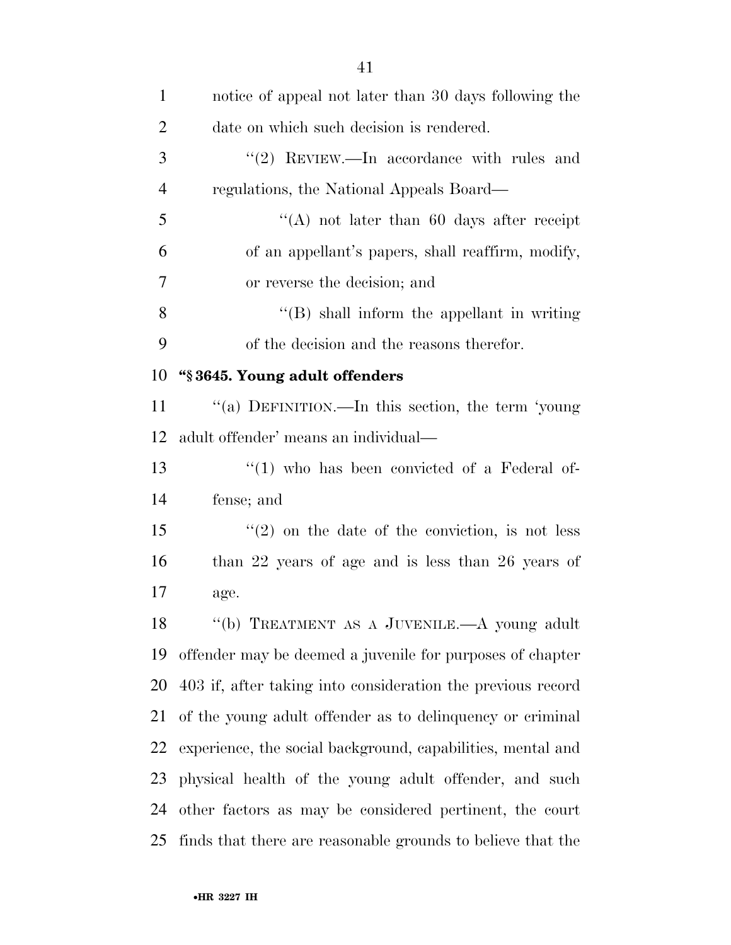| $\mathbf{1}$   | notice of appeal not later than 30 days following the          |
|----------------|----------------------------------------------------------------|
| $\overline{2}$ | date on which such decision is rendered.                       |
| 3              | "(2) REVIEW.—In accordance with rules and                      |
| $\overline{4}$ | regulations, the National Appeals Board—                       |
| 5              | "(A) not later than 60 days after receipt                      |
| 6              | of an appellant's papers, shall reaffirm, modify,              |
| 7              | or reverse the decision; and                                   |
| 8              | $\lq\lq$ (B) shall inform the appellant in writing             |
| 9              | of the decision and the reasons therefor.                      |
| 10             | "§3645. Young adult offenders                                  |
| 11             | "(a) DEFINITION.—In this section, the term 'young              |
| 12             | adult offender' means an individual—                           |
| 13             | $\lq(1)$ who has been convicted of a Federal of-               |
| 14             | fense; and                                                     |
| 15             | $f'(2)$ on the date of the conviction, is not less             |
| 16             | than $22$ years of age and is less than $26$ years of          |
| 17             | age.                                                           |
| 18             | "(b) TREATMENT AS A JUVENILE.—A young adult                    |
| 19             | offender may be deemed a juvenile for purposes of chapter      |
| 20             | 403 if, after taking into consideration the previous record    |
| 21             | of the young adult offender as to delinquency or criminal      |
| 22             | experience, the social background, capabilities, mental and    |
| 23             | physical health of the young adult offender, and such          |
| 24             | other factors as may be considered pertinent, the court        |
|                | 25 finds that there are reasonable grounds to believe that the |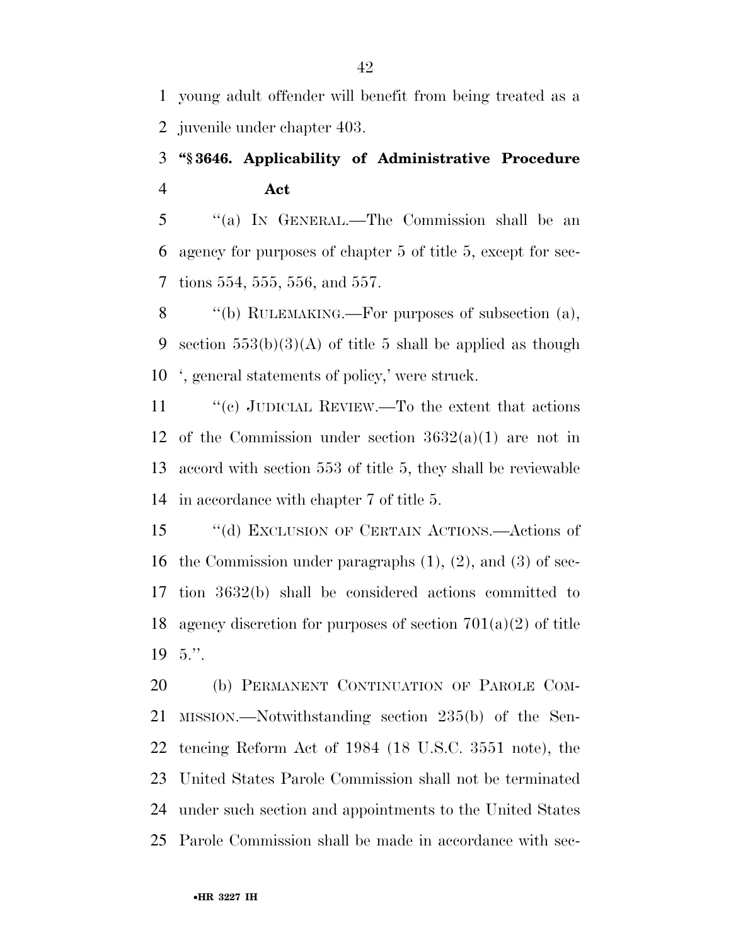young adult offender will benefit from being treated as a juvenile under chapter 403.

## **''§ 3646. Applicability of Administrative Procedure Act**

 ''(a) IN GENERAL.—The Commission shall be an agency for purposes of chapter 5 of title 5, except for sec-tions 554, 555, 556, and 557.

8 "(b) RULEMAKING.—For purposes of subsection (a), 9 section  $553(b)(3)(A)$  of title 5 shall be applied as though ', general statements of policy,' were struck.

11 "(c) JUDICIAL REVIEW.—To the extent that actions 12 of the Commission under section  $3632(a)(1)$  are not in accord with section 553 of title 5, they shall be reviewable in accordance with chapter 7 of title 5.

 ''(d) EXCLUSION OF CERTAIN ACTIONS.—Actions of the Commission under paragraphs (1), (2), and (3) of sec- tion 3632(b) shall be considered actions committed to agency discretion for purposes of section 701(a)(2) of title 5.''.

 (b) PERMANENT CONTINUATION OF PAROLE COM- MISSION.—Notwithstanding section 235(b) of the Sen- tencing Reform Act of 1984 (18 U.S.C. 3551 note), the United States Parole Commission shall not be terminated under such section and appointments to the United States Parole Commission shall be made in accordance with sec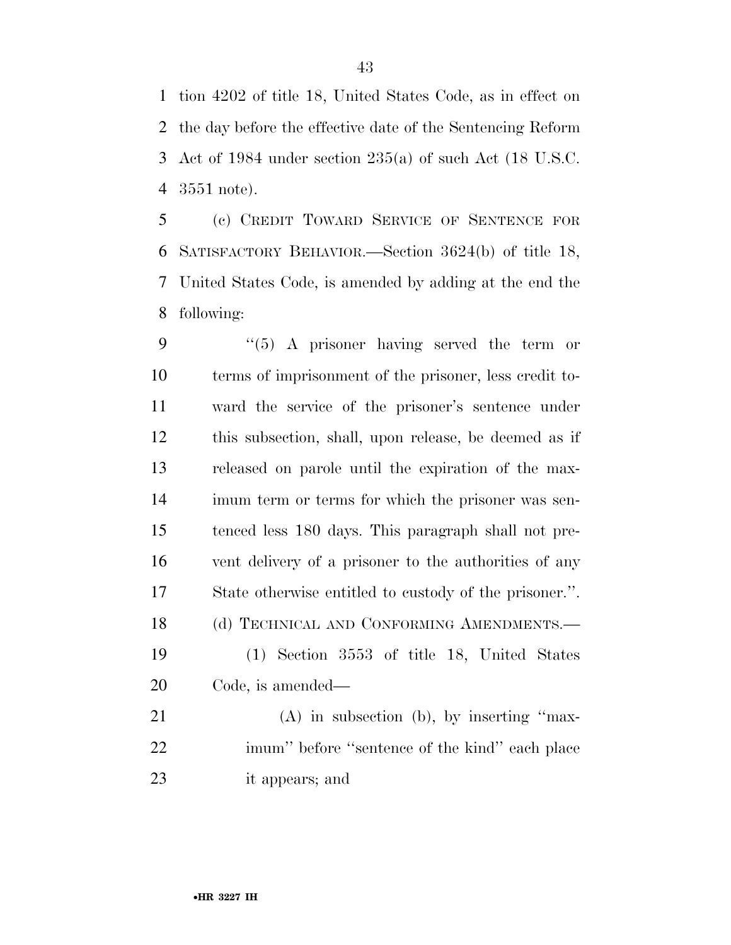tion 4202 of title 18, United States Code, as in effect on the day before the effective date of the Sentencing Reform Act of 1984 under section 235(a) of such Act (18 U.S.C. 3551 note).

 (c) CREDIT TOWARD SERVICE OF SENTENCE FOR SATISFACTORY BEHAVIOR.—Section 3624(b) of title 18, United States Code, is amended by adding at the end the following:

 ''(5) A prisoner having served the term or terms of imprisonment of the prisoner, less credit to- ward the service of the prisoner's sentence under this subsection, shall, upon release, be deemed as if released on parole until the expiration of the max- imum term or terms for which the prisoner was sen- tenced less 180 days. This paragraph shall not pre- vent delivery of a prisoner to the authorities of any State otherwise entitled to custody of the prisoner.''. 18 (d) TECHNICAL AND CONFORMING AMENDMENTS.— (1) Section 3553 of title 18, United States Code, is amended— (A) in subsection (b), by inserting ''max-imum'' before ''sentence of the kind'' each place

it appears; and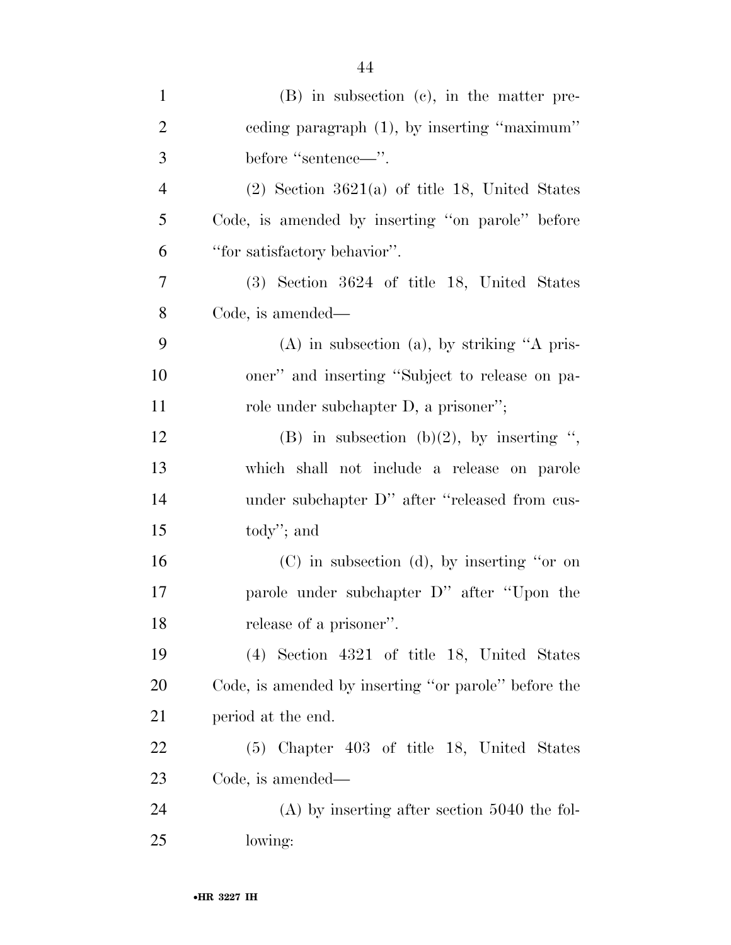| $\mathbf{1}$   | (B) in subsection (c), in the matter pre-            |
|----------------|------------------------------------------------------|
| $\overline{2}$ | eeding paragraph (1), by inserting "maximum"         |
| 3              | before "sentence—".                                  |
| $\overline{4}$ | $(2)$ Section 3621(a) of title 18, United States     |
| 5              | Code, is amended by inserting "on parole" before     |
| 6              | "for satisfactory behavior".                         |
| 7              | $(3)$ Section 3624 of title 18, United States        |
| 8              | Code, is amended—                                    |
| 9              | $(A)$ in subsection $(a)$ , by striking "A pris-     |
| 10             | oner" and inserting "Subject to release on pa-       |
| 11             | role under subchapter D, a prisoner";                |
| 12             | (B) in subsection (b)(2), by inserting ",            |
| 13             | which shall not include a release on parole          |
| 14             | under subchapter D" after "released from cus-        |
| 15             | $\text{today''};$ and                                |
| 16             | $(C)$ in subsection $(d)$ , by inserting "or on      |
| 17             | parole under subchapter D" after "Upon the           |
| 18             | release of a prisoner".                              |
| 19             | $(4)$ Section 4321 of title 18, United States        |
| 20             | Code, is amended by inserting "or parole" before the |
| 21             | period at the end.                                   |
| 22             | (5) Chapter 403 of title 18, United States           |
| 23             | Code, is amended—                                    |
| 24             | $(A)$ by inserting after section 5040 the fol-       |
| 25             | lowing:                                              |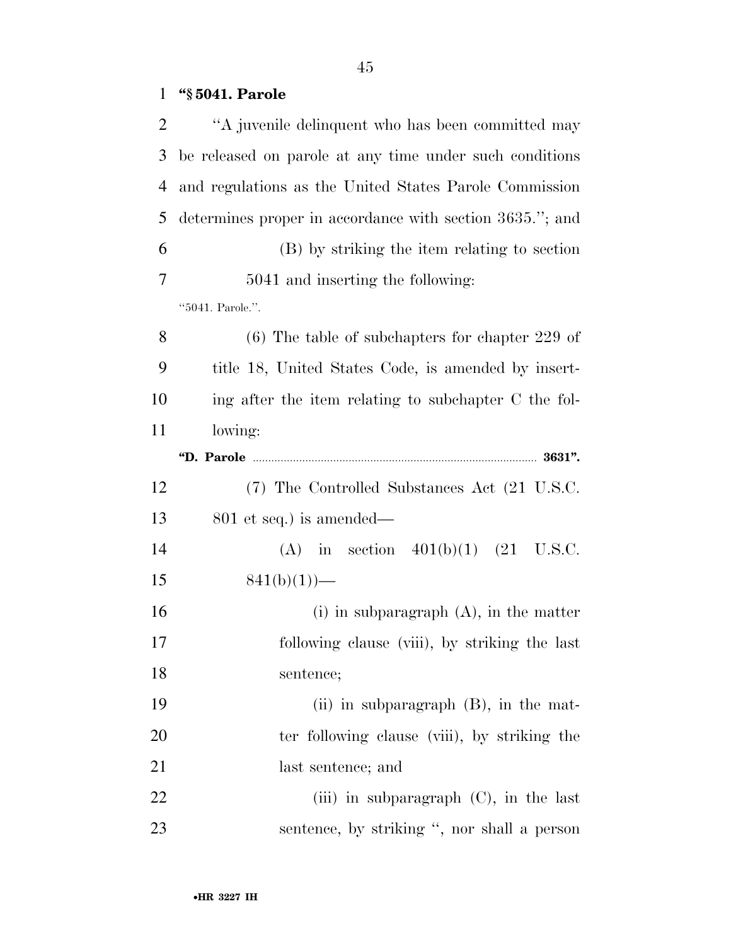## **''§ 5041. Parole**

| 2              | "A juvenile delinquent who has been committed may        |
|----------------|----------------------------------------------------------|
| 3              | be released on parole at any time under such conditions  |
| $\overline{4}$ | and regulations as the United States Parole Commission   |
| 5              | determines proper in accordance with section 3635."; and |
| 6              | (B) by striking the item relating to section             |
| 7              | 5041 and inserting the following:                        |
|                | "5041. Parole.".                                         |
| 8              | $(6)$ The table of subchapters for chapter 229 of        |
| 9              | title 18, United States Code, is amended by insert-      |
| 10             | ing after the item relating to subchapter C the fol-     |
| 11             | lowing:                                                  |
|                |                                                          |
| 12             | (7) The Controlled Substances Act (21 U.S.C.             |
| 13             | $801$ et seq.) is amended—                               |
| 14             | (A) in section $401(b)(1)$ (21 U.S.C.                    |
| 15             | $841(b)(1)$ )–                                           |
| 16             | $(i)$ in subparagraph $(A)$ , in the matter              |
| 17             | following clause (viii), by striking the last            |
| 18             | sentence;                                                |
| 19             | $(ii)$ in subparagraph $(B)$ , in the mat-               |
| 20             | ter following clause (viii), by striking the             |
| 21             | last sentence; and                                       |
| 22             | (iii) in subparagraph $(C)$ , in the last                |
| 23             | sentence, by striking ", nor shall a person              |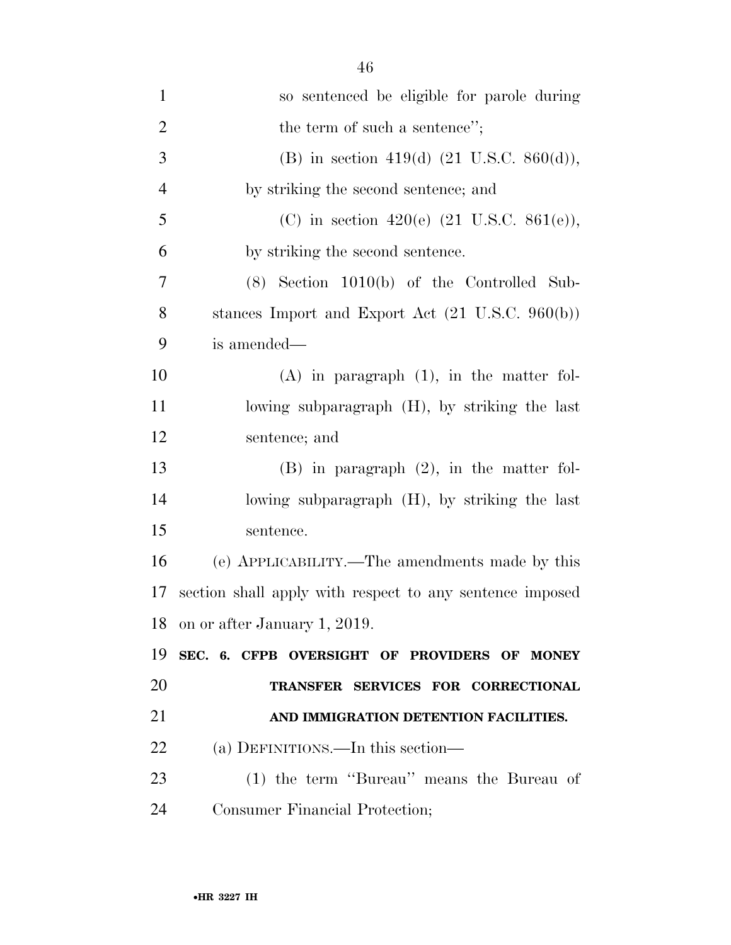| $\mathbf{1}$   | so sentenced be eligible for parole during                  |
|----------------|-------------------------------------------------------------|
| $\overline{2}$ | the term of such a sentence";                               |
| 3              | (B) in section 419(d) $(21 \text{ U.S.C. } 860(d)),$        |
| $\overline{4}$ | by striking the second sentence; and                        |
| 5              | (C) in section 420(e) $(21 \text{ U.S.C. } 861(e)),$        |
| 6              | by striking the second sentence.                            |
| 7              | $(8)$ Section 1010(b) of the Controlled Sub-                |
| 8              | stances Import and Export Act $(21 \text{ U.S.C. } 960(b))$ |
| 9              | is amended—                                                 |
| 10             | $(A)$ in paragraph $(1)$ , in the matter fol-               |
| 11             | lowing subparagraph (H), by striking the last               |
| 12             | sentence; and                                               |
| 13             | $(B)$ in paragraph $(2)$ , in the matter fol-               |
| 14             | lowing subparagraph (H), by striking the last               |
| 15             | sentence.                                                   |
| 16             | (e) APPLICABILITY.—The amendments made by this              |
| 17             | section shall apply with respect to any sentence imposed    |
| 18             | on or after January 1, 2019.                                |
| 19             | SEC. 6. CFPB OVERSIGHT OF PROVIDERS OF MONEY                |
| 20             | TRANSFER SERVICES FOR CORRECTIONAL                          |
| 21             | AND IMMIGRATION DETENTION FACILITIES.                       |
| 22             | (a) DEFINITIONS.—In this section—                           |
| 23             | (1) the term "Bureau" means the Bureau of                   |
| 24             |                                                             |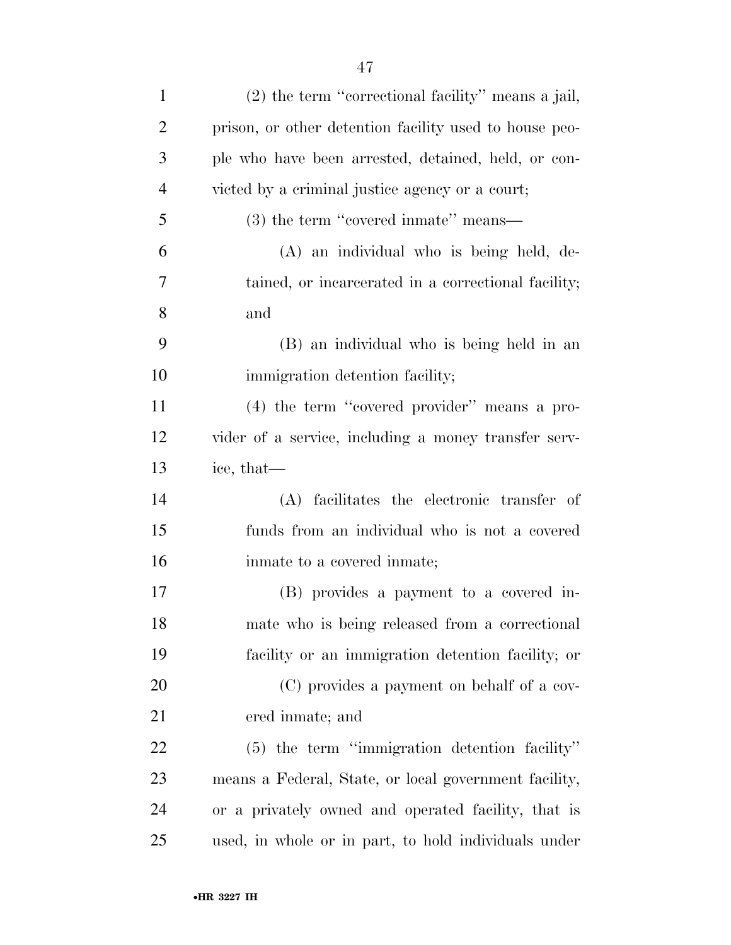| $\mathbf{1}$   | $(2)$ the term "correctional facility" means a jail,   |
|----------------|--------------------------------------------------------|
| $\overline{2}$ | prison, or other detention facility used to house peo- |
| 3              | ple who have been arrested, detained, held, or con-    |
| $\overline{4}$ | victed by a criminal justice agency or a court;        |
| 5              | $(3)$ the term "covered inmate" means—                 |
| 6              | (A) an individual who is being held, de-               |
| 7              | tained, or incarcerated in a correctional facility;    |
| 8              | and                                                    |
| 9              | (B) an individual who is being held in an              |
| 10             | immigration detention facility;                        |
| 11             | (4) the term "covered provider" means a pro-           |
| 12             | vider of a service, including a money transfer serv-   |
| 13             | ice, that—                                             |
| 14             | (A) facilitates the electronic transfer of             |
| 15             | funds from an individual who is not a covered          |
| 16             | in mate to a covered in mate;                          |
| 17             | (B) provides a payment to a covered in-                |
| 18             | mate who is being released from a correctional         |
| 19             | facility or an immigration detention facility; or      |
| 20             | (C) provides a payment on behalf of a cov-             |
| 21             | ered inmate; and                                       |
| 22             | $(5)$ the term "immigration detention facility"        |
| 23             | means a Federal, State, or local government facility,  |
| 24             | or a privately owned and operated facility, that is    |
| 25             | used, in whole or in part, to hold individuals under   |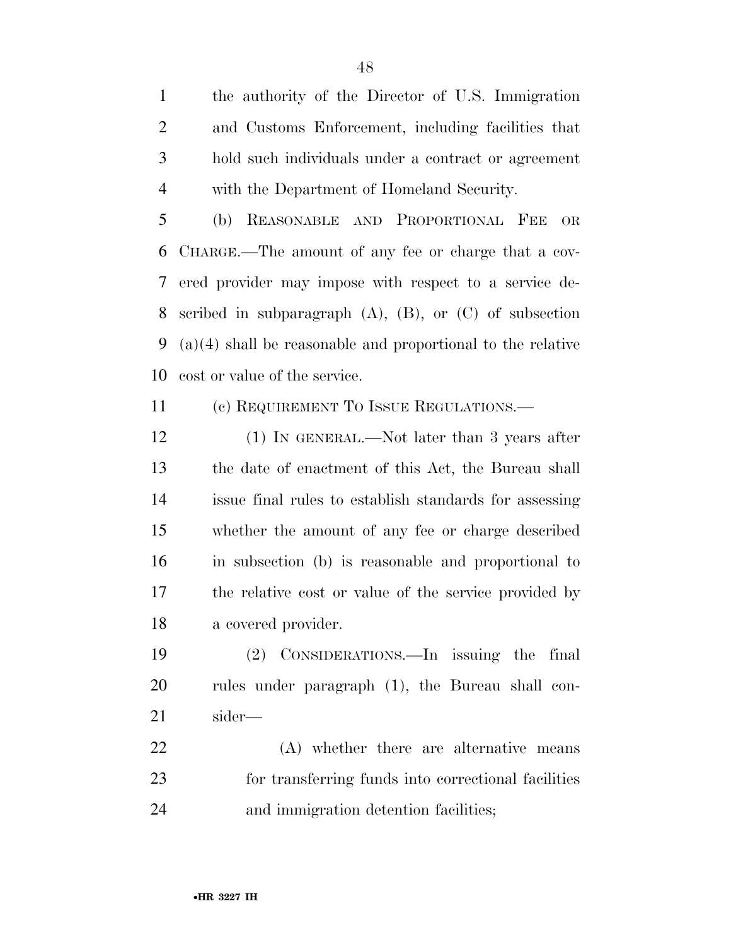the authority of the Director of U.S. Immigration and Customs Enforcement, including facilities that hold such individuals under a contract or agreement with the Department of Homeland Security.

 (b) REASONABLE AND PROPORTIONAL FEE OR CHARGE.—The amount of any fee or charge that a cov- ered provider may impose with respect to a service de- scribed in subparagraph (A), (B), or (C) of subsection (a)(4) shall be reasonable and proportional to the relative cost or value of the service.

11 (c) REQUIREMENT TO ISSUE REGULATIONS.—

12 (1) IN GENERAL.—Not later than 3 years after the date of enactment of this Act, the Bureau shall issue final rules to establish standards for assessing whether the amount of any fee or charge described in subsection (b) is reasonable and proportional to the relative cost or value of the service provided by a covered provider.

 (2) CONSIDERATIONS.—In issuing the final rules under paragraph (1), the Bureau shall con-sider—

 (A) whether there are alternative means for transferring funds into correctional facilities and immigration detention facilities;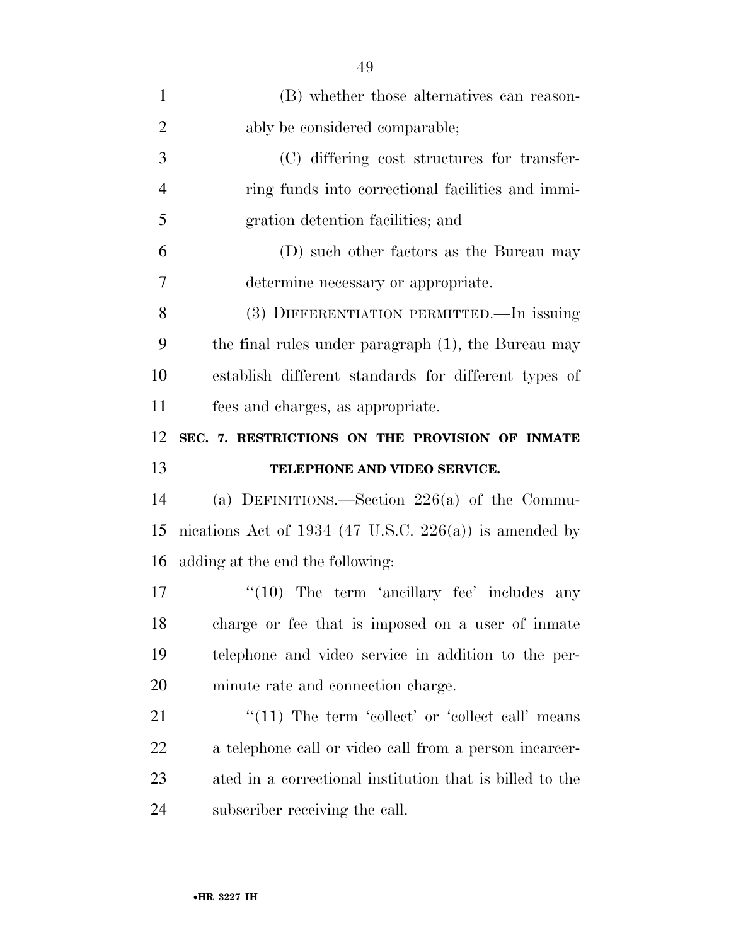| $\mathbf{1}$   | (B) whether those alternatives can reason-               |
|----------------|----------------------------------------------------------|
| $\overline{2}$ | ably be considered comparable;                           |
| 3              | (C) differing cost structures for transfer-              |
| $\overline{4}$ | ring funds into correctional facilities and immi-        |
| 5              | gration detention facilities; and                        |
| 6              | (D) such other factors as the Bureau may                 |
| 7              | determine necessary or appropriate.                      |
| 8              | (3) DIFFERENTIATION PERMITTED.—In issuing                |
| 9              | the final rules under paragraph (1), the Bureau may      |
| 10             | establish different standards for different types of     |
| 11             | fees and charges, as appropriate.                        |
| 12             | SEC. 7. RESTRICTIONS ON THE PROVISION OF INMATE          |
|                |                                                          |
|                | TELEPHONE AND VIDEO SERVICE.                             |
| 13<br>14       | (a) DEFINITIONS.—Section $226(a)$ of the Commu-          |
| 15             | nications Act of 1934 (47 U.S.C. 226(a)) is amended by   |
| 16             | adding at the end the following:                         |
| 17             | $\lq(10)$ The term 'ancillary fee' includes any          |
| 18             | charge or fee that is imposed on a user of inmate        |
| 19             | telephone and video service in addition to the per-      |
| 20             | minute rate and connection charge.                       |
| 21             | $\lq(11)$ The term 'collect' or 'collect call' means     |
| <u>22</u>      | a telephone call or video call from a person incarcer-   |
| 23             | ated in a correctional institution that is billed to the |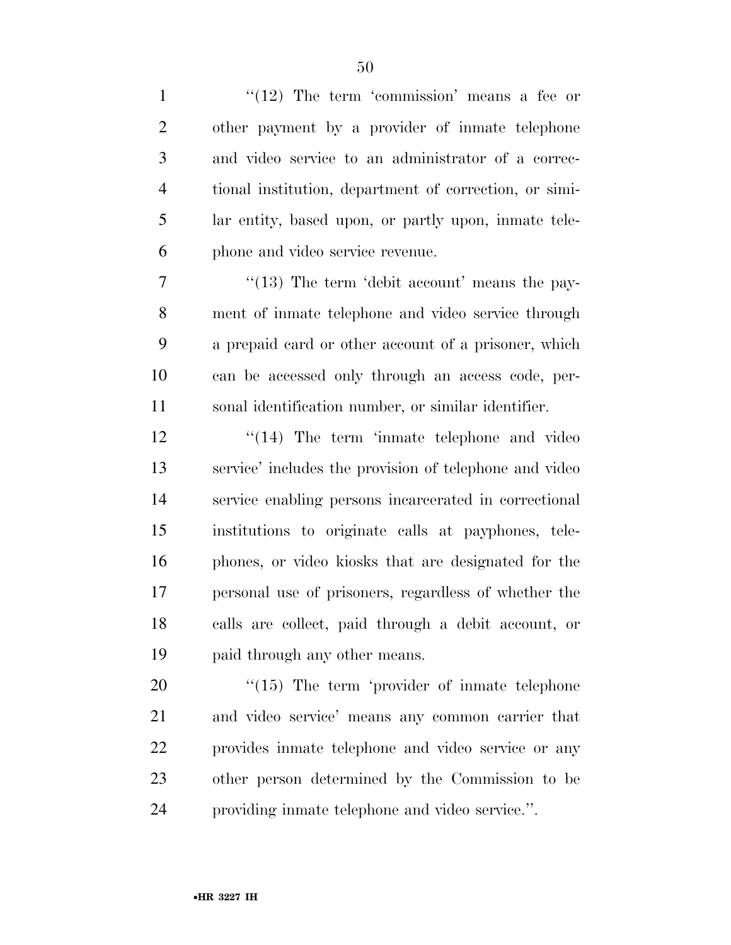| $\mathbf{1}$   | " $(12)$ The term 'commission' means a fee or          |
|----------------|--------------------------------------------------------|
| $\overline{2}$ | other payment by a provider of inmate telephone        |
| 3              | and video service to an administrator of a correc-     |
| $\overline{4}$ | tional institution, department of correction, or simi- |
| 5              | lar entity, based upon, or partly upon, inmate tele-   |
| 6              | phone and video service revenue.                       |
| 7              | $\cdot$ (13) The term 'debit account' means the pay-   |
| 8              | ment of inmate telephone and video service through     |
| 9              | a prepaid card or other account of a prisoner, which   |
| 10             | can be accessed only through an access code, per-      |
| 11             | sonal identification number, or similar identifier.    |
| 12             | $\cdot$ (14) The term 'inmate telephone and video      |
| 13             | service' includes the provision of telephone and video |
| 14             | service enabling persons incarcerated in correctional  |
| 15             | institutions to originate calls at payphones, tele-    |
| 16             | phones, or video kiosks that are designated for the    |
| 17             | personal use of prisoners, regardless of whether the   |
| 18             | calls are collect, paid through a debit account, or    |
| 19             | paid through any other means.                          |
| 20             | $\lq(15)$ The term 'provider of inmate telephone       |
| 21             | and video service' means any common carrier that       |
| 22             | provides in the telephone and video service or any     |
| 23             | other person determined by the Commission to be        |
| 24             | providing inmate telephone and video service.".        |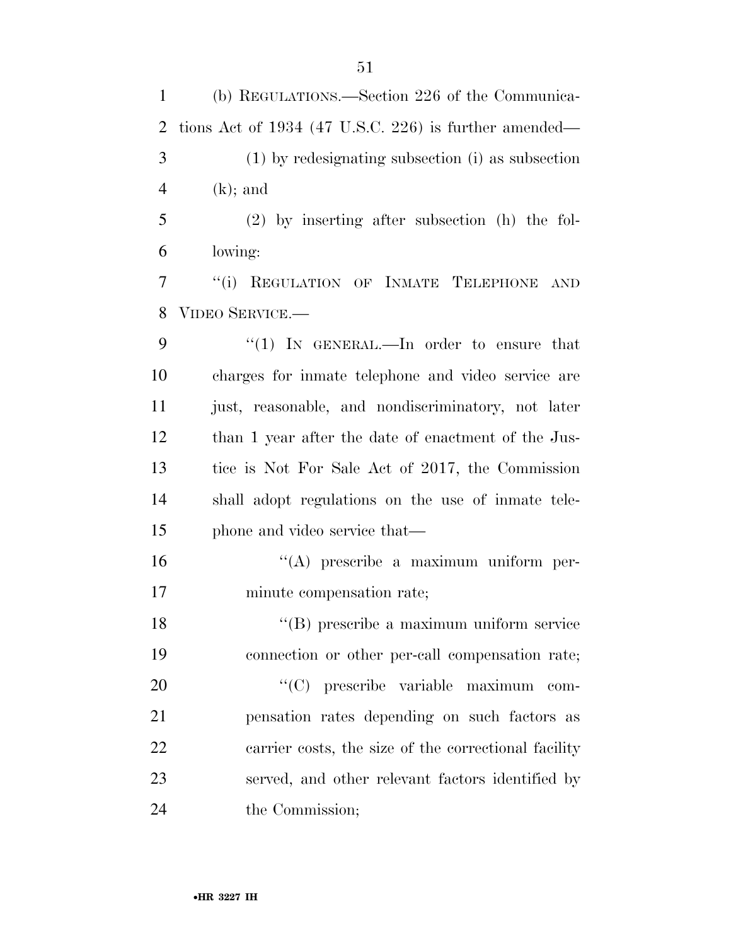(b) REGULATIONS.—Section 226 of the Communica- tions Act of 1934 (47 U.S.C. 226) is further amended— (1) by redesignating subsection (i) as subsection (k); and (2) by inserting after subsection (h) the fol- lowing: ''(i) REGULATION OF INMATE TELEPHONE AND VIDEO SERVICE.— 9 "(1) In GENERAL.—In order to ensure that charges for inmate telephone and video service are just, reasonable, and nondiscriminatory, not later than 1 year after the date of enactment of the Jus- tice is Not For Sale Act of 2017, the Commission shall adopt regulations on the use of inmate tele- phone and video service that— ''(A) prescribe a maximum uniform per- minute compensation rate; ''(B) prescribe a maximum uniform service connection or other per-call compensation rate;  $"({\rm C})$  prescribe variable maximum com- pensation rates depending on such factors as carrier costs, the size of the correctional facility served, and other relevant factors identified by 24 the Commission;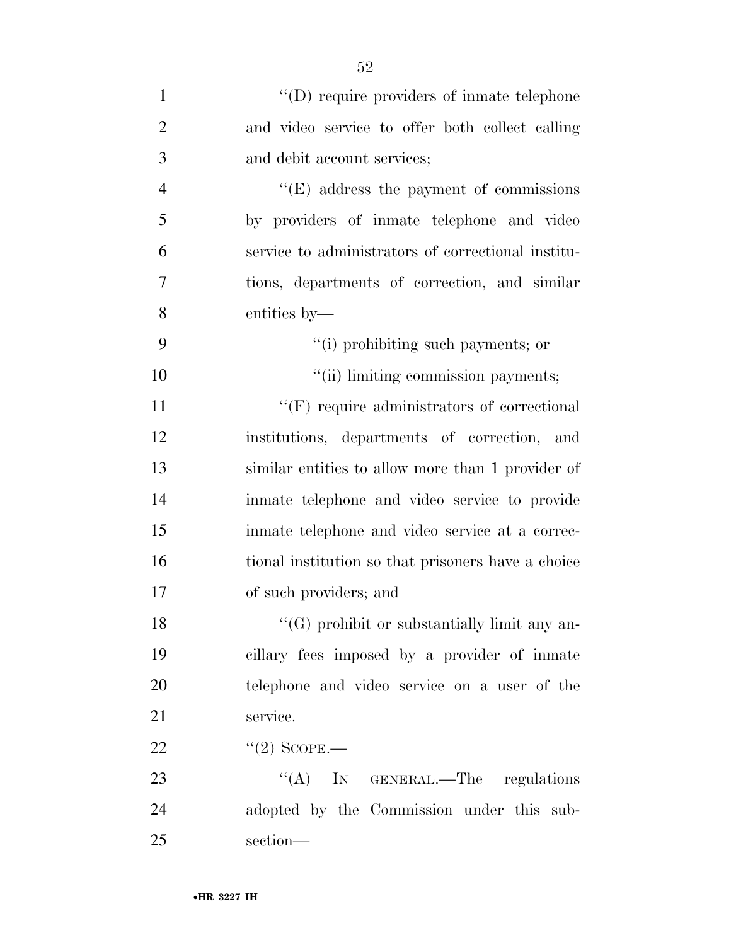| $\mathbf{1}$   | $\lq\lq$ require providers of inmate telephone      |
|----------------|-----------------------------------------------------|
| $\overline{2}$ | and video service to offer both collect calling     |
| 3              | and debit account services;                         |
| $\overline{4}$ | $\lq\lq(E)$ address the payment of commissions      |
| 5              | by providers of inmate telephone and video          |
| 6              | service to administrators of correctional institu-  |
| 7              | tions, departments of correction, and similar       |
| 8              | entities by-                                        |
| 9              | "(i) prohibiting such payments; or                  |
| 10             | "(ii) limiting commission payments;                 |
| 11             | $``$ (F) require administrators of correctional     |
| 12             | institutions, departments of correction, and        |
| 13             | similar entities to allow more than 1 provider of   |
| 14             | in mate telephone and video service to provide      |
| 15             | inmate telephone and video service at a correc-     |
| 16             | tional institution so that prisoners have a choice  |
| 17             | of such providers; and                              |
| 18             | $\lq\lq(G)$ prohibit or substantially limit any an- |
| 19             | cillary fees imposed by a provider of inmate        |
| 20             | telephone and video service on a user of the        |
| 21             | service.                                            |
| 22             | $\lq(2)$ SCOPE.—                                    |
| 23             | "(A) IN GENERAL.—The regulations                    |
| 24             | adopted by the Commission under this sub-           |
| 25             | section-                                            |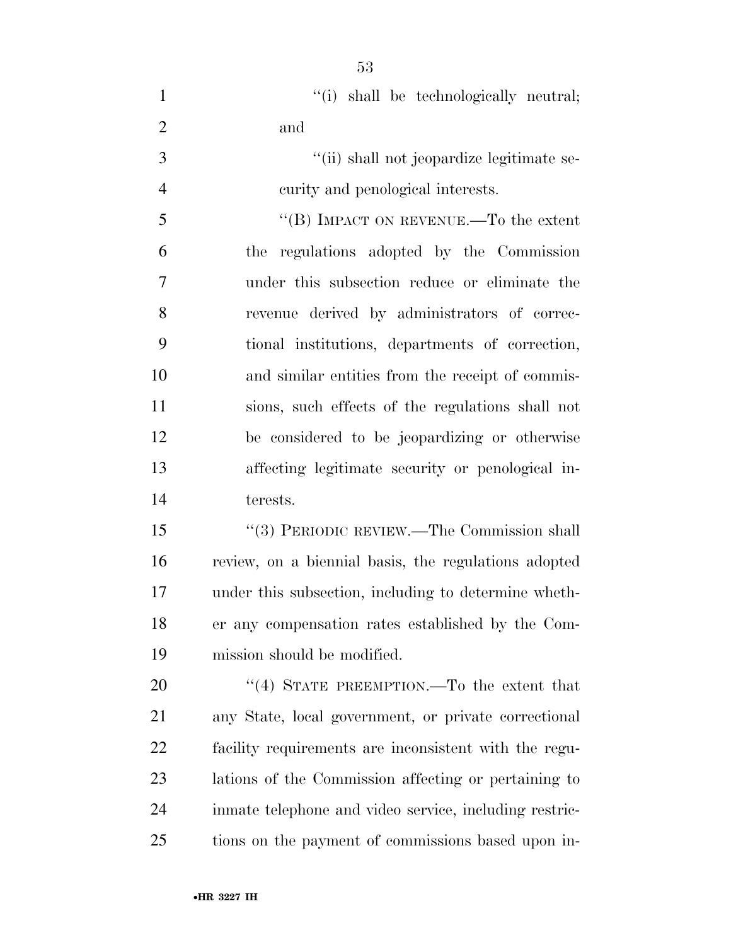|     |  | "(i) shall be technologically neutral; |  |
|-----|--|----------------------------------------|--|
| and |  |                                        |  |

3  $\frac{1}{\sin^2(\pi)}$  shall not jeopardize legitimate se-curity and penological interests.

 ''(B) IMPACT ON REVENUE.—To the extent the regulations adopted by the Commission under this subsection reduce or eliminate the revenue derived by administrators of correc- tional institutions, departments of correction, and similar entities from the receipt of commis- sions, such effects of the regulations shall not be considered to be jeopardizing or otherwise affecting legitimate security or penological in-terests.

 ''(3) PERIODIC REVIEW.—The Commission shall review, on a biennial basis, the regulations adopted under this subsection, including to determine wheth- er any compensation rates established by the Com-mission should be modified.

20 "(4) STATE PREEMPTION.—To the extent that any State, local government, or private correctional facility requirements are inconsistent with the regu- lations of the Commission affecting or pertaining to inmate telephone and video service, including restric-tions on the payment of commissions based upon in-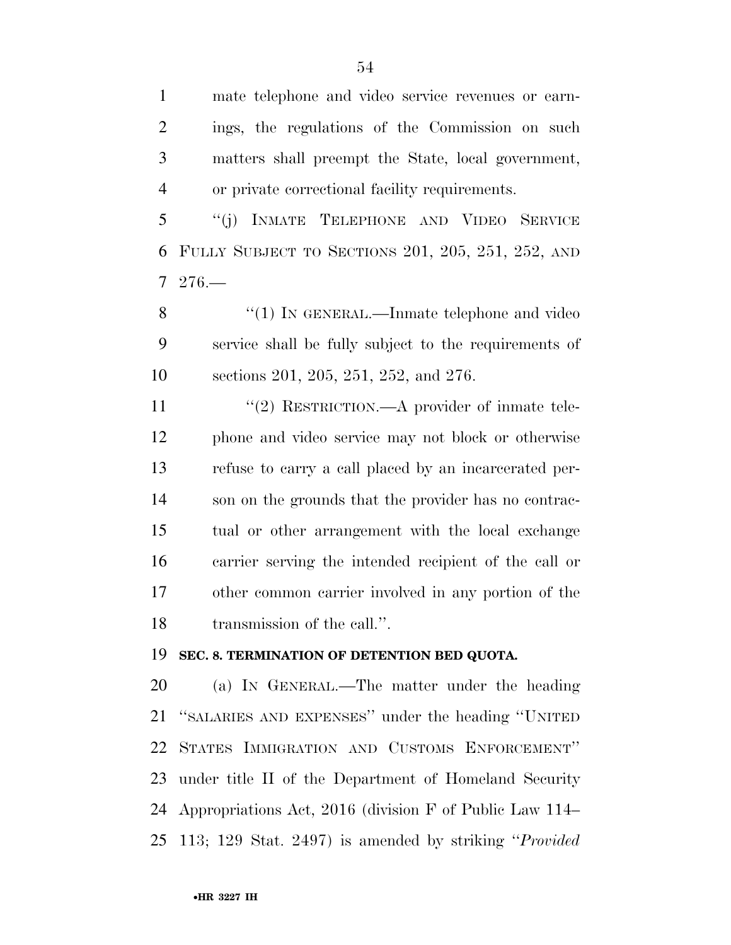mate telephone and video service revenues or earn- ings, the regulations of the Commission on such matters shall preempt the State, local government, or private correctional facility requirements.

 ''(j) INMATE TELEPHONE AND VIDEO SERVICE FULLY SUBJECT TO SECTIONS 201, 205, 251, 252, AND 276.—

8 "(1) IN GENERAL.—Inmate telephone and video service shall be fully subject to the requirements of sections 201, 205, 251, 252, and 276.

 $\frac{1}{2}$  RESTRICTION.—A provider of inmate tele- phone and video service may not block or otherwise refuse to carry a call placed by an incarcerated per- son on the grounds that the provider has no contrac- tual or other arrangement with the local exchange carrier serving the intended recipient of the call or other common carrier involved in any portion of the transmission of the call.''.

#### **SEC. 8. TERMINATION OF DETENTION BED QUOTA.**

 (a) IN GENERAL.—The matter under the heading ''SALARIES AND EXPENSES'' under the heading ''UNITED STATES IMMIGRATION AND CUSTOMS ENFORCEMENT'' under title II of the Department of Homeland Security Appropriations Act, 2016 (division F of Public Law 114– 113; 129 Stat. 2497) is amended by striking ''*Provided*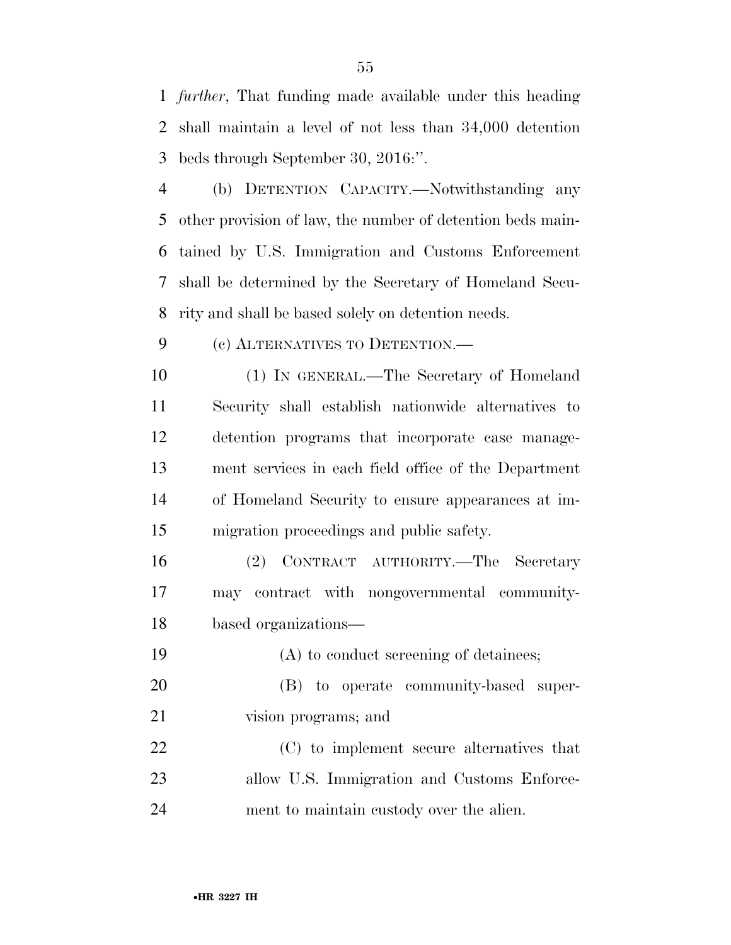*further*, That funding made available under this heading shall maintain a level of not less than 34,000 detention beds through September 30, 2016:''.

 (b) DETENTION CAPACITY.—Notwithstanding any other provision of law, the number of detention beds main- tained by U.S. Immigration and Customs Enforcement shall be determined by the Secretary of Homeland Secu-rity and shall be based solely on detention needs.

(c) ALTERNATIVES TO DETENTION.—

 (1) IN GENERAL.—The Secretary of Homeland Security shall establish nationwide alternatives to detention programs that incorporate case manage- ment services in each field office of the Department of Homeland Security to ensure appearances at im-migration proceedings and public safety.

 (2) CONTRACT AUTHORITY.—The Secretary may contract with nongovernmental community-based organizations—

 (A) to conduct screening of detainees; (B) to operate community-based super- vision programs; and (C) to implement secure alternatives that allow U.S. Immigration and Customs Enforce-ment to maintain custody over the alien.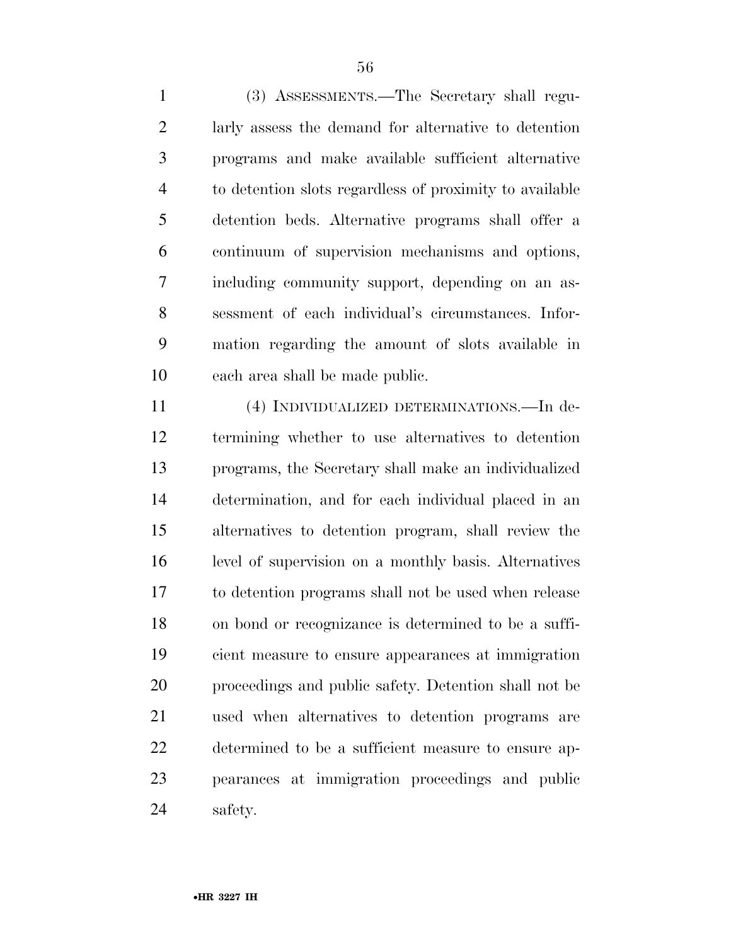(3) ASSESSMENTS.—The Secretary shall regu- larly assess the demand for alternative to detention programs and make available sufficient alternative to detention slots regardless of proximity to available detention beds. Alternative programs shall offer a continuum of supervision mechanisms and options, including community support, depending on an as- sessment of each individual's circumstances. Infor- mation regarding the amount of slots available in each area shall be made public.

 (4) INDIVIDUALIZED DETERMINATIONS.—In de- termining whether to use alternatives to detention programs, the Secretary shall make an individualized determination, and for each individual placed in an alternatives to detention program, shall review the level of supervision on a monthly basis. Alternatives to detention programs shall not be used when release on bond or recognizance is determined to be a suffi- cient measure to ensure appearances at immigration proceedings and public safety. Detention shall not be used when alternatives to detention programs are determined to be a sufficient measure to ensure ap- pearances at immigration proceedings and public safety.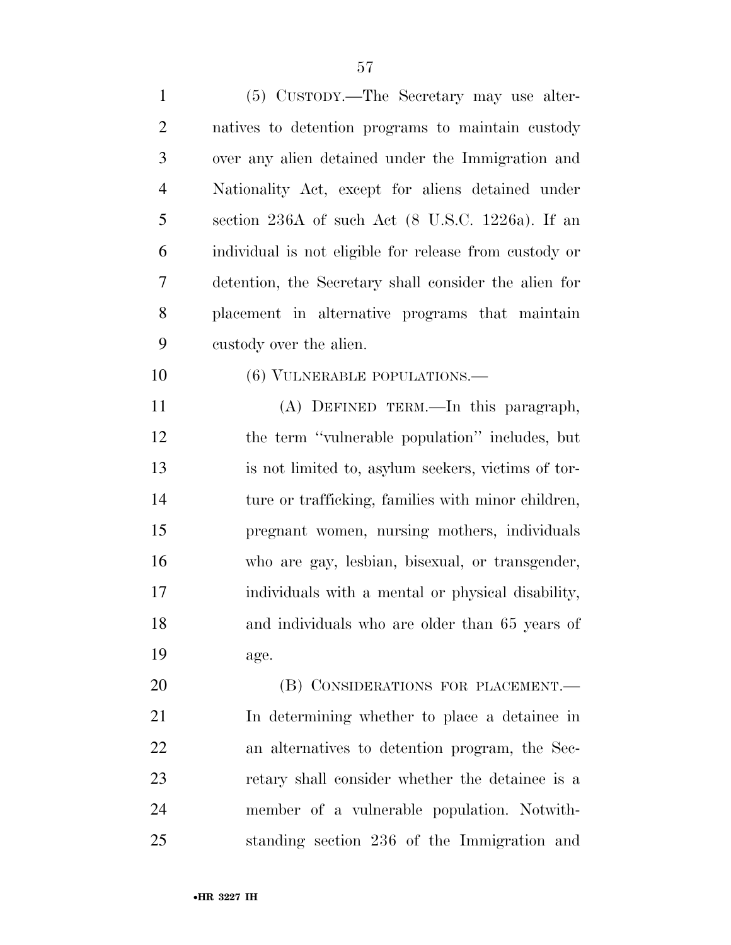| $\mathbf{1}$   | (5) CUSTODY.—The Secretary may use alter-              |
|----------------|--------------------------------------------------------|
| $\overline{2}$ | natives to detention programs to maintain custody      |
| 3              | over any alien detained under the Immigration and      |
| $\overline{4}$ | Nationality Act, except for aliens detained under      |
| 5              | section 236A of such Act (8 U.S.C. 1226a). If an       |
| 6              | individual is not eligible for release from custody or |
| 7              | detention, the Secretary shall consider the alien for  |
| 8              | placement in alternative programs that maintain        |
| 9              | custody over the alien.                                |
| 10             | (6) VULNERABLE POPULATIONS.-                           |
| 11             | (A) DEFINED TERM.—In this paragraph,                   |
| 12             | the term "vulnerable population" includes, but         |
| 13             | is not limited to, asylum seekers, victims of tor-     |
| 14             | ture or trafficking, families with minor children,     |
| 15             | pregnant women, nursing mothers, individuals           |
| 16             | who are gay, lesbian, bisexual, or transgender,        |
| 17             | individuals with a mental or physical disability,      |
| 18             | and individuals who are older than 65 years of         |
| 19             | age.                                                   |
| 20             | (B) CONSIDERATIONS FOR PLACEMENT.-                     |
| 21             | In determining whether to place a detainee in          |
| 22             | an alternatives to detention program, the Sec-         |
| 23             | retary shall consider whether the detainee is a        |
| 24             | member of a vulnerable population. Notwith-            |
| 25             | standing section 236 of the Immigration and            |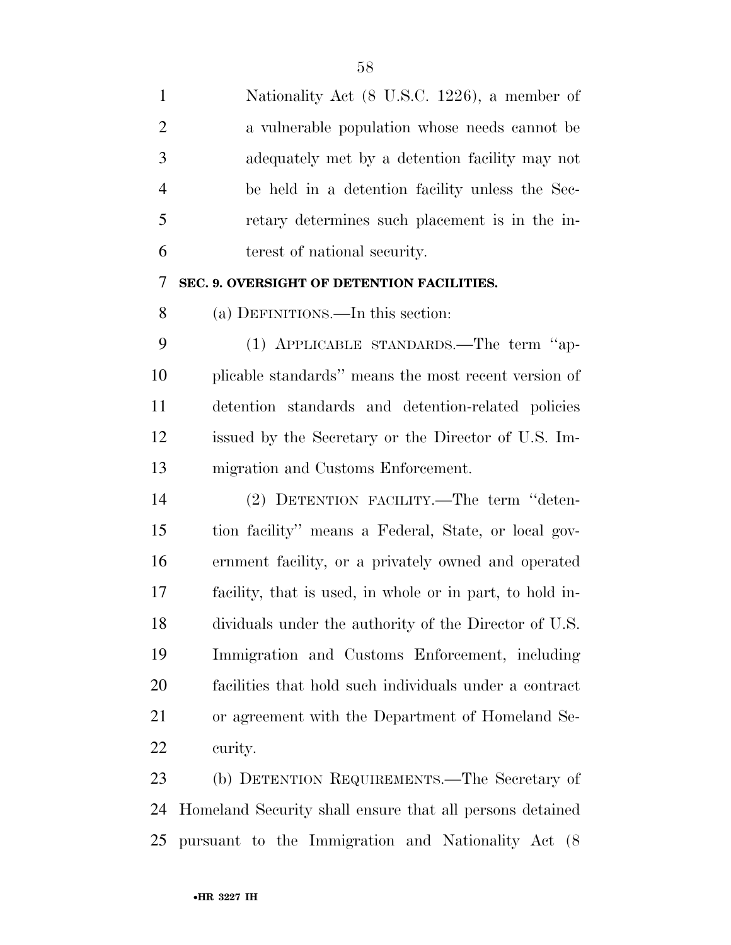Nationality Act (8 U.S.C. 1226), a member of a vulnerable population whose needs cannot be adequately met by a detention facility may not be held in a detention facility unless the Sec- retary determines such placement is in the in- terest of national security. **SEC. 9. OVERSIGHT OF DETENTION FACILITIES.**  (a) DEFINITIONS.—In this section: (1) APPLICABLE STANDARDS.—The term ''ap- plicable standards'' means the most recent version of detention standards and detention-related policies issued by the Secretary or the Director of U.S. Im- migration and Customs Enforcement. (2) DETENTION FACILITY.—The term ''deten- tion facility'' means a Federal, State, or local gov- ernment facility, or a privately owned and operated facility, that is used, in whole or in part, to hold in- dividuals under the authority of the Director of U.S. Immigration and Customs Enforcement, including facilities that hold such individuals under a contract or agreement with the Department of Homeland Se-

curity.

 (b) DETENTION REQUIREMENTS.—The Secretary of Homeland Security shall ensure that all persons detained pursuant to the Immigration and Nationality Act (8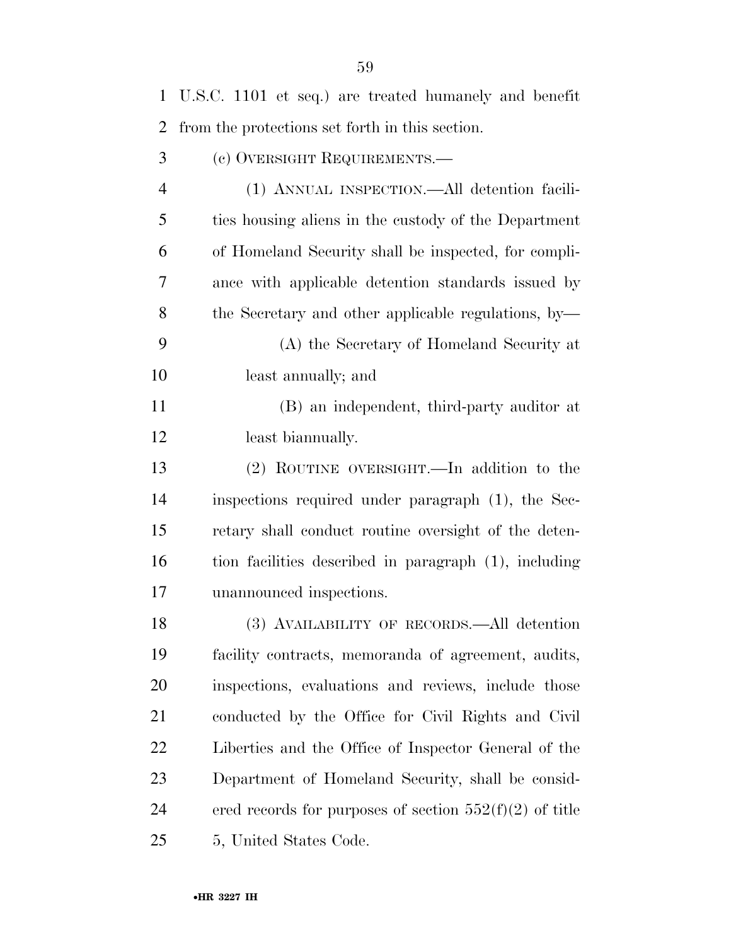| $\mathbf{1}$   | U.S.C. 1101 et seq.) are treated humanely and benefit     |
|----------------|-----------------------------------------------------------|
| 2              | from the protections set forth in this section.           |
| 3              | (c) OVERSIGHT REQUIREMENTS.—                              |
| $\overline{4}$ | (1) ANNUAL INSPECTION.—All detention facili-              |
| 5              | ties housing aliens in the custody of the Department      |
| 6              | of Homeland Security shall be inspected, for compli-      |
| 7              | ance with applicable detention standards issued by        |
| 8              | the Secretary and other applicable regulations, by-       |
| 9              | (A) the Secretary of Homeland Security at                 |
| 10             | least annually; and                                       |
| 11             | (B) an independent, third-party auditor at                |
| 12             | least bianmually.                                         |
| 13             | (2) ROUTINE OVERSIGHT.—In addition to the                 |
| 14             | inspections required under paragraph (1), the Sec-        |
| 15             | retary shall conduct routine oversight of the deten-      |
| 16             | tion facilities described in paragraph (1), including     |
| 17             | unannounced inspections.                                  |
| 18             | (3) AVAILABILITY OF RECORDS.—All detention                |
| 19             | facility contracts, memoranda of agreement, audits,       |
| <b>20</b>      | inspections, evaluations and reviews, include those       |
| 21             | conducted by the Office for Civil Rights and Civil        |
| 22             | Liberties and the Office of Inspector General of the      |
| 23             | Department of Homeland Security, shall be consid-         |
| 24             | ered records for purposes of section $552(f)(2)$ of title |
| 25             | 5, United States Code.                                    |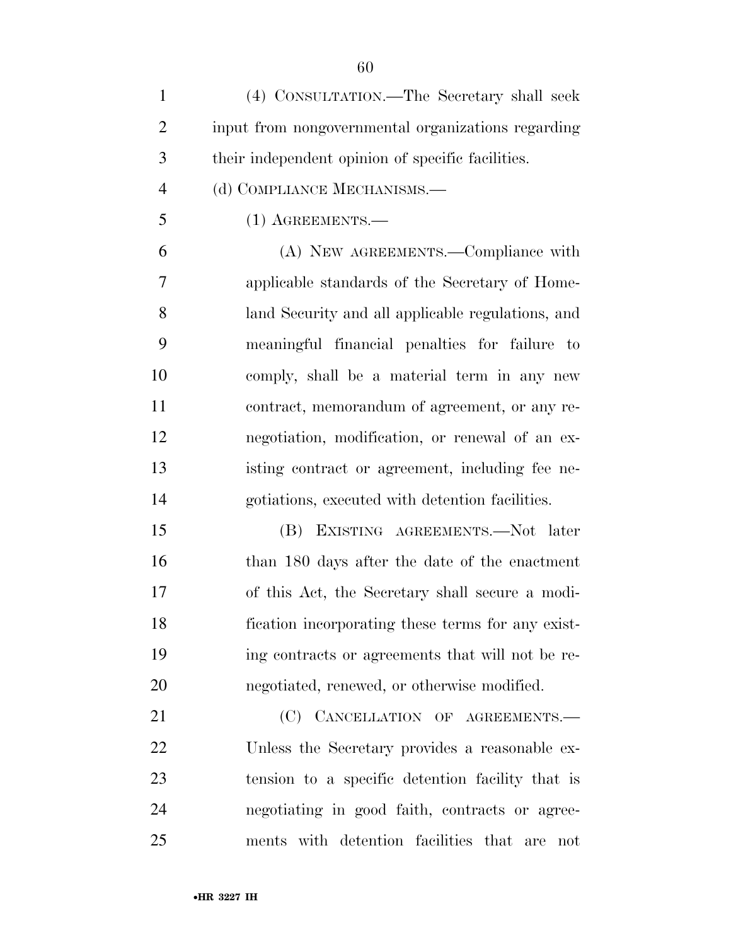| 1              | (4) CONSULTATION.—The Secretary shall seek         |
|----------------|----------------------------------------------------|
| $\overline{2}$ | input from nongovernmental organizations regarding |
| 3              | their independent opinion of specific facilities.  |
| $\overline{4}$ | (d) COMPLIANCE MECHANISMS.—                        |
| 5              | $(1)$ AGREEMENTS.—                                 |
| 6              | (A) NEW AGREEMENTS.—Compliance with                |
| $\overline{7}$ | applicable standards of the Secretary of Home-     |
| 8              | land Security and all applicable regulations, and  |
| 9              | meaningful financial penalties for failure to      |
| 10             | comply, shall be a material term in any new        |
| 11             | contract, memorandum of agreement, or any re-      |

 negotiation, modification, or renewal of an ex- isting contract or agreement, including fee ne-gotiations, executed with detention facilities.

 (B) EXISTING AGREEMENTS.—Not later than 180 days after the date of the enactment of this Act, the Secretary shall secure a modi- fication incorporating these terms for any exist- ing contracts or agreements that will not be re-negotiated, renewed, or otherwise modified.

21 (C) CANCELLATION OF AGREEMENTS.— Unless the Secretary provides a reasonable ex- tension to a specific detention facility that is negotiating in good faith, contracts or agree-ments with detention facilities that are not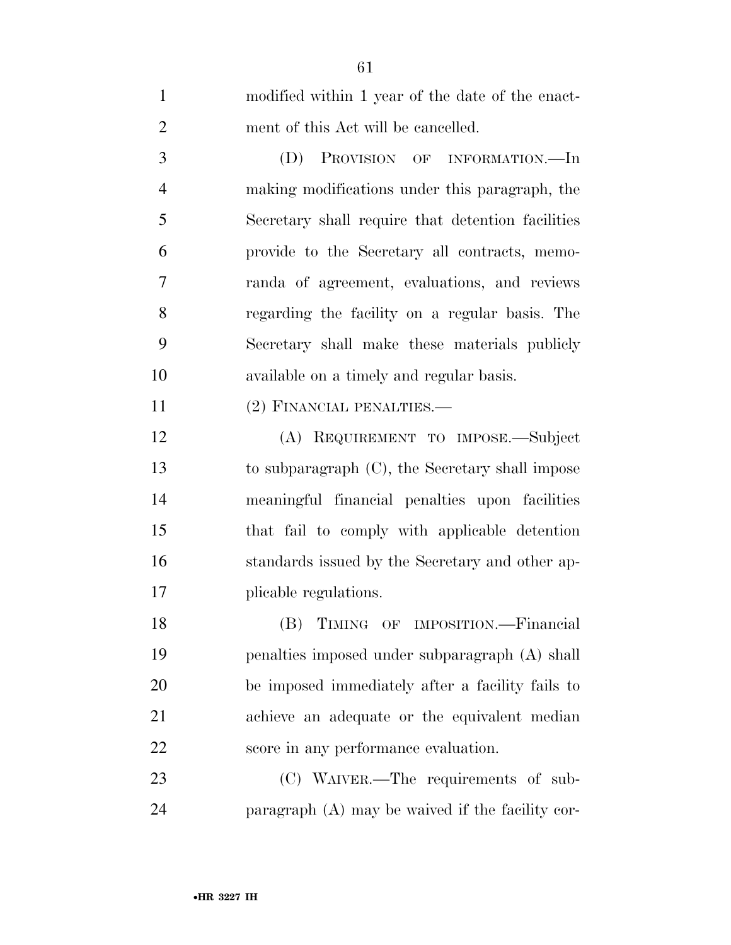| $\mathbf{1}$   | modified within 1 year of the date of the enact-   |
|----------------|----------------------------------------------------|
| $\overline{2}$ | ment of this Act will be cancelled.                |
| 3              | (D)<br>PROVISION OF INFORMATION.—In                |
| $\overline{4}$ | making modifications under this paragraph, the     |
| 5              | Secretary shall require that detention facilities  |
| 6              | provide to the Secretary all contracts, memo-      |
| 7              | randa of agreement, evaluations, and reviews       |
| 8              | regarding the facility on a regular basis. The     |
| 9              | Secretary shall make these materials publicly      |
| 10             | available on a timely and regular basis.           |
| 11             | (2) FINANCIAL PENALTIES.—                          |
| 12             | (A) REQUIREMENT TO IMPOSE.—Subject                 |
| 13             | to subparagraph $(C)$ , the Secretary shall impose |
| 14             | meaningful financial penalties upon facilities     |
| 15             | that fail to comply with applicable detention      |
| 16             | standards issued by the Secretary and other ap-    |
| 17             | plicable regulations.                              |
| 18             | (B) TIMING OF IMPOSITION.-Financial                |
| 19             | penalties imposed under subparagraph (A) shall     |
| 20             | be imposed immediately after a facility fails to   |
| 21             | achieve an adequate or the equivalent median       |
| 22             | score in any performance evaluation.               |
| 23             | (C) WAIVER.—The requirements of sub-               |
| 24             | paragraph (A) may be waived if the facility cor-   |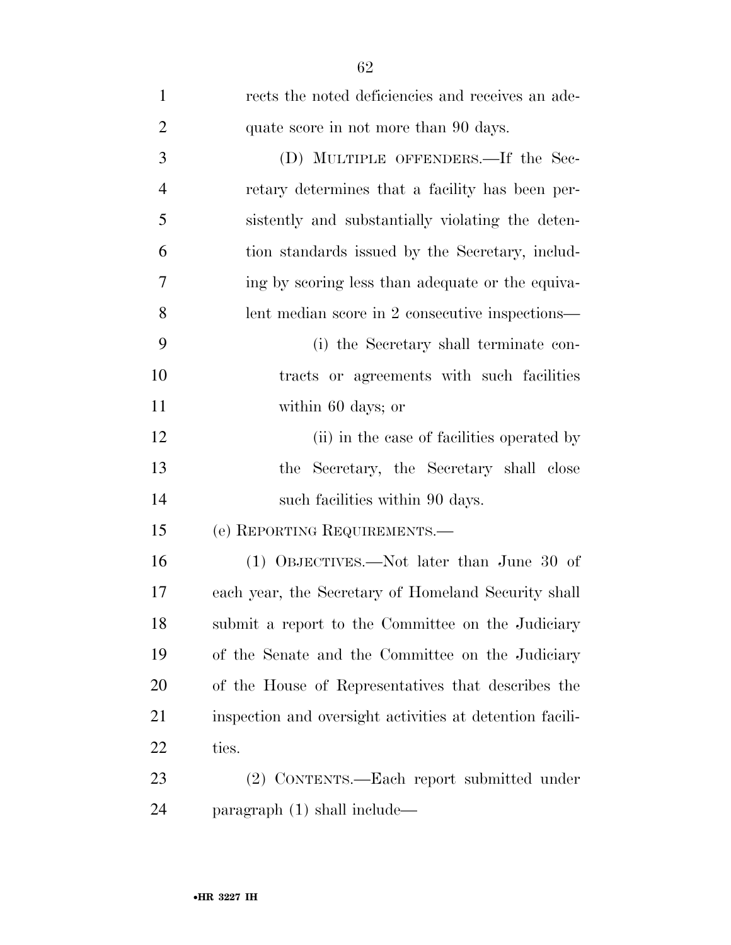| $\mathbf{1}$   | rects the noted deficiencies and receives an ade-        |
|----------------|----------------------------------------------------------|
| $\overline{2}$ | quate score in not more than 90 days.                    |
| 3              | (D) MULTIPLE OFFENDERS.—If the Sec-                      |
| $\overline{4}$ | retary determines that a facility has been per-          |
| 5              | sistently and substantially violating the deten-         |
| 6              | tion standards issued by the Secretary, includ-          |
| 7              | ing by scoring less than adequate or the equiva-         |
| 8              | lent median score in 2 consecutive inspections—          |
| 9              | (i) the Secretary shall terminate con-                   |
| 10             | tracts or agreements with such facilities                |
| 11             | within 60 days; or                                       |
| 12             | (ii) in the case of facilities operated by               |
| 13             | the Secretary, the Secretary shall close                 |
| 14             | such facilities within 90 days.                          |
| 15             | (e) REPORTING REQUIREMENTS.—                             |
| 16             | (1) OBJECTIVES.—Not later than June 30 of                |
| 17             | each year, the Secretary of Homeland Security shall      |
| 18             | submit a report to the Committee on the Judiciary        |
| 19             | of the Senate and the Committee on the Judiciary         |
| 20             | of the House of Representatives that describes the       |
| 21             | inspection and oversight activities at detention facili- |
| 22             | ties.                                                    |
| 23             | (2) CONTENTS.—Each report submitted under                |
| 24             | paragraph $(1)$ shall include—                           |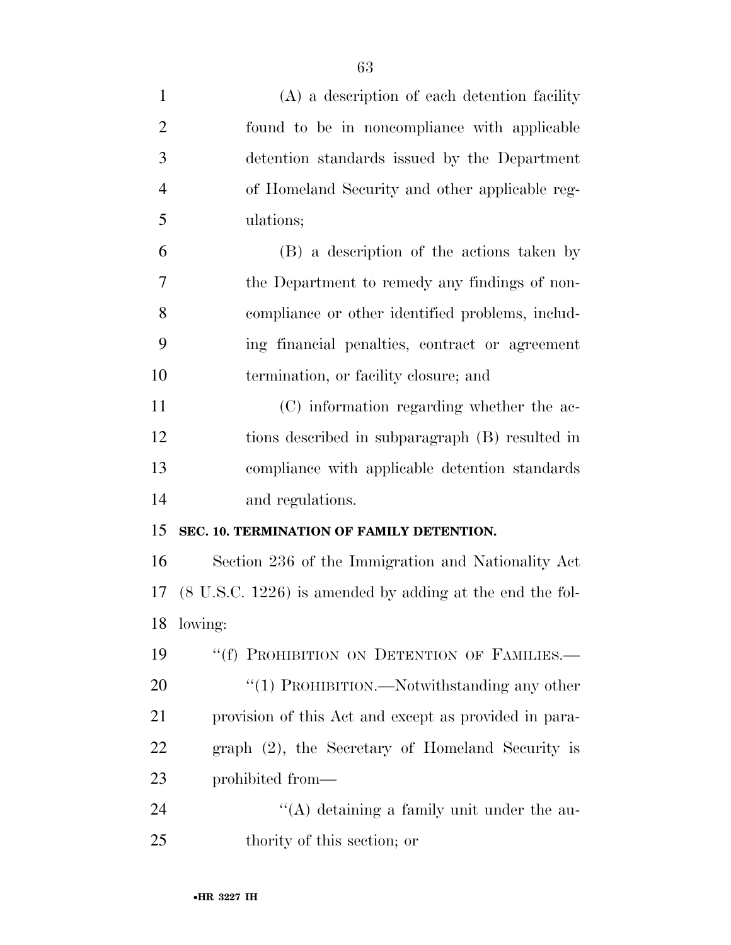| $\mathbf{1}$   | (A) a description of each detention facility                        |
|----------------|---------------------------------------------------------------------|
| $\overline{2}$ | found to be in noncompliance with applicable                        |
| 3              | detention standards issued by the Department                        |
| $\overline{4}$ | of Homeland Security and other applicable reg-                      |
| 5              | ulations;                                                           |
| 6              | (B) a description of the actions taken by                           |
| 7              | the Department to remedy any findings of non-                       |
| 8              | compliance or other identified problems, includ-                    |
| 9              | ing financial penalties, contract or agreement                      |
| 10             | termination, or facility closure; and                               |
| 11             | (C) information regarding whether the ac-                           |
| 12             | tions described in subparagraph (B) resulted in                     |
| 13             | compliance with applicable detention standards                      |
| 14             | and regulations.                                                    |
| 15             | SEC. 10. TERMINATION OF FAMILY DETENTION.                           |
| 16             | Section 236 of the Immigration and Nationality Act                  |
| 17             | $(8 \text{ U.S.C. } 1226)$ is amended by adding at the end the fol- |
| 18             | lowing:                                                             |
| 19             | "(f) PROHIBITION ON DETENTION OF FAMILIES.-                         |
| 20             | "(1) PROHIBITION.—Notwithstanding any other                         |
| 21             | provision of this Act and except as provided in para-               |
| 22             | graph $(2)$ , the Secretary of Homeland Security is                 |
| 23             | prohibited from—                                                    |
| 24             | $\lq\lq$ detaining a family unit under the au-                      |
| 25             | thority of this section; or                                         |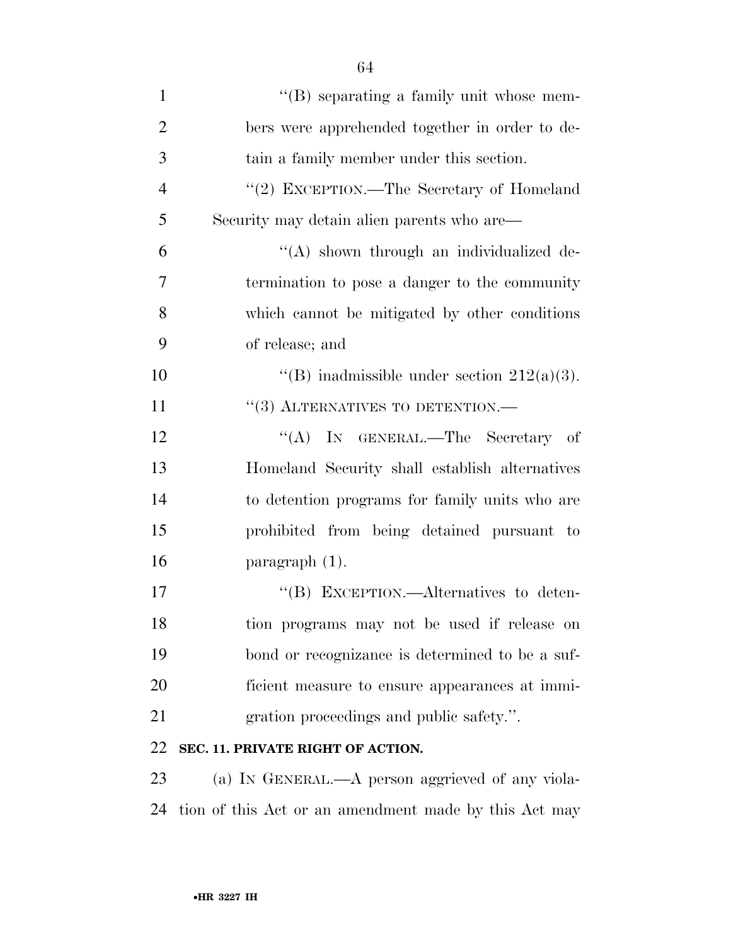| $\mathbf{1}$   | $\lq\lq$ separating a family unit whose mem-     |
|----------------|--------------------------------------------------|
| $\overline{2}$ | bers were apprehended together in order to de-   |
| 3              | tain a family member under this section.         |
| $\overline{4}$ | "(2) EXCEPTION.—The Secretary of Homeland        |
| 5              | Security may detain alien parents who are—       |
| 6              | "(A) shown through an individualized de-         |
| 7              | termination to pose a danger to the community    |
| 8              | which cannot be mitigated by other conditions    |
| 9              | of release; and                                  |
| 10             | "(B) inadmissible under section $212(a)(3)$ .    |
| 11             | $\cdot\cdot$ (3) ALTERNATIVES TO DETENTION.—     |
| 12             | "(A) IN GENERAL.—The Secretary of                |
| 13             | Homeland Security shall establish alternatives   |
| 14             | to detention programs for family units who are   |
| 15             | prohibited from being detained pursuant to       |
| 16             | paragraph $(1)$ .                                |
| 17             | "(B) EXCEPTION.—Alternatives to deten-           |
| 18             | tion programs may not be used if release on      |
| 19             | bond or recognizance is determined to be a suf-  |
| 20             | ficient measure to ensure appearances at immi-   |
| 21             | gration proceedings and public safety.".         |
| 22             | SEC. 11. PRIVATE RIGHT OF ACTION.                |
| 23             | (a) IN GENERAL.—A person aggrieved of any viola- |

tion of this Act or an amendment made by this Act may